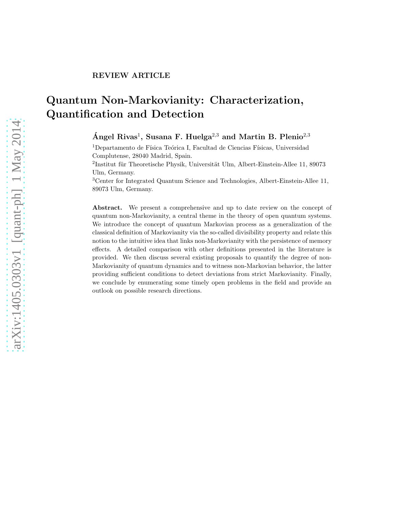# Quantum Non-Markovianity: Characterization, Quantification and Detection

Ángel Rivas<sup>1</sup>, Susana F. Huelga<sup>2,3</sup> and Martin B. Plenio<sup>2,3</sup>

 $1$ Departamento de Física Teórica I, Facultad de Ciencias Físicas, Universidad Complutense, 28040 Madrid, Spain.

 ${}^{2}$ Institut für Theoretische Physik, Universität Ulm, Albert-Einstein-Allee 11, 89073 Ulm, Germany.

<sup>3</sup>Center for Integrated Quantum Science and Technologies, Albert-Einstein-Allee 11, 89073 Ulm, Germany.

Abstract. We present a comprehensive and up to date review on the concept of quantum non-Markovianity, a central theme in the theory of open quantum systems. We introduce the concept of quantum Markovian process as a generalization of the classical definition of Markovianity via the so-called divisibility property and relate this notion to the intuitive idea that links non-Markovianity with the persistence of memory effects. A detailed comparison with other definitions presented in the literature is provided. We then discuss several existing proposals to quantify the degree of non-Markovianity of quantum dynamics and to witness non-Markovian behavior, the latter providing sufficient conditions to detect deviations from strict Markovianity. Finally, we conclude by enumerating some timely open problems in the field and provide an outlook on possible research directions.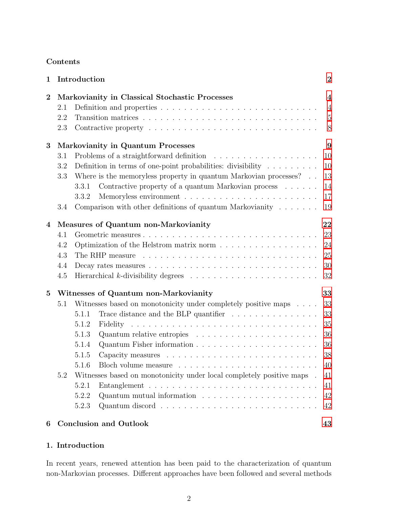# Contents

| $\mathbf 1$    | Introduction<br>Markovianity in Classical Stochastic Processes |                                                                        |                                                                                            |                |  |
|----------------|----------------------------------------------------------------|------------------------------------------------------------------------|--------------------------------------------------------------------------------------------|----------------|--|
| $\bf{2}$       |                                                                |                                                                        |                                                                                            |                |  |
|                | 2.1                                                            |                                                                        | Definition and properties $\ldots \ldots \ldots \ldots \ldots \ldots \ldots \ldots \ldots$ | $\overline{4}$ |  |
|                | 2.2                                                            |                                                                        |                                                                                            | $\overline{5}$ |  |
|                | 2.3                                                            |                                                                        |                                                                                            | 8              |  |
| 3              | Markovianity in Quantum Processes                              |                                                                        |                                                                                            |                |  |
|                | 3.1                                                            |                                                                        |                                                                                            |                |  |
|                | 3.2                                                            |                                                                        | Definition in terms of one-point probabilities: divisibility $\dots \dots$                 | 10             |  |
|                | 3.3                                                            |                                                                        | Where is the memoryless property in quantum Markovian processes?                           | 13             |  |
|                |                                                                | 3.3.1                                                                  | Contractive property of a quantum Markovian process                                        | 14             |  |
|                |                                                                | 3.3.2                                                                  |                                                                                            | 17             |  |
|                | 3.4                                                            |                                                                        | Comparison with other definitions of quantum Markovianity $\dots \dots$                    | 19             |  |
| $\overline{4}$ | 22<br>Measures of Quantum non-Markovianity                     |                                                                        |                                                                                            |                |  |
|                | 4.1                                                            |                                                                        | Geometric measures                                                                         | 23             |  |
|                | 4.2                                                            | 24<br>Optimization of the Helstrom matrix norm                         |                                                                                            |                |  |
|                | 4.3                                                            | 25                                                                     |                                                                                            |                |  |
|                | 4.4                                                            | 30                                                                     |                                                                                            |                |  |
|                | 4.5                                                            |                                                                        |                                                                                            | 32             |  |
| $\bf{5}$       | 33<br>Witnesses of Quantum non-Markovianity                    |                                                                        |                                                                                            |                |  |
|                | 5.1                                                            |                                                                        | Witnesses based on monotonicity under completely positive maps                             | 33             |  |
|                |                                                                | 5.1.1                                                                  | Trace distance and the BLP quantifier $\ldots \ldots \ldots \ldots \ldots$                 | 33             |  |
|                |                                                                | 5.1.2                                                                  | Fidelity                                                                                   | 35             |  |
|                |                                                                | 5.1.3                                                                  | Quantum relative entropies $\ldots \ldots \ldots \ldots \ldots \ldots \ldots$              | 36             |  |
|                |                                                                | 5.1.4                                                                  |                                                                                            | 36             |  |
|                |                                                                | 5.1.5                                                                  |                                                                                            | 38             |  |
|                |                                                                |                                                                        |                                                                                            | 40             |  |
|                | 5.2                                                            | Witnesses based on monotonicity under local completely positive maps . |                                                                                            |                |  |
|                |                                                                | 5.2.1                                                                  |                                                                                            | 41             |  |
|                |                                                                | 5.2.2                                                                  |                                                                                            | 42             |  |
|                |                                                                | 5.2.3                                                                  |                                                                                            | 42             |  |
| 6              |                                                                | <b>Conclusion and Outlook</b><br>43                                    |                                                                                            |                |  |

# <span id="page-1-0"></span>1. Introduction

In recent years, renewed attention has been paid to the characterization of quantum non-Markovian processes. Different approaches have been followed and several methods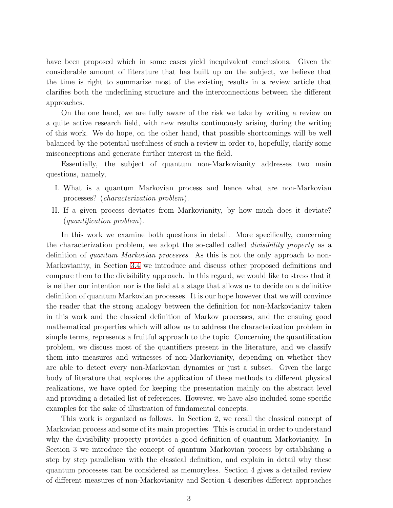have been proposed which in some cases yield inequivalent conclusions. Given the considerable amount of literature that has built up on the subject, we believe that the time is right to summarize most of the existing results in a review article that clarifies both the underlining structure and the interconnections between the different approaches.

On the one hand, we are fully aware of the risk we take by writing a review on a quite active research field, with new results continuously arising during the writing of this work. We do hope, on the other hand, that possible shortcomings will be well balanced by the potential usefulness of such a review in order to, hopefully, clarify some misconceptions and generate further interest in the field.

Essentially, the subject of quantum non-Markovianity addresses two main questions, namely,

- I. What is a quantum Markovian process and hence what are non-Markovian processes? (characterization problem).
- II. If a given process deviates from Markovianity, by how much does it deviate? (quantification problem).

In this work we examine both questions in detail. More specifically, concerning the characterization problem, we adopt the so-called called *divisibility property* as a definition of quantum Markovian processes. As this is not the only approach to non-Markovianity, in Section [3.4](#page-18-0) we introduce and discuss other proposed definitions and compare them to the divisibility approach. In this regard, we would like to stress that it is neither our intention nor is the field at a stage that allows us to decide on a definitive definition of quantum Markovian processes. It is our hope however that we will convince the reader that the strong analogy between the definition for non-Markovianity taken in this work and the classical definition of Markov processes, and the ensuing good mathematical properties which will allow us to address the characterization problem in simple terms, represents a fruitful approach to the topic. Concerning the quantification problem, we discuss most of the quantifiers present in the literature, and we classify them into measures and witnesses of non-Markovianity, depending on whether they are able to detect every non-Markovian dynamics or just a subset. Given the large body of literature that explores the application of these methods to different physical realizations, we have opted for keeping the presentation mainly on the abstract level and providing a detailed list of references. However, we have also included some specific examples for the sake of illustration of fundamental concepts.

This work is organized as follows. In Section 2, we recall the classical concept of Markovian process and some of its main properties. This is crucial in order to understand why the divisibility property provides a good definition of quantum Markovianity. In Section 3 we introduce the concept of quantum Markovian process by establishing a step by step parallelism with the classical definition, and explain in detail why these quantum processes can be considered as memoryless. Section 4 gives a detailed review of different measures of non-Markovianity and Section 4 describes different approaches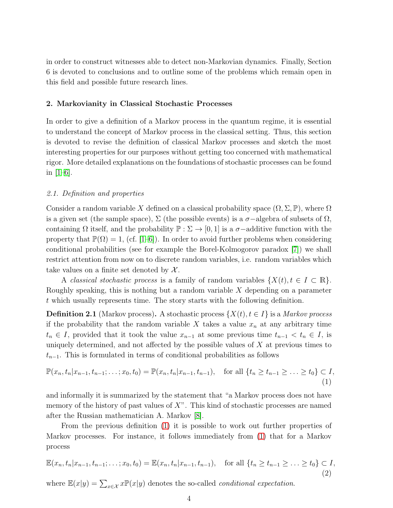in order to construct witnesses able to detect non-Markovian dynamics. Finally, Section 6 is devoted to conclusions and to outline some of the problems which remain open in this field and possible future research lines.

# <span id="page-3-0"></span>2. Markovianity in Classical Stochastic Processes

In order to give a definition of a Markov process in the quantum regime, it is essential to understand the concept of Markov process in the classical setting. Thus, this section is devoted to revise the definition of classical Markov processes and sketch the most interesting properties for our purposes without getting too concerned with mathematical rigor. More detailed explanations on the foundations of stochastic processes can be found in  $[1–6]$  $[1–6]$ .

# <span id="page-3-1"></span>2.1. Definition and properties

Consider a random variable X defined on a classical probability space  $(\Omega, \Sigma, \mathbb{P})$ , where  $\Omega$ is a given set (the sample space),  $\Sigma$  (the possible events) is a  $\sigma$ -algebra of subsets of  $\Omega$ , containing  $\Omega$  itself, and the probability  $\mathbb{P} : \Sigma \to [0,1]$  is a  $\sigma$ -additive function with the property that  $\mathbb{P}(\Omega) = 1$ , (cf. [\[1–](#page-44-0)[6\]](#page-45-0)). In order to avoid further problems when considering conditional probabilities (see for example the Borel-Kolmogorov paradox [\[7\]](#page-45-1)) we shall restrict attention from now on to discrete random variables, i.e. random variables which take values on a finite set denoted by  $\mathcal{X}$ .

A classical stochastic process is a family of random variables  $\{X(t), t \in I \subset \mathbb{R}\}.$ Roughly speaking, this is nothing but a random variable X depending on a parameter t which usually represents time. The story starts with the following definition.

**Definition 2.1** (Markov process). A stochastic process  $\{X(t), t \in I\}$  is a Markov process if the probability that the random variable X takes a value  $x_n$  at any arbitrary time  $t_n \in I$ , provided that it took the value  $x_{n-1}$  at some previous time  $t_{n-1} < t_n \in I$ , is uniquely determined, and not affected by the possible values of  $X$  at previous times to  $t_{n-1}$ . This is formulated in terms of conditional probabilities as follows

<span id="page-3-2"></span>
$$
\mathbb{P}(x_n, t_n | x_{n-1}, t_{n-1}; \dots; x_0, t_0) = \mathbb{P}(x_n, t_n | x_{n-1}, t_{n-1}), \text{ for all } \{t_n \ge t_{n-1} \ge \dots \ge t_0\} \subset I,
$$
\n(1)

and informally it is summarized by the statement that "a Markov process does not have memory of the history of past values of  $X$ ". This kind of stochastic processes are named after the Russian mathematician A. Markov [\[8\]](#page-45-2).

From the previous definition [\(1\)](#page-3-2) it is possible to work out further properties of Markov processes. For instance, it follows immediately from [\(1\)](#page-3-2) that for a Markov process

<span id="page-3-3"></span>
$$
\mathbb{E}(x_n, t_n | x_{n-1}, t_{n-1}; \dots; x_0, t_0) = \mathbb{E}(x_n, t_n | x_{n-1}, t_{n-1}), \text{ for all } \{t_n \ge t_{n-1} \ge \dots \ge t_0\} \subset I,
$$
\n(2)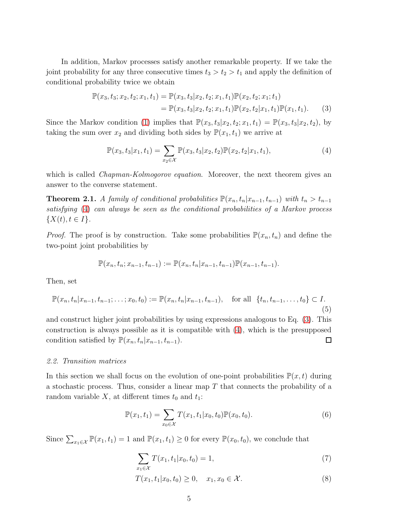In addition, Markov processes satisfy another remarkable property. If we take the joint probability for any three consecutive times  $t_3 > t_2 > t_1$  and apply the definition of conditional probability twice we obtain

<span id="page-4-2"></span>
$$
\mathbb{P}(x_3, t_3; x_2, t_2; x_1, t_1) = \mathbb{P}(x_3, t_3 | x_2, t_2; x_1, t_1) \mathbb{P}(x_2, t_2; x_1; t_1)
$$
  
=  $\mathbb{P}(x_3, t_3 | x_2, t_2; x_1, t_1) \mathbb{P}(x_2, t_2 | x_1, t_1) \mathbb{P}(x_1, t_1).$  (3)

Since the Markov condition [\(1\)](#page-3-2) implies that  $\mathbb{P}(x_3, t_3|x_2, t_2; x_1, t_1) = \mathbb{P}(x_3, t_3|x_2, t_2)$ , by taking the sum over  $x_2$  and dividing both sides by  $\mathbb{P}(x_1, t_1)$  we arrive at

<span id="page-4-1"></span>
$$
\mathbb{P}(x_3, t_3 | x_1, t_1) = \sum_{x_2 \in \mathcal{X}} \mathbb{P}(x_3, t_3 | x_2, t_2) \mathbb{P}(x_2, t_2 | x_1, t_1), \tag{4}
$$

which is called *Chapman-Kolmogorov equation*. Moreover, the next theorem gives an answer to the converse statement.

<span id="page-4-3"></span>**Theorem 2.1.** A family of conditional probabilities  $\mathbb{P}(x_n,t_n|x_{n-1},t_{n-1})$  with  $t_n > t_{n-1}$ satisfying [\(4\)](#page-4-1) can always be seen as the conditional probabilities of a Markov process  $\{X(t), t \in I\}.$ 

*Proof.* The proof is by construction. Take some probabilities  $\mathbb{P}(x_n, t_n)$  and define the two-point joint probabilities by

$$
\mathbb{P}(x_n,t_n;x_{n-1},t_{n-1}) := \mathbb{P}(x_n,t_n|x_{n-1},t_{n-1})\mathbb{P}(x_{n-1},t_{n-1}).
$$

Then, set

$$
\mathbb{P}(x_n, t_n | x_{n-1}, t_{n-1}; \dots; x_0, t_0) := \mathbb{P}(x_n, t_n | x_{n-1}, t_{n-1}), \text{ for all } \{t_n, t_{n-1}, \dots, t_0\} \subset I.
$$
\n(5)

and construct higher joint probabilities by using expressions analogous to Eq. [\(3\)](#page-4-2). This construction is always possible as it is compatible with [\(4\)](#page-4-1), which is the presupposed condition satisfied by  $\mathbb{P}(x_n,t_n|x_{n-1}, t_{n-1})$ .  $\Box$ 

#### <span id="page-4-0"></span>2.2. Transition matrices

In this section we shall focus on the evolution of one-point probabilities  $\mathbb{P}(x,t)$  during a stochastic process. Thus, consider a linear map  $T$  that connects the probability of a random variable X, at different times  $t_0$  and  $t_1$ :

$$
\mathbb{P}(x_1, t_1) = \sum_{x_0 \in \mathcal{X}} T(x_1, t_1 | x_0, t_0) \mathbb{P}(x_0, t_0).
$$
 (6)

Since  $\sum_{x_1 \in \mathcal{X}} \mathbb{P}(x_1, t_1) = 1$  and  $\mathbb{P}(x_1, t_1) \geq 0$  for every  $\mathbb{P}(x_0, t_0)$ , we conclude that

$$
\sum_{x_1 \in \mathcal{X}} T(x_1, t_1 | x_0, t_0) = 1,\tag{7}
$$

$$
T(x_1, t_1 | x_0, t_0) \ge 0, \quad x_1, x_0 \in \mathcal{X}.
$$
 (8)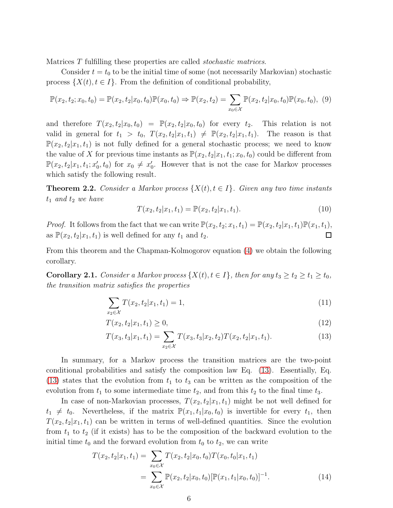Matrices T fulfilling these properties are called stochastic matrices.

Consider  $t = t_0$  to be the initial time of some (not necessarily Markovian) stochastic process  $\{X(t), t \in I\}$ . From the definition of conditional probability,

$$
\mathbb{P}(x_2, t_2; x_0, t_0) = \mathbb{P}(x_2, t_2 | x_0, t_0) \mathbb{P}(x_0, t_0) \Rightarrow \mathbb{P}(x_2, t_2) = \sum_{x_0 \in \mathcal{X}} \mathbb{P}(x_2, t_2 | x_0, t_0) \mathbb{P}(x_0, t_0), (9)
$$

and therefore  $T(x_2, t_2|x_0, t_0) = \mathbb{P}(x_2, t_2|x_0, t_0)$  for every  $t_2$ . This relation is not valid in general for  $t_1 > t_0$ ,  $T(x_2, t_2|x_1, t_1) \neq \mathbb{P}(x_2, t_2|x_1, t_1)$ . The reason is that  $\mathbb{P}(x_2, t_2|x_1, t_1)$  is not fully defined for a general stochastic process; we need to know the value of X for previous time instants as  $\mathbb{P}(x_2, t_2|x_1, t_1; x_0, t_0)$  could be different from  $\mathbb{P}(x_2, t_2 | x_1, t_1; x'_0, t_0)$  for  $x_0 \neq x'_0$ . However that is not the case for Markov processes which satisfy the following result.

**Theorem 2.2.** Consider a Markov process  $\{X(t), t \in I\}$ . Given any two time instants  $t_1$  and  $t_2$  we have

<span id="page-5-1"></span>
$$
T(x_2, t_2 | x_1, t_1) = \mathbb{P}(x_2, t_2 | x_1, t_1).
$$
\n(10)

*Proof.* It follows from the fact that we can write  $\mathbb{P}(x_2, t_2; x_1, t_1) = \mathbb{P}(x_2, t_2 | x_1, t_1) \mathbb{P}(x_1, t_1)$ , as  $\mathbb{P}(x_2, t_2|x_1, t_1)$  is well defined for any  $t_1$  and  $t_2$ .  $\Box$ 

From this theorem and the Chapman-Kolmogorov equation [\(4\)](#page-4-1) we obtain the following corollary.

**Corollary 2.1.** Consider a Markov process  $\{X(t), t \in I\}$ , then for any  $t_3 \ge t_2 \ge t_1 \ge t_0$ , the transition matrix satisfies the properties

<span id="page-5-2"></span>
$$
\sum_{x_2 \in \mathcal{X}} T(x_2, t_2 | x_1, t_1) = 1,\tag{11}
$$

$$
T(x_2, t_2 | x_1, t_1) \ge 0,\t\t(12)
$$

<span id="page-5-0"></span>
$$
T(x_3, t_3|x_1, t_1) = \sum_{x_2 \in \mathcal{X}} T(x_3, t_3|x_2, t_2) T(x_2, t_2|x_1, t_1).
$$
 (13)

In summary, for a Markov process the transition matrices are the two-point conditional probabilities and satisfy the composition law Eq. [\(13\)](#page-5-0). Essentially, Eq. [\(13\)](#page-5-0) states that the evolution from  $t_1$  to  $t_3$  can be written as the composition of the evolution from  $t_1$  to some intermediate time  $t_2$ , and from this  $t_2$  to the final time  $t_3$ .

In case of non-Markovian processes,  $T(x_2, t_2|x_1, t_1)$  might be not well defined for  $t_1 \neq t_0$ . Nevertheless, if the matrix  $\mathbb{P}(x_1, t_1|x_0, t_0)$  is invertible for every  $t_1$ , then  $T(x_2, t_2|x_1, t_1)$  can be written in terms of well-defined quantities. Since the evolution from  $t_1$  to  $t_2$  (if it exists) has to be the composition of the backward evolution to the initial time  $t_0$  and the forward evolution from  $t_0$  to  $t_2$ , we can write

$$
T(x_2, t_2 | x_1, t_1) = \sum_{x_0 \in \mathcal{X}} T(x_2, t_2 | x_0, t_0) T(x_0, t_0 | x_1, t_1)
$$
  
= 
$$
\sum_{x_0 \in \mathcal{X}} \mathbb{P}(x_2, t_2 | x_0, t_0) [\mathbb{P}(x_1, t_1 | x_0, t_0)]^{-1}.
$$
 (14)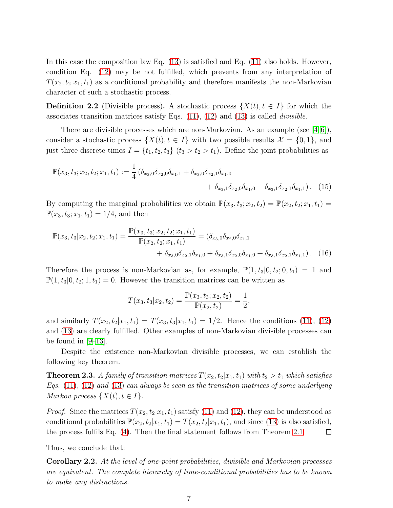In this case the composition law Eq. [\(13\)](#page-5-0) is satisfied and Eq. [\(11\)](#page-5-1) also holds. However, condition Eq. [\(12\)](#page-5-2) may be not fulfilled, which prevents from any interpretation of  $T(x_2, t_2|x_1, t_1)$  as a conditional probability and therefore manifests the non-Markovian character of such a stochastic process.

<span id="page-6-0"></span>**Definition 2.2** (Divisible process). A stochastic process  $\{X(t), t \in I\}$  for which the associates transition matrices satisfy Eqs.  $(11)$ ,  $(12)$  and  $(13)$  is called *divisible*.

There are divisible processes which are non-Markovian. As an example (see  $[4,6]$  $[4,6]$ ), consider a stochastic process  $\{X(t), t \in I\}$  with two possible results  $\mathcal{X} = \{0, 1\}$ , and just three discrete times  $I = \{t_1, t_2, t_3\}$   $(t_3 > t_2 > t_1)$ . Define the joint probabilities as

$$
\mathbb{P}(x_3, t_3; x_2, t_2; x_1, t_1) := \frac{1}{4} \left( \delta_{x_3,0} \delta_{x_2,0} \delta_{x_1,1} + \delta_{x_3,0} \delta_{x_2,1} \delta_{x_1,0} + \delta_{x_3,1} \delta_{x_2,0} \delta_{x_1,0} + \delta_{x_3,1} \delta_{x_2,1} \delta_{x_1,1} \right). \tag{15}
$$

By computing the marginal probabilities we obtain  $\mathbb{P}(x_3, t_3; x_2, t_2) = \mathbb{P}(x_2, t_2; x_1, t_1) =$  $\mathbb{P}(x_3, t_3; x_1, t_1) = 1/4$ , and then

$$
\mathbb{P}(x_3, t_3 | x_2, t_2; x_1, t_1) = \frac{\mathbb{P}(x_3, t_3; x_2, t_2; x_1, t_1)}{\mathbb{P}(x_2, t_2; x_1, t_1)} = (\delta_{x_3,0} \delta_{x_2,0} \delta_{x_1,1} + \delta_{x_3,0} \delta_{x_2,0} \delta_{x_1,0} + \delta_{x_3,1} \delta_{x_2,0} \delta_{x_1,0} + \delta_{x_3,1} \delta_{x_2,1} \delta_{x_1,1}). \tag{16}
$$

Therefore the process is non-Markovian as, for example,  $\mathbb{P}(1, t_3|0, t_2; 0, t_1) = 1$  and  $\mathbb{P}(1, t_3 | 0, t_2; 1, t_1) = 0$ . However the transition matrices can be written as

$$
T(x_3, t_3|x_2, t_2) = \frac{\mathbb{P}(x_3, t_3; x_2, t_2)}{\mathbb{P}(x_2, t_2)} = \frac{1}{2},
$$

and similarly  $T(x_2, t_2|x_1, t_1) = T(x_3, t_3|x_1, t_1) = 1/2$ . Hence the conditions [\(11\)](#page-5-1), [\(12\)](#page-5-2) and [\(13\)](#page-5-0) are clearly fulfilled. Other examples of non-Markovian divisible processes can be found in  $[9-13]$  $[9-13]$ .

Despite the existence non-Markovian divisible processes, we can establish the following key theorem.

<span id="page-6-1"></span>**Theorem 2.3.** A family of transition matrices  $T(x_2, t_2|x_1, t_1)$  with  $t_2 > t_1$  which satisfies Eqs.  $(11)$ ,  $(12)$  and  $(13)$  can always be seen as the transition matrices of some underlying Markov process  $\{X(t), t \in I\}$ .

*Proof.* Since the matrices  $T(x_2, t_2|x_1, t_1)$  satisfy [\(11\)](#page-5-1) and [\(12\)](#page-5-2), they can be understood as conditional probabilities  $\mathbb{P}(x_2, t_2|x_1, t_1) = T(x_2, t_2|x_1, t_1)$ , and since [\(13\)](#page-5-0) is also satisfied, the process fulfils Eq. [\(4\)](#page-4-1). Then the final statement follows from Theorem [2.1.](#page-4-3)  $\Box$ 

Thus, we conclude that:

<span id="page-6-2"></span>Corollary 2.2. At the level of one-point probabilities, divisible and Markovian processes are equivalent. The complete hierarchy of time-conditional probabilities has to be known to make any distinctions.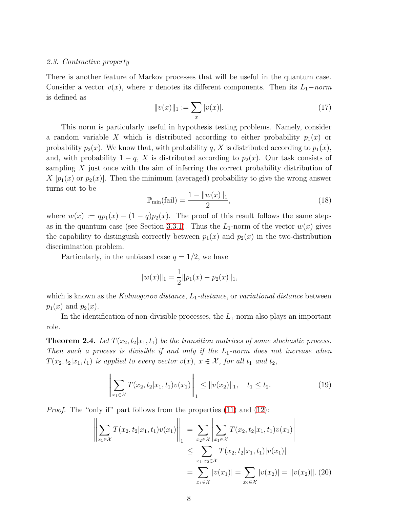#### <span id="page-7-0"></span>2.3. Contractive property

There is another feature of Markov processes that will be useful in the quantum case. Consider a vector  $v(x)$ , where x denotes its different components. Then its  $L_1$ −norm is defined as

$$
||v(x)||_1 := \sum_x |v(x)|. \tag{17}
$$

This norm is particularly useful in hypothesis testing problems. Namely, consider a random variable X which is distributed according to either probability  $p_1(x)$  or probability  $p_2(x)$ . We know that, with probability q, X is distributed according to  $p_1(x)$ , and, with probability  $1 - q$ , X is distributed according to  $p_2(x)$ . Our task consists of sampling  $X$  just once with the aim of inferring the correct probability distribution of  $X[p_1(x)]$  or  $p_2(x)$ . Then the minimum (averaged) probability to give the wrong answer turns out to be

$$
\mathbb{P}_{\min}(\text{fail}) = \frac{1 - \|w(x)\|_1}{2},\tag{18}
$$

where  $w(x) := qp_1(x) - (1-q)p_2(x)$ . The proof of this result follows the same steps as in the quantum case (see Section [3.3.1\)](#page-13-0). Thus the  $L_1$ -norm of the vector  $w(x)$  gives the capability to distinguish correctly between  $p_1(x)$  and  $p_2(x)$  in the two-distribution discrimination problem.

Particularly, in the unbiased case  $q = 1/2$ , we have

$$
||w(x)||_1 = \frac{1}{2}||p_1(x) - p_2(x)||_1,
$$

which is known as the Kolmogorov distance,  $L_1$ -distance, or variational distance between  $p_1(x)$  and  $p_2(x)$ .

In the identification of non-divisible processes, the  $L_1$ -norm also plays an important role.

<span id="page-7-2"></span>**Theorem 2.4.** Let  $T(x_2, t_2 | x_1, t_1)$  be the transition matrices of some stochastic process. Then such a process is divisible if and only if the  $L_1$ -norm does not increase when  $T(x_2, t_2|x_1, t_1)$  is applied to every vector  $v(x)$ ,  $x \in \mathcal{X}$ , for all  $t_1$  and  $t_2$ ,

<span id="page-7-1"></span>
$$
\left\| \sum_{x_1 \in \mathcal{X}} T(x_2, t_2 | x_1, t_1) v(x_1) \right\|_1 \leq \| v(x_2) \|_1, \quad t_1 \leq t_2. \tag{19}
$$

*Proof.* The "only if" part follows from the properties [\(11\)](#page-5-1) and [\(12\)](#page-5-2):

$$
\left\| \sum_{x_1 \in \mathcal{X}} T(x_2, t_2 | x_1, t_1) v(x_1) \right\|_1 = \sum_{x_2 \in \mathcal{X}} \left| \sum_{x_1 \in \mathcal{X}} T(x_2, t_2 | x_1, t_1) v(x_1) \right|
$$
  

$$
\leq \sum_{x_1, x_2 \in \mathcal{X}} T(x_2, t_2 | x_1, t_1) |v(x_1)|
$$
  

$$
= \sum_{x_1 \in \mathcal{X}} |v(x_1)| = \sum_{x_2 \in \mathcal{X}} |v(x_2)| = ||v(x_2)||. (20)
$$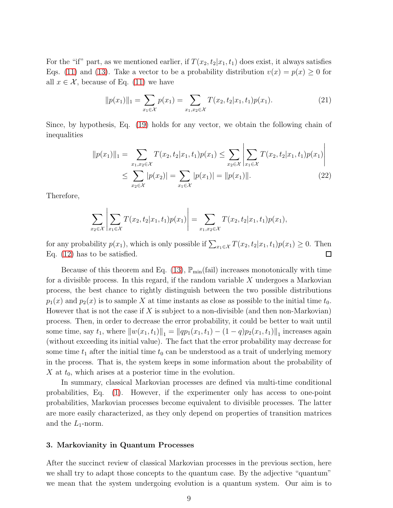For the "if" part, as we mentioned earlier, if  $T(x_2, t_2|x_1, t_1)$  does exist, it always satisfies Eqs. [\(11\)](#page-5-1) and [\(13\)](#page-5-0). Take a vector to be a probability distribution  $v(x) = p(x) \ge 0$  for all  $x \in \mathcal{X}$ , because of Eq. [\(11\)](#page-5-1) we have

$$
||p(x_1)||_1 = \sum_{x_1 \in \mathcal{X}} p(x_1) = \sum_{x_1, x_2 \in \mathcal{X}} T(x_2, t_2 | x_1, t_1) p(x_1).
$$
 (21)

Since, by hypothesis, Eq. [\(19\)](#page-7-1) holds for any vector, we obtain the following chain of inequalities

$$
||p(x_1)||_1 = \sum_{x_1, x_2 \in \mathcal{X}} T(x_2, t_2 | x_1, t_1) p(x_1) \le \sum_{x_2 \in \mathcal{X}} \left| \sum_{x_1 \in \mathcal{X}} T(x_2, t_2 | x_1, t_1) p(x_1) \right|
$$
  
 
$$
\le \sum_{x_2 \in \mathcal{X}} |p(x_2)| = \sum_{x_1 \in \mathcal{X}} |p(x_1)| = ||p(x_1)||. \tag{22}
$$

Therefore,

$$
\sum_{x_2 \in \mathcal{X}} \left| \sum_{x_1 \in \mathcal{X}} T(x_2, t_2 | x_1, t_1) p(x_1) \right| = \sum_{x_1, x_2 \in \mathcal{X}} T(x_2, t_2 | x_1, t_1) p(x_1),
$$

for any probability  $p(x_1)$ , which is only possible if  $\sum_{x_1 \in \mathcal{X}} T(x_2, t_2 | x_1, t_1) p(x_1) \geq 0$ . Then Eq. [\(12\)](#page-5-2) has to be satisfied.

Because of this theorem and Eq.  $(13)$ ,  $\mathbb{P}_{min}(fail)$  increases monotonically with time for a divisible process. In this regard, if the random variable  $X$  undergoes a Markovian process, the best chance to rightly distinguish between the two possible distributions  $p_1(x)$  and  $p_2(x)$  is to sample X at time instants as close as possible to the initial time  $t_0$ . However that is not the case if X is subject to a non-divisible (and then non-Markovian) process. Then, in order to decrease the error probability, it could be better to wait until some time, say  $t_1$ , where  $||w(x_1, t_1)||_1 = ||qp_1(x_1, t_1) - (1 - q)p_2(x_1, t_1)||_1$  increases again (without exceeding its initial value). The fact that the error probability may decrease for some time  $t_1$  after the initial time  $t_0$  can be understood as a trait of underlying memory in the process. That is, the system keeps in some information about the probability of X at  $t_0$ , which arises at a posterior time in the evolution.

In summary, classical Markovian processes are defined via multi-time conditional probabilities, Eq. [\(1\)](#page-3-2). However, if the experimenter only has access to one-point probabilities, Markovian processes become equivalent to divisible processes. The latter are more easily characterized, as they only depend on properties of transition matrices and the  $L_1$ -norm.

### <span id="page-8-0"></span>3. Markovianity in Quantum Processes

After the succinct review of classical Markovian processes in the previous section, here we shall try to adapt those concepts to the quantum case. By the adjective "quantum" we mean that the system undergoing evolution is a quantum system. Our aim is to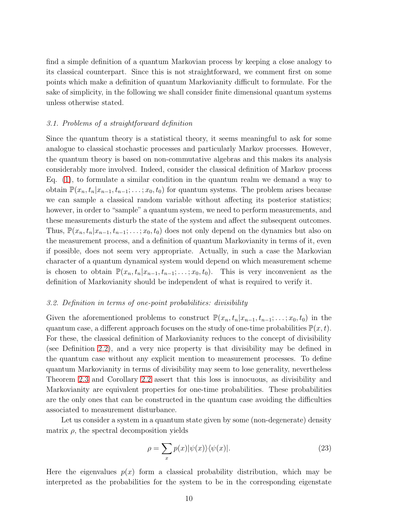find a simple definition of a quantum Markovian process by keeping a close analogy to its classical counterpart. Since this is not straightforward, we comment first on some points which make a definition of quantum Markovianity difficult to formulate. For the sake of simplicity, in the following we shall consider finite dimensional quantum systems unless otherwise stated.

### <span id="page-9-0"></span>3.1. Problems of a straightforward definition

Since the quantum theory is a statistical theory, it seems meaningful to ask for some analogue to classical stochastic processes and particularly Markov processes. However, the quantum theory is based on non-commutative algebras and this makes its analysis considerably more involved. Indeed, consider the classical definition of Markov process Eq. [\(1\)](#page-3-2), to formulate a similar condition in the quantum realm we demand a way to obtain  $\mathbb{P}(x_n, t_n | x_{n-1}, t_{n-1}; \ldots; x_0, t_0)$  for quantum systems. The problem arises because we can sample a classical random variable without affecting its posterior statistics; however, in order to "sample" a quantum system, we need to perform measurements, and these measurements disturb the state of the system and affect the subsequent outcomes. Thus,  $\mathbb{P}(x_n, t_n | x_{n-1}, t_{n-1}; \ldots; x_0, t_0)$  does not only depend on the dynamics but also on the measurement process, and a definition of quantum Markovianity in terms of it, even if possible, does not seem very appropriate. Actually, in such a case the Markovian character of a quantum dynamical system would depend on which measurement scheme is chosen to obtain  $\mathbb{P}(x_n, t_n | x_{n-1}, t_{n-1}; \ldots; x_0, t_0)$ . This is very inconvenient as the definition of Markovianity should be independent of what is required to verify it.

# <span id="page-9-1"></span>3.2. Definition in terms of one-point probabilities: divisibility

Given the aforementioned problems to construct  $\mathbb{P}(x_n, t_n | x_{n-1}, t_{n-1}; \ldots; x_0, t_0)$  in the quantum case, a different approach focuses on the study of one-time probabilities  $\mathbb{P}(x,t)$ . For these, the classical definition of Markovianity reduces to the concept of divisibility (see Definition [2.2\)](#page-6-0), and a very nice property is that divisibility may be defined in the quantum case without any explicit mention to measurement processes. To define quantum Markovianity in terms of divisibility may seem to lose generality, nevertheless Theorem [2.3](#page-6-1) and Corollary [2.2](#page-6-2) assert that this loss is innocuous, as divisibility and Markovianity are equivalent properties for one-time probabilities. These probabilities are the only ones that can be constructed in the quantum case avoiding the difficulties associated to measurement disturbance.

Let us consider a system in a quantum state given by some (non-degenerate) density matrix  $\rho$ , the spectral decomposition yields

$$
\rho = \sum_{x} p(x) |\psi(x)\rangle\langle\psi(x)|. \tag{23}
$$

Here the eigenvalues  $p(x)$  form a classical probability distribution, which may be interpreted as the probabilities for the system to be in the corresponding eigenstate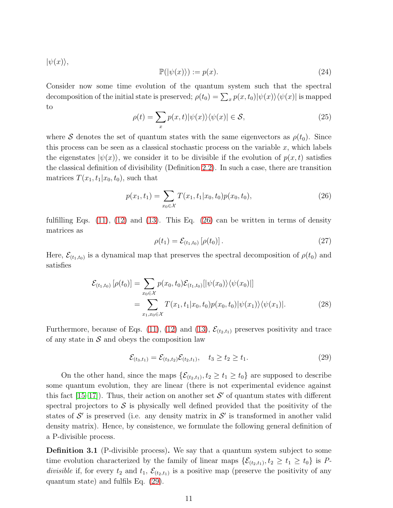$|\psi(x)\rangle,$ 

$$
\mathbb{P}(|\psi(x)\rangle) := p(x). \tag{24}
$$

Consider now some time evolution of the quantum system such that the spectral decomposition of the initial state is preserved;  $\rho(t_0) = \sum_x p(x, t_0) |\psi(x)\rangle \langle \psi(x)|$  is mapped to

$$
\rho(t) = \sum_{x} p(x, t) |\psi(x)\rangle\langle\psi(x)| \in \mathcal{S},\tag{25}
$$

where S denotes the set of quantum states with the same eigenvectors as  $\rho(t_0)$ . Since this process can be seen as a classical stochastic process on the variable  $x$ , which labels the eigenstates  $|\psi(x)\rangle$ , we consider it to be divisible if the evolution of  $p(x, t)$  satisfies the classical definition of divisibility (Definition [2.2\)](#page-6-0). In such a case, there are transition matrices  $T(x_1, t_1|x_0, t_0)$ , such that

<span id="page-10-0"></span>
$$
p(x_1, t_1) = \sum_{x_0 \in \mathcal{X}} T(x_1, t_1 | x_0, t_0) p(x_0, t_0), \tag{26}
$$

fulfilling Eqs.  $(11)$ ,  $(12)$  and  $(13)$ . This Eq.  $(26)$  can be written in terms of density matrices as

$$
\rho(t_1) = \mathcal{E}_{(t_1, t_0)} [\rho(t_0)]. \tag{27}
$$

Here,  $\mathcal{E}_{(t_1,t_0)}$  is a dynamical map that preserves the spectral decomposition of  $\rho(t_0)$  and satisfies

$$
\mathcal{E}_{(t_1, t_0)}\left[\rho(t_0)\right] = \sum_{x_0 \in \mathcal{X}} p(x_0, t_0) \mathcal{E}_{(t_1, t_0)}[|\psi(x_0)\rangle\langle\psi(x_0)|]
$$
  
= 
$$
\sum_{x_1, x_0 \in \mathcal{X}} T(x_1, t_1 | x_0, t_0) p(x_0, t_0) |\psi(x_1)\rangle\langle\psi(x_1)|.
$$
 (28)

Furthermore, because of Eqs. [\(11\)](#page-5-1), [\(12\)](#page-5-2) and [\(13\)](#page-5-0),  $\mathcal{E}_{(t_2,t_1)}$  preserves positivity and trace of any state in  $S$  and obeys the composition law

<span id="page-10-1"></span>
$$
\mathcal{E}_{(t_3,t_1)} = \mathcal{E}_{(t_3,t_2)} \mathcal{E}_{(t_2,t_1)}, \quad t_3 \ge t_2 \ge t_1.
$$
\n(29)

On the other hand, since the maps  $\{\mathcal{E}_{(t_2,t_1)}, t_2 \ge t_1 \ge t_0\}$  are supposed to describe some quantum evolution, they are linear (there is not experimental evidence against this fact  $[15-17]$ ). Thus, their action on another set  $\mathcal{S}'$  of quantum states with different spectral projectors to  $\mathcal S$  is physically well defined provided that the positivity of the states of  $\mathcal{S}'$  is preserved (i.e. any density matrix in  $\mathcal{S}'$  is transformed in another valid density matrix). Hence, by consistence, we formulate the following general definition of a P-divisible process.

<span id="page-10-2"></span>**Definition 3.1** (P-divisible process). We say that a quantum system subject to some time evolution characterized by the family of linear maps  $\{\mathcal{E}_{(t_2,t_1)}, t_2 \ge t_1 \ge t_0\}$  is Pdivisible if, for every  $t_2$  and  $t_1$ ,  $\mathcal{E}_{(t_2,t_1)}$  is a positive map (preserve the positivity of any quantum state) and fulfils Eq. [\(29\)](#page-10-1).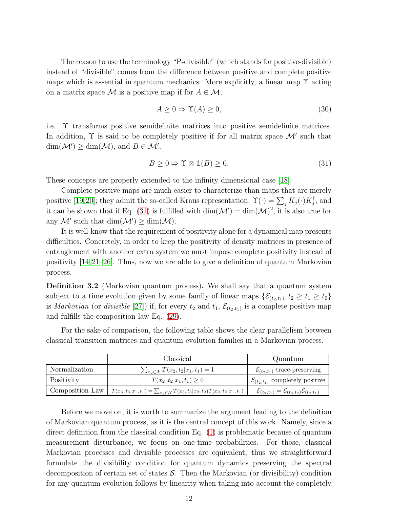The reason to use the terminology "P-divisible" (which stands for positive-divisible) instead of "divisible" comes from the difference between positive and complete positive maps which is essential in quantum mechanics. More explicitly, a linear map  $\Upsilon$  acting on a matrix space M is a positive map if for  $A \in \mathcal{M}$ ,

$$
A \ge 0 \Rightarrow \Upsilon(A) \ge 0,\tag{30}
$$

i.e. Υ transforms positive semidefinite matrices into positive semidefinite matrices. In addition,  $\Upsilon$  is said to be completely positive if for all matrix space  $\mathcal{M}'$  such that  $\dim(\mathcal{M}') \ge \dim(\mathcal{M}), \text{ and } B \in \mathcal{M}',$ 

<span id="page-11-0"></span>
$$
B \ge 0 \Rightarrow \Upsilon \otimes \mathbb{1}(B) \ge 0. \tag{31}
$$

These concepts are properly extended to the infinity dimensional case [\[18\]](#page-45-8).

Complete positive maps are much easier to characterize than maps that are merely positive [\[19,](#page-45-9)[20\]](#page-45-10); they admit the so-called Kraus representation,  $\Upsilon(\cdot) = \sum_j K_j(\cdot) K_j^{\dagger}$ , and it can be shown that if Eq. [\(31\)](#page-11-0) is fulfilled with  $\dim(\mathcal{M}') = \dim(\mathcal{M})^2$ , it is also true for any  $\mathcal{M}'$  such that  $\dim(\mathcal{M}') \geq \dim(\mathcal{M})$ .

It is well-know that the requirement of positivity alone for a dynamical map presents difficulties. Concretely, in order to keep the positivity of density matrices in presence of entanglement with another extra system we must impose complete positivity instead of positivity [\[14,](#page-45-11)[21–](#page-45-12)[26\]](#page-45-13). Thus, now we are able to give a definition of quantum Markovian process.

<span id="page-11-1"></span>Definition 3.2 (Markovian quantum process). We shall say that a quantum system subject to a time evolution given by some family of linear maps  $\{\mathcal{E}_{(t_2,t_1)}, t_2 \ge t_1 \ge t_0\}$ is *Markovian* (or *divisible* [\[27\]](#page-45-14)) if, for every  $t_2$  and  $t_1$ ,  $\mathcal{E}_{(t_2,t_1)}$  is a complete positive map and fulfills the composition law Eq. [\(29\)](#page-10-1).

For the sake of comparison, the following table shows the clear parallelism between classical transition matrices and quantum evolution families in a Markovian process.

|                 | Classical                                                                                     | Quantum                                                                     |
|-----------------|-----------------------------------------------------------------------------------------------|-----------------------------------------------------------------------------|
| Normalization   | $\sum_{x_2 \in \mathcal{X}} T(x_2, t_2   x_1, t_1) = 1$                                       | $\mathcal{E}_{(t_2,t_1)}$ trace-preserving                                  |
| Positivity      | $T(x_2,t_2 x_1,t_1)\geq 0$                                                                    | $\mathcal{E}_{(t_2,t_1)}$ completely positive                               |
| Composition Law | $T(x_3, t_3 x_1, t_1) = \sum_{x_2 \in \mathcal{X}} T(x_3, t_3 x_2, t_2) T(x_2, t_2 x_1, t_1)$ | $\mathcal{E}_{(t_3,t_1)} = \mathcal{E}_{(t_3,t_2)} \mathcal{E}_{(t_2,t_1)}$ |

Before we move on, it is worth to summarize the argument leading to the definition of Markovian quantum process, as it is the central concept of this work. Namely, since a direct definition from the classical condition Eq. [\(1\)](#page-3-2) is problematic because of quantum measurement disturbance, we focus on one-time probabilities. For those, classical Markovian processes and divisible processes are equivalent, thus we straightforward formulate the divisibility condition for quantum dynamics preserving the spectral decomposition of certain set of states  $S$ . Then the Markovian (or divisibility) condition for any quantum evolution follows by linearity when taking into account the completely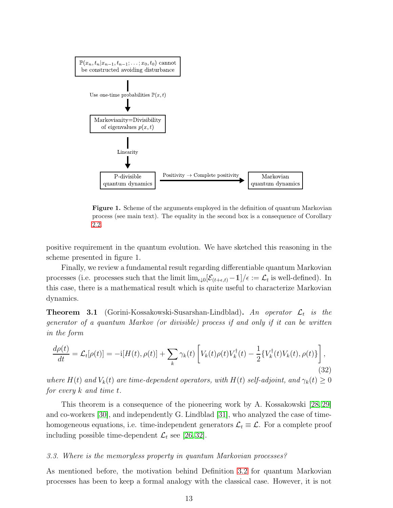

Figure 1. Scheme of the arguments employed in the definition of quantum Markovian process (see main text). The equality in the second box is a consequence of Corollary [2.2.](#page-6-2)

positive requirement in the quantum evolution. We have sketched this reasoning in the scheme presented in figure 1.

Finally, we review a fundamental result regarding differentiable quantum Markovian processes (i.e. processes such that the limit  $\lim_{\epsilon \downarrow 0} [\mathcal{E}_{(t+\epsilon,t)} - 1] / \epsilon := \mathcal{L}_t$  is well-defined). In this case, there is a mathematical result which is quite useful to characterize Markovian dynamics.

<span id="page-12-2"></span>**Theorem 3.1** (Gorini-Kossakowski-Susarshan-Lindblad). An operator  $\mathcal{L}_t$  is the generator of a quantum Markov (or divisible) process if and only if it can be written in the form

<span id="page-12-1"></span>
$$
\frac{d\rho(t)}{dt} = \mathcal{L}_t[\rho(t)] = -i[H(t), \rho(t)] + \sum_k \gamma_k(t) \left[ V_k(t)\rho(t)V_k^{\dagger}(t) - \frac{1}{2} \{ V_k^{\dagger}(t)V_k(t), \rho(t) \} \right],\tag{32}
$$

where  $H(t)$  and  $V_k(t)$  are time-dependent operators, with  $H(t)$  self-adjoint, and  $\gamma_k(t) \geq 0$ for every k and time t.

This theorem is a consequence of the pioneering work by A. Kossakowski [\[28,](#page-45-15) [29\]](#page-45-16) and co-workers [\[30\]](#page-45-17), and independently G. Lindblad [\[31\]](#page-45-18), who analyzed the case of timehomogeneous equations, i.e. time-independent generators  $\mathcal{L}_t \equiv \mathcal{L}$ . For a complete proof including possible time-dependent  $\mathcal{L}_t$  see [\[26,](#page-45-13)32].

# <span id="page-12-0"></span>3.3. Where is the memoryless property in quantum Markovian processes?

As mentioned before, the motivation behind Definition [3.2](#page-11-1) for quantum Markovian processes has been to keep a formal analogy with the classical case. However, it is not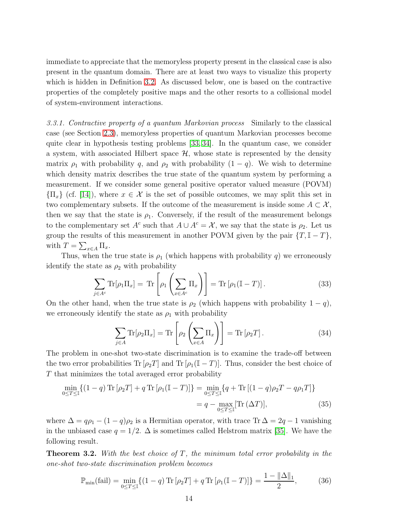immediate to appreciate that the memoryless property present in the classical case is also present in the quantum domain. There are at least two ways to visualize this property which is hidden in Definition [3.2.](#page-11-1) As discussed below, one is based on the contractive properties of the completely positive maps and the other resorts to a collisional model of system-environment interactions.

<span id="page-13-0"></span>3.3.1. Contractive property of a quantum Markovian process Similarly to the classical case (see Section [2.3\)](#page-7-0), memoryless properties of quantum Markovian processes become quite clear in hypothesis testing problems [\[33,](#page-45-20) [34\]](#page-45-21). In the quantum case, we consider a system, with associated Hilbert space  $H$ , whose state is represented by the density matrix  $\rho_1$  with probability q, and  $\rho_2$  with probability  $(1 - q)$ . We wish to determine which density matrix describes the true state of the quantum system by performing a measurement. If we consider some general positive operator valued measure (POVM)  ${\{\Pi_x\}}$  (cf. [\[14\]](#page-45-11)), where  $x \in \mathcal{X}$  is the set of possible outcomes, we may split this set in two complementary subsets. If the outcome of the measurement is inside some  $A \subset \mathcal{X}$ , then we say that the state is  $\rho_1$ . Conversely, if the result of the measurement belongs to the complementary set  $A^c$  such that  $A \cup A^c = \mathcal{X}$ , we say that the state is  $\rho_2$ . Let us group the results of this measurement in another POVM given by the pair  $\{T, \mathbb{I} - T\}$ , with  $T = \sum_{x \in A} \Pi_x$ .

Thus, when the true state is  $\rho_1$  (which happens with probability q) we erroneously identify the state as  $\rho_2$  with probability

$$
\sum_{j \in A^c} \text{Tr}[\rho_1 \Pi_x] = \text{Tr}\left[\rho_1 \left(\sum_{x \in A^c} \Pi_x\right)\right] = \text{Tr}\left[\rho_1 (\mathbb{I} - T)\right].\tag{33}
$$

On the other hand, when the true state is  $\rho_2$  (which happens with probability  $1 - q$ ), we erroneously identify the state as  $\rho_1$  with probability

$$
\sum_{j \in A} \text{Tr}[\rho_2 \Pi_x] = \text{Tr} \left[ \rho_2 \left( \sum_{x \in A} \Pi_x \right) \right] = \text{Tr} [\rho_2 T]. \tag{34}
$$

The problem in one-shot two-state discrimination is to examine the trade-off between the two error probabilities  $\text{Tr} [\rho_2 T]$  and  $\text{Tr} [\rho_1 (\mathbb{I} - T)]$ . Thus, consider the best choice of T that minimizes the total averaged error probability

$$
\min_{0 \le T \le \mathbb{I}} \{ (1 - q) \operatorname{Tr} [\rho_2 T] + q \operatorname{Tr} [\rho_1 (\mathbb{I} - T)] \} = \min_{0 \le T \le \mathbb{I}} \{ q + \operatorname{Tr} [(1 - q) \rho_2 T - q \rho_1 T] \}
$$
\n
$$
= q - \max_{0 \le T \le \mathbb{I}} [\operatorname{Tr} (\Delta T)], \tag{35}
$$

where  $\Delta = q\rho_1 - (1 - q)\rho_2$  is a Hermitian operator, with trace Tr  $\Delta = 2q - 1$  vanishing in the unbiased case  $q = 1/2$ .  $\Delta$  is sometimes called Helstrom matrix [\[35\]](#page-45-22). We have the following result.

<span id="page-13-2"></span>**Theorem 3.2.** With the best choice of  $T$ , the minimum total error probability in the one-shot two-state discrimination problem becomes

<span id="page-13-1"></span>
$$
\mathbb{P}_{\min}(\text{fail}) = \min_{0 \le T \le \mathbb{I}} \{ (1 - q) \text{Tr} [\rho_2 T] + q \text{Tr} [\rho_1 (\mathbb{I} - T)] \} = \frac{1 - ||\Delta||_1}{2},\tag{36}
$$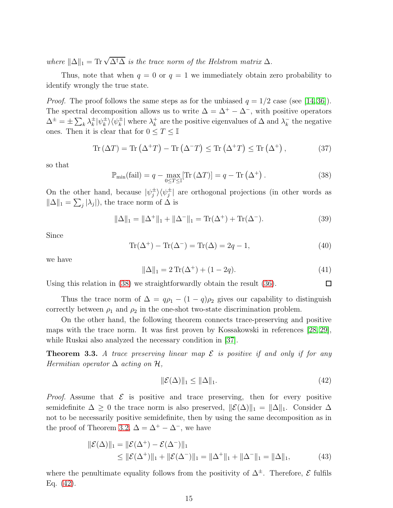where  $\|\Delta\|_1 = \text{Tr} \sqrt{\Delta^{\dagger} \Delta}$  is the trace norm of the Helstrom matrix  $\Delta$ .

Thus, note that when  $q = 0$  or  $q = 1$  we immediately obtain zero probability to identify wrongly the true state.

*Proof.* The proof follows the same steps as for the unbiased  $q = 1/2$  case (see [\[14,](#page-45-11) [36\]](#page-45-23)). The spectral decomposition allows us to write  $\Delta = \Delta^+ - \Delta^-$ , with positive operators  $\Delta^{\pm} = \pm \sum_{k} \lambda_{k}^{\pm} |\psi_{k}^{\pm}\rangle\langle\psi_{k}^{\pm}|$  where  $\lambda_{k}^{+}$  $\lambda_k^+$  are the positive eigenvalues of  $\Delta$  and  $\lambda_k^-$  the negative ones. Then it is clear that for  $0 \leq T \leq \mathbb{I}$ 

$$
\operatorname{Tr} (\Delta T) = \operatorname{Tr} (\Delta^+ T) - \operatorname{Tr} (\Delta^- T) \le \operatorname{Tr} (\Delta^+ T) \le \operatorname{Tr} (\Delta^+), \tag{37}
$$

so that

<span id="page-14-0"></span>
$$
\mathbb{P}_{\min}(\text{fail}) = q - \max_{0 \le T \le \mathbb{I}} [\text{Tr}\left(\Delta T\right)] = q - \text{Tr}\left(\Delta^+\right). \tag{38}
$$

On the other hand, because  $|\psi_j^{\pm}\rangle\langle\psi_j^{\pm}|$  are orthogonal projections (in other words as  $\|\Delta\|_1 = \sum_j |\lambda_j|$ , the trace norm of  $\Delta$  is

$$
\|\Delta\|_1 = \|\Delta^+\|_1 + \|\Delta^-\|_1 = \text{Tr}(\Delta^+) + \text{Tr}(\Delta^-). \tag{39}
$$

Since

$$
\operatorname{Tr}(\Delta^+) - \operatorname{Tr}(\Delta^-) = \operatorname{Tr}(\Delta) = 2q - 1,\tag{40}
$$

we have

$$
\|\Delta\|_1 = 2\operatorname{Tr}(\Delta^+) + (1 - 2q). \tag{41}
$$

 $\Box$ 

Using this relation in [\(38\)](#page-14-0) we straightforwardly obtain the result [\(36\)](#page-13-1).

Thus the trace norm of  $\Delta = q\rho_1 - (1 - q)\rho_2$  gives our capability to distinguish correctly between  $\rho_1$  and  $\rho_2$  in the one-shot two-state discrimination problem.

On the other hand, the following theorem connects trace-preserving and positive maps with the trace norm. It was first proven by Kossakowski in references [\[28,](#page-45-15) [29\]](#page-45-16), while Ruskai also analyzed the necessary condition in [\[37\]](#page-45-24).

<span id="page-14-2"></span>**Theorem 3.3.** A trace preserving linear map  $\mathcal E$  is positive if and only if for any Hermitian operator  $\Delta$  acting on  $\mathcal{H}$ .

<span id="page-14-1"></span>
$$
\|\mathcal{E}(\Delta)\|_1 \le \|\Delta\|_1. \tag{42}
$$

*Proof.* Assume that  $\mathcal{E}$  is positive and trace preserving, then for every positive semidefinite  $\Delta \geq 0$  the trace norm is also preserved,  $\|\mathcal{E}(\Delta)\|_1 = \|\Delta\|_1$ . Consider  $\Delta$ not to be necessarily positive semidefinite, then by using the same decomposition as in the proof of Theorem [3.2,](#page-13-2)  $\Delta = \Delta^+ - \Delta^-$ , we have

$$
\|\mathcal{E}(\Delta)\|_{1} = \|\mathcal{E}(\Delta^{+}) - \mathcal{E}(\Delta^{-})\|_{1}
$$
  
\$\leq \|\mathcal{E}(\Delta^{+})\|\_{1} + \|\mathcal{E}(\Delta^{-})\|\_{1} = \|\Delta^{+}\|\_{1} + \|\Delta^{-}\|\_{1} = \|\Delta\|\_{1}, \quad (43)\$

where the penultimate equality follows from the positivity of  $\Delta^{\pm}$ . Therefore,  $\mathcal E$  fulfils Eq. [\(42\)](#page-14-1).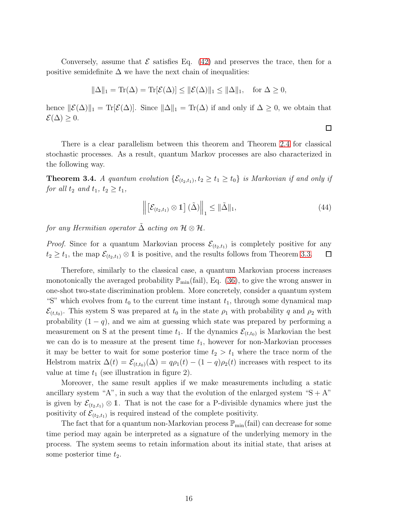Conversely, assume that  $\mathcal E$  satisfies Eq. [\(42\)](#page-14-1) and preserves the trace, then for a positive semidefinite  $\Delta$  we have the next chain of inequalities:

$$
\|\Delta\|_1 = \text{Tr}(\Delta) = \text{Tr}[\mathcal{E}(\Delta)] \le \|\mathcal{E}(\Delta)\|_1 \le \|\Delta\|_1, \text{ for } \Delta \ge 0,
$$

hence  $\|\mathcal{E}(\Delta)\|_1 = \text{Tr}[\mathcal{E}(\Delta)].$  Since  $\|\Delta\|_1 = \text{Tr}(\Delta)$  if and only if  $\Delta \geq 0$ , we obtain that  $\mathcal{E}(\Delta) \geq 0.$ 

There is a clear parallelism between this theorem and Theorem [2.4](#page-7-2) for classical stochastic processes. As a result, quantum Markov processes are also characterized in the following way.

<span id="page-15-0"></span>**Theorem 3.4.** A quantum evolution  $\{\mathcal{E}_{(t_2,t_1)}, t_2 \ge t_1 \ge t_0\}$  is Markovian if and only if for all  $t_2$  and  $t_1$ ,  $t_2 \geq t_1$ ,

$$
\left\| \left[ \mathcal{E}_{(t_2, t_1)} \otimes 1 \right] (\tilde{\Delta}) \right\|_1 \leq \|\tilde{\Delta}\|_1,
$$
\n(44)

 $\Box$ 

for any Hermitian operator  $\tilde{\Delta}$  acting on  $\mathcal{H} \otimes \mathcal{H}$ .

*Proof.* Since for a quantum Markovian process  $\mathcal{E}_{(t_2,t_1)}$  is completely positive for any  $t_2 \geq t_1$ , the map  $\mathcal{E}_{(t_2,t_1)} \otimes \mathbb{1}$  is positive, and the results follows from Theorem [3.3.](#page-14-2)  $\Box$ 

Therefore, similarly to the classical case, a quantum Markovian process increases monotonically the averaged probability  $\mathbb{P}_{min}(fail)$ , Eq. [\(36\)](#page-13-1), to give the wrong answer in one-shot two-state discrimination problem. More concretely, consider a quantum system "S" which evolves from  $t_0$  to the current time instant  $t_1$ , through some dynamical map  $\mathcal{E}_{(t,t_0)}$ . This system S was prepared at  $t_0$  in the state  $\rho_1$  with probability q and  $\rho_2$  with probability  $(1 - q)$ , and we aim at guessing which state was prepared by performing a measurement on S at the present time  $t_1$ . If the dynamics  $\mathcal{E}_{(t,t_0)}$  is Markovian the best we can do is to measure at the present time  $t_1$ , however for non-Markovian processes it may be better to wait for some posterior time  $t_2 > t_1$  where the trace norm of the Helstrom matrix  $\Delta(t) = \mathcal{E}_{(t,t_0)}(\Delta) = q\rho_1(t) - (1-q)\rho_2(t)$  increases with respect to its value at time  $t_1$  (see illustration in figure 2).

Moreover, the same result applies if we make measurements including a static ancillary system "A", in such a way that the evolution of the enlarged system " $S + A$ " is given by  $\mathcal{E}_{(t_2,t_1)} \otimes \mathbb{1}$ . That is not the case for a P-divisible dynamics where just the positivity of  $\mathcal{E}_{(t_2,t_1)}$  is required instead of the complete positivity.

The fact that for a quantum non-Markovian process  $\mathbb{P}_{\min}$  (fail) can decrease for some time period may again be interpreted as a signature of the underlying memory in the process. The system seems to retain information about its initial state, that arises at some posterior time  $t_2$ .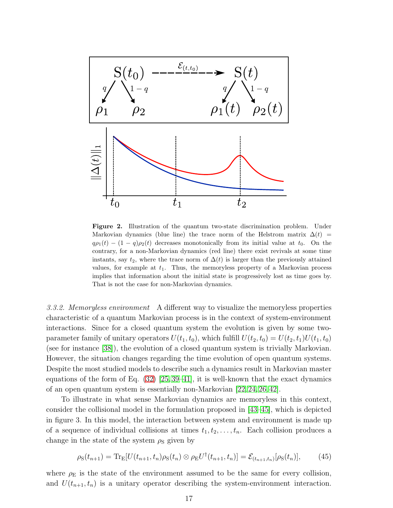

Figure 2. Illustration of the quantum two-state discrimination problem. Under Markovian dynamics (blue line) the trace norm of the Helstrom matrix  $\Delta(t)$  =  $q\rho_1(t) - (1-q)\rho_2(t)$  decreases monotonically from its initial value at  $t_0$ . On the contrary, for a non-Markovian dynamics (red line) there exist revivals at some time instants, say  $t_2$ , where the trace norm of  $\Delta(t)$  is larger than the previously attained values, for example at  $t_1$ . Thus, the memoryless property of a Markovian process implies that information about the initial state is progressively lost as time goes by. That is not the case for non-Markovian dynamics.

<span id="page-16-0"></span>3.3.2. Memoryless environment A different way to visualize the memoryless properties characteristic of a quantum Markovian process is in the context of system-environment interactions. Since for a closed quantum system the evolution is given by some twoparameter family of unitary operators  $U(t_1, t_0)$ , which fulfill  $U(t_2, t_0) = U(t_2, t_1)U(t_1, t_0)$ (see for instance [\[38\]](#page-45-25)), the evolution of a closed quantum system is trivially Markovian. However, the situation changes regarding the time evolution of open quantum systems. Despite the most studied models to describe such a dynamics result in Markovian master equations of the form of Eq.  $(32)$  [\[25,](#page-45-26) [39](#page-45-27)[–41\]](#page-45-28), it is well-known that the exact dynamics of an open quantum system is essentially non-Markovian [\[22,](#page-45-29) [24,](#page-45-30) [26,](#page-45-13) [42\]](#page-45-31).

To illustrate in what sense Markovian dynamics are memoryless in this context, consider the collisional model in the formulation proposed in [\[43–](#page-46-0)[45\]](#page-46-1), which is depicted in figure 3. In this model, the interaction between system and environment is made up of a sequence of individual collisions at times  $t_1, t_2, \ldots, t_n$ . Each collision produces a change in the state of the system  $\rho<sub>S</sub>$  given by

$$
\rho_{\rm S}(t_{n+1}) = \text{Tr}_{\rm E}[U(t_{n+1}, t_n) \rho_{\rm S}(t_n) \otimes \rho_{\rm E} U^{\dagger}(t_{n+1}, t_n)] = \mathcal{E}_{(t_{n+1}, t_n)}[\rho_{\rm S}(t_n)],\tag{45}
$$

where  $\rho_E$  is the state of the environment assumed to be the same for every collision, and  $U(t_{n+1}, t_n)$  is a unitary operator describing the system-environment interaction.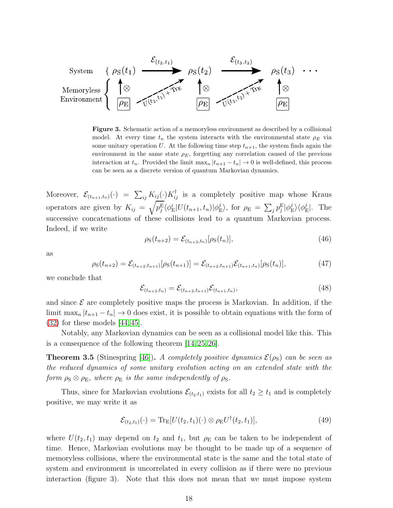

Figure 3. Schematic action of a memoryless environment as described by a collisional model. At every time  $t_n$  the system interacts with the environmental state  $\rho_E$  via some unitary operation U. At the following time step  $t_{n+1}$ , the system finds again the environment in the same state  $\rho_E$ , forgetting any correlation caused of the previous interaction at  $t_n$ . Provided the limit  $\max_n |t_{n+1} - t_n| \to 0$  is well-defined, this process can be seen as a discrete version of quantum Markovian dynamics.

Moreover,  $\mathcal{E}_{(t_{n+1},t_n)}(\cdot) = \sum_{ij} K_{ij}(\cdot) K_{ij}^{\dagger}$  is a completely positive map whose Kraus operators are given by  $K_{ij} = \sqrt{p_j^{\rm E}} \langle \phi_{\rm E}^i | U(t_{n+1}, t_n) | \phi_{\rm E}^j \rangle$  $\langle \hat{p}^j_{\rm E} \rangle$ , for  $\rho_{\rm E} = \sum_j p^{\rm E}_j |\phi^j_{\rm E}$  $\langle \phi^j_{\text{E}} \rangle \langle \phi^j_{\text{E}}$  $_{\rm E}^{\jmath}$ . The successive concatenations of these collisions lead to a quantum Markovian process. Indeed, if we write

$$
\rho_{\rm S}(t_{n+2}) = \mathcal{E}_{(t_{n+2}, t_n)}[\rho_{\rm S}(t_n)],\tag{46}
$$

as

$$
\rho_{\rm S}(t_{n+2}) = \mathcal{E}_{(t_{n+2}, t_{n+1})}[\rho_{\rm S}(t_{n+1})] = \mathcal{E}_{(t_{n+2}, t_{n+1})} \mathcal{E}_{(t_{n+1}, t_n)}[\rho_{\rm S}(t_n)],\tag{47}
$$

we conclude that

$$
\mathcal{E}_{(t_{n+2},t_n)} = \mathcal{E}_{(t_{n+2},t_{n+1})} \mathcal{E}_{(t_{n+1},t_n)},
$$
\n(48)

and since  $\mathcal E$  are completely positive maps the process is Markovian. In addition, if the limit  $\max_n |t_{n+1} - t_n| \to 0$  does exist, it is possible to obtain equations with the form of [\(32\)](#page-12-1) for these models [\[44,](#page-46-2) [45\]](#page-46-1).

Notably, any Markovian dynamics can be seen as a collisional model like this. This is a consequence of the following theorem [\[14,](#page-45-11) [25,](#page-45-26) [26\]](#page-45-13).

**Theorem 3.5** (Stinespring [\[46\]](#page-46-3)). A completely positive dynamics  $\mathcal{E}(\rho_S)$  can be seen as the reduced dynamics of some unitary evolution acting on an extended state with the form  $\rho_{\rm S} \otimes \rho_{\rm E}$ , where  $\rho_{\rm E}$  is the same independently of  $\rho_{\rm S}$ .

Thus, since for Markovian evolutions  $\mathcal{E}_{(t_2,t_1)}$  exists for all  $t_2 \geq t_1$  and is completely positive, we may write it as

$$
\mathcal{E}_{(t_2,t_1)}(\cdot) = \text{Tr}_{\mathcal{E}}[U(t_2,t_1)(\cdot) \otimes \rho_{\mathcal{E}} U^{\dagger}(t_2,t_1)],\tag{49}
$$

where  $U(t_2, t_1)$  may depend on  $t_2$  and  $t_1$ , but  $\rho$ <sub>E</sub> can be taken to be independent of time. Hence, Markovian evolutions may be thought to be made up of a sequence of memoryless collisions, where the environmental state is the same and the total state of system and environment is uncorrelated in every collision as if there were no previous interaction (figure 3). Note that this does not mean that we must impose system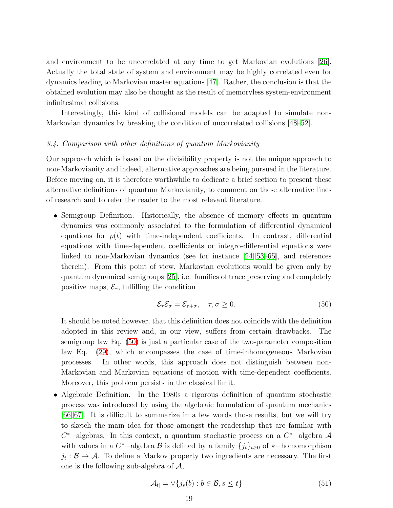and environment to be uncorrelated at any time to get Markovian evolutions [\[26\]](#page-45-13). Actually the total state of system and environment may be highly correlated even for dynamics leading to Markovian master equations [\[47\]](#page-46-4). Rather, the conclusion is that the obtained evolution may also be thought as the result of memoryless system-environment infinitesimal collisions.

Interestingly, this kind of collisional models can be adapted to simulate non-Markovian dynamics by breaking the condition of uncorrelated collisions [\[48](#page-46-5)[–52\]](#page-46-6).

# <span id="page-18-0"></span>3.4. Comparison with other definitions of quantum Markovianity

Our approach which is based on the divisibility property is not the unique approach to non-Markovianity and indeed, alternative approaches are being pursued in the literature. Before moving on, it is therefore worthwhile to dedicate a brief section to present these alternative definitions of quantum Markovianity, to comment on these alternative lines of research and to refer the reader to the most relevant literature.

• Semigroup Definition. Historically, the absence of memory effects in quantum dynamics was commonly associated to the formulation of differential dynamical equations for  $\rho(t)$  with time-independent coefficients. In contrast, differential equations with time-dependent coefficients or integro-differential equations were linked to non-Markovian dynamics (see for instance [\[24,](#page-45-30) [53](#page-46-7)[–65\]](#page-46-8), and references therein). From this point of view, Markovian evolutions would be given only by quantum dynamical semigroups [\[25\]](#page-45-26), i.e. families of trace preserving and completely positive maps,  $\mathcal{E}_{\tau}$ , fulfilling the condition

<span id="page-18-1"></span>
$$
\mathcal{E}_{\tau}\mathcal{E}_{\sigma} = \mathcal{E}_{\tau+\sigma}, \quad \tau, \sigma \ge 0. \tag{50}
$$

It should be noted however, that this definition does not coincide with the definition adopted in this review and, in our view, suffers from certain drawbacks. The semigroup law Eq. [\(50\)](#page-18-1) is just a particular case of the two-parameter composition law Eq. [\(29\)](#page-10-1), which encompasses the case of time-inhomogeneous Markovian processes. In other words, this approach does not distinguish between non-Markovian and Markovian equations of motion with time-dependent coefficients. Moreover, this problem persists in the classical limit.

• Algebraic Definition. In the 1980s a rigorous definition of quantum stochastic process was introduced by using the algebraic formulation of quantum mechanics [\[66,](#page-46-9) [67\]](#page-46-10). It is difficult to summarize in a few words those results, but we will try to sketch the main idea for those amongst the readership that are familiar with  $C^*$ -algebras. In this context, a quantum stochastic process on a  $C^*$ -algebra  $\mathcal A$ with values in a  $C^*$ -algebra  $\mathcal B$  is defined by a family  $\{j_t\}_{t\geq 0}$  of \*-homomorphism  $j_t : \mathcal{B} \to \mathcal{A}$ . To define a Markov property two ingredients are necessary. The first one is the following sub-algebra of  $A$ ,

$$
\mathcal{A}_{t]} = \vee \{j_s(b) : b \in \mathcal{B}, s \le t\}
$$
\n<sup>(51)</sup>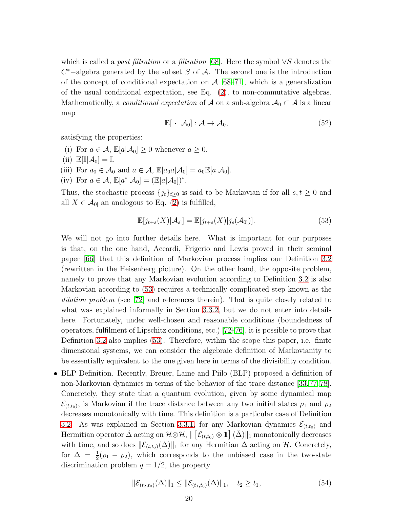which is called a *past filtration* or a *filtration* [\[68\]](#page-46-11). Here the symbol ∨S denotes the  $C^*$ –algebra generated by the subset S of A. The second one is the introduction of the concept of conditional expectation on  $\mathcal{A}$  [\[68–](#page-46-11)[71\]](#page-46-12), which is a generalization of the usual conditional expectation, see Eq. [\(2\)](#page-3-3), to non-commutative algebras. Mathematically, a *conditional expectation* of A on a sub-algebra  $A_0 \subset A$  is a linear map

$$
\mathbb{E}[\cdot | \mathcal{A}_0] : \mathcal{A} \to \mathcal{A}_0,\tag{52}
$$

satisfying the properties:

- (i) For  $a \in \mathcal{A}$ ,  $\mathbb{E}[a|\mathcal{A}_0] \geq 0$  whenever  $a \geq 0$ .
- (ii)  $\mathbb{E}[\mathbb{I}|\mathcal{A}_0] = \mathbb{I}.$
- (iii) For  $a_0 \in \mathcal{A}_0$  and  $a \in \mathcal{A}$ ,  $\mathbb{E}[a_0 a | \mathcal{A}_0] = a_0 \mathbb{E}[a | \mathcal{A}_0]$ .
- (iv) For  $a \in \mathcal{A}$ ,  $\mathbb{E}[a^*|\mathcal{A}_0] = (\mathbb{E}[a|\mathcal{A}_0])^*$ .

Thus, the stochastic process  $\{j_t\}_{t\geq 0}$  is said to be Markovian if for all  $s, t \geq 0$  and all  $X \in \mathcal{A}_{0}$  an analogous to Eq. [\(2\)](#page-3-3) is fulfilled,

<span id="page-19-0"></span>
$$
\mathbb{E}[j_{t+s}(X)|\mathcal{A}_s] = \mathbb{E}[j_{t+s}(X)|j_s(\mathcal{A}_0)].
$$
\n(53)

We will not go into further details here. What is important for our purposes is that, on the one hand, Accardi, Frigerio and Lewis proved in their seminal paper [\[66\]](#page-46-9) that this definition of Markovian process implies our Definition [3.2](#page-11-1) (rewritten in the Heisenberg picture). On the other hand, the opposite problem, namely to prove that any Markovian evolution according to Definition [3.2](#page-11-1) is also Markovian according to [\(53\)](#page-19-0) requires a technically complicated step known as the dilation problem (see [\[72\]](#page-46-13) and references therein). That is quite closely related to what was explained informally in Section [3.3.2,](#page-16-0) but we do not enter into details here. Fortunately, under well-chosen and reasonable conditions (boundedness of operators, fulfilment of Lipschitz conditions, etc.) [\[72–](#page-46-13)[76\]](#page-46-14), it is possible to prove that Definition [3.2](#page-11-1) also implies [\(53\)](#page-19-0). Therefore, within the scope this paper, i.e. finite dimensional systems, we can consider the algebraic definition of Markovianity to be essentially equivalent to the one given here in terms of the divisibility condition.

• BLP Definition. Recently, Breuer, Laine and Piilo (BLP) proposed a definition of non-Markovian dynamics in terms of the behavior of the trace distance [\[33,](#page-45-20)[77,](#page-46-15)[78\]](#page-46-16). Concretely, they state that a quantum evolution, given by some dynamical map  $\mathcal{E}_{(t,t_0)}$ , is Markovian if the trace distance between any two initial states  $\rho_1$  and  $\rho_2$ decreases monotonically with time. This definition is a particular case of Definition [3.2.](#page-11-1) As was explained in Section [3.3.1,](#page-13-0) for any Markovian dynamics  $\mathcal{E}_{(t,t_0)}$  and Hermitian operator  $\tilde{\Delta}$  acting on  $\mathcal{H} \otimes \mathcal{H}$ ,  $\|$   $\big[\mathcal{E}_{(t,t_0)} \otimes \mathbb{1}\big]$   $(\tilde{\Delta}) \|_1$  monotonically decreases with time, and so does  $\|\mathcal{E}_{(t,t_0)}(\Delta)\|_1$  for any Hermitian  $\Delta$  acting on H. Concretely, for  $\Delta = \frac{1}{2}(\rho_1 - \rho_2)$ , which corresponds to the unbiased case in the two-state discrimination problem  $q = 1/2$ , the property

$$
\|\mathcal{E}_{(t_2,t_0)}(\Delta)\|_1 \le \|\mathcal{E}_{(t_1,t_0)}(\Delta)\|_1, \quad t_2 \ge t_1,
$$
\n(54)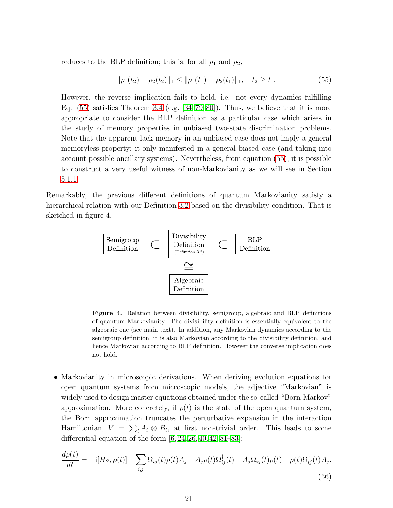reduces to the BLP definition; this is, for all  $\rho_1$  and  $\rho_2$ ,

<span id="page-20-0"></span>
$$
\|\rho_1(t_2) - \rho_2(t_2)\|_1 \le \|\rho_1(t_1) - \rho_2(t_1)\|_1, \quad t_2 \ge t_1. \tag{55}
$$

However, the reverse implication fails to hold, i.e. not every dynamics fulfilling Eq.  $(55)$  satisfies Theorem [3.4](#page-15-0) (e.g.  $[34, 79, 80]$  $[34, 79, 80]$  $[34, 79, 80]$ ). Thus, we believe that it is more appropriate to consider the BLP definition as a particular case which arises in the study of memory properties in unbiased two-state discrimination problems. Note that the apparent lack memory in an unbiased case does not imply a general memoryless property; it only manifested in a general biased case (and taking into account possible ancillary systems). Nevertheless, from equation [\(55\)](#page-20-0), it is possible to construct a very useful witness of non-Markovianity as we will see in Section [5.1.1.](#page-32-2)

Remarkably, the previous different definitions of quantum Markovianity satisfy a hierarchical relation with our Definition [3.2](#page-11-1) based on the divisibility condition. That is sketched in figure 4.



Figure 4. Relation between divisibility, semigroup, algebraic and BLP definitions of quantum Markovianity. The divisibility definition is essentially equivalent to the algebraic one (see main text). In addition, any Markovian dynamics according to the semigroup definition, it is also Markovian according to the divisibility definition, and hence Markovian according to BLP definition. However the converse implication does not hold.

• Markovianity in microscopic derivations. When deriving evolution equations for open quantum systems from microscopic models, the adjective "Markovian" is widely used to design master equations obtained under the so-called "Born-Markov" approximation. More concretely, if  $\rho(t)$  is the state of the open quantum system, the Born approximation truncates the perturbative expansion in the interaction Hamiltonian,  $V = \sum_i A_i \otimes B_i$ , at first non-trivial order. This leads to some differential equation of the form  $[6, 24, 26, 40, 42, 81-83]$  $[6, 24, 26, 40, 42, 81-83]$  $[6, 24, 26, 40, 42, 81-83]$  $[6, 24, 26, 40, 42, 81-83]$  $[6, 24, 26, 40, 42, 81-83]$  $[6, 24, 26, 40, 42, 81-83]$  $[6, 24, 26, 40, 42, 81-83]$ :

<span id="page-20-1"></span>
$$
\frac{d\rho(t)}{dt} = -\mathrm{i}[H_S, \rho(t)] + \sum_{i,j} \Omega_{ij}(t)\rho(t)A_j + A_j\rho(t)\Omega_{ij}^{\dagger}(t) - A_j\Omega_{ij}(t)\rho(t) - \rho(t)\Omega_{ij}^{\dagger}(t)A_j.
$$
\n(56)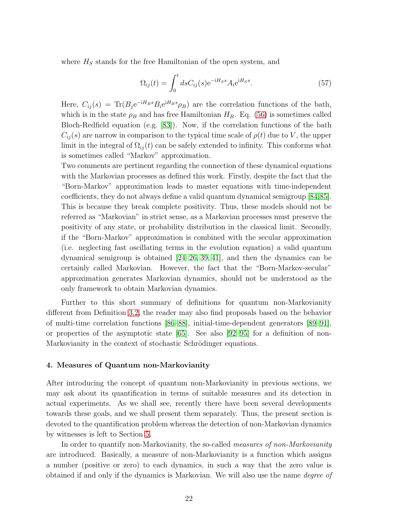where  $H_S$  stands for the free Hamiltonian of the open system, and

$$
\Omega_{ij}(t) = \int_0^t ds C_{ij}(s) e^{-iH_S s} A_i e^{iH_S s}.
$$
\n(57)

Here,  $C_{ij}(s) = Tr(B_j e^{-iH_B s} B_i e^{iH_B s} \rho_B)$  are the correlation functions of the bath, which is in the state  $\rho_B$  and has free Hamiltonian  $H_B$ . Eq. [\(56\)](#page-20-1) is sometimes called Bloch-Redfield equation (e.g. [\[83\]](#page-46-20)). Now, if the correlation functions of the bath  $C_{ij}(s)$  are narrow in comparison to the typical time scale of  $\rho(t)$  due to V, the upper limit in the integral of  $\Omega_{ij}(t)$  can be safely extended to infinity. This conforms what is sometimes called "Markov" approximation.

Two comments are pertinent regarding the connection of these dynamical equations with the Markovian processes as defined this work. Firstly, despite the fact that the "Born-Markov" approximation leads to master equations with time-independent coefficients, they do not always define a valid quantum dynamical semigroup [\[84,](#page-46-21)[85\]](#page-46-22). This is because they break complete positivity. Thus, these models should not be referred as "Markovian" in strict sense, as a Markovian processes must preserve the positivity of any state, or probability distribution in the classical limit. Secondly, if the "Born-Markov" approximation is combined with the secular approximation (i.e. neglecting fast oscillating terms in the evolution equation) a valid quantum dynamical semigroup is obtained [\[24–](#page-45-30)[26,](#page-45-13) [39,](#page-45-27) [41\]](#page-45-28), and then the dynamics can be certainly called Markovian. However, the fact that the "Born-Markov-secular" approximation generates Markovian dynamics, should not be understood as the only framework to obtain Markovian dynamics.

Further to this short summary of definitions for quantum non-Markovianity different from Definition [3.2,](#page-11-1) the reader may also find proposals based on the behavior of multi-time correlation functions [\[86–](#page-46-23)[88\]](#page-46-24), initial-time-dependent generators [\[89](#page-47-0)[–91\]](#page-47-1), or properties of the asymptotic state [\[65\]](#page-46-8). See also [\[92–](#page-47-2)[95\]](#page-47-3) for a definition of non-Markovianity in the context of stochastic Schrödinger equations.

#### <span id="page-21-0"></span>4. Measures of Quantum non-Markovianity

After introducing the concept of quantum non-Markovianity in previous sections, we may ask about its quantification in terms of suitable measures and its detection in actual experiments. As we shall see, recently there have been several developments towards these goals, and we shall present them separately. Thus, the present section is devoted to the quantification problem whereas the detection of non-Markovian dynamics by witnesses is left to Section [5.](#page-32-0)

In order to quantify non-Markovianity, the so-called *measures of non-Markovianity* are introduced. Basically, a measure of non-Markovianity is a function which assigns a number (positive or zero) to each dynamics, in such a way that the zero value is obtained if and only if the dynamics is Markovian. We will also use the name degree of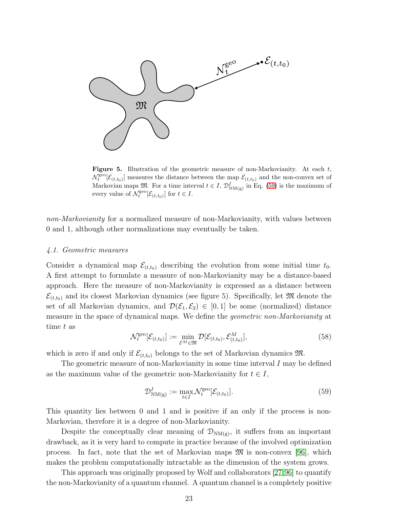

**Figure 5.** Illustration of the geometric measure of non-Markovianity. At each  $t$ ,  $\mathcal{N}_t^{\text{geo}}[\mathcal{E}_{(t,t_0)}]$  measures the distance between the map  $\mathcal{E}_{(t,t_0)}$  and the non-convex set of Markovian maps  $\mathfrak{M}$ . For a time interval  $t \in I$ ,  $\mathcal{D}_{NM(g)}^{I}$  in Eq. [\(59\)](#page-22-1) is the maximum of every value of  $\mathcal{N}_t^{\text{geo}}[\mathcal{E}_{(t,t_0)}]$  for  $t \in I$ .

non-Markovianity for a normalized measure of non-Markovianity, with values between 0 and 1, although other normalizations may eventually be taken.

#### <span id="page-22-0"></span>4.1. Geometric measures

Consider a dynamical map  $\mathcal{E}_{(t,t_0)}$  describing the evolution from some initial time  $t_0$ . A first attempt to formulate a measure of non-Markovianity may be a distance-based approach. Here the measure of non-Markovianity is expressed as a distance between  $\mathcal{E}_{(t,t_0)}$  and its closest Markovian dynamics (see figure 5). Specifically, let M denote the set of all Markovian dynamics, and  $\mathcal{D}(\mathcal{E}_1, \mathcal{E}_2) \in [0, 1]$  be some (normalized) distance measure in the space of dynamical maps. We define the geometric non-Markovianity at time t as

$$
\mathcal{N}_t^{\text{geo}}[\mathcal{E}_{(t,t_0)}] := \min_{\mathcal{E}^M \in \mathfrak{M}} \mathcal{D}[\mathcal{E}_{(t,t_0)}, \mathcal{E}_{(t,t_0)}^M],\tag{58}
$$

which is zero if and only if  $\mathcal{E}_{(t,t_0)}$  belongs to the set of Markovian dynamics  $\mathfrak{M}$ .

The geometric measure of non-Markovianity in some time interval  $I$  may be defined as the maximum value of the geometric non-Markovianity for  $t \in I$ ,

<span id="page-22-1"></span>
$$
\mathcal{D}_{\mathrm{NM}(\mathrm{g})}^{I} := \max_{t \in I} \mathcal{N}_t^{\mathrm{geo}}[\mathcal{E}_{(t,t_0)}].\tag{59}
$$

This quantity lies between 0 and 1 and is positive if an only if the process is non-Markovian, therefore it is a degree of non-Markovianity.

Despite the conceptually clear meaning of  $\mathcal{D}_{NM(g)}$ , it suffers from an important drawback, as it is very hard to compute in practice because of the involved optimization process. In fact, note that the set of Markovian maps  $\mathfrak{M}$  is non-convex [\[96\]](#page-47-4), which makes the problem computationally intractable as the dimension of the system grows.

This approach was originally proposed by Wolf and collaborators [\[27,](#page-45-14)[96\]](#page-47-4) to quantify the non-Markovianity of a quantum channel. A quantum channel is a completely positive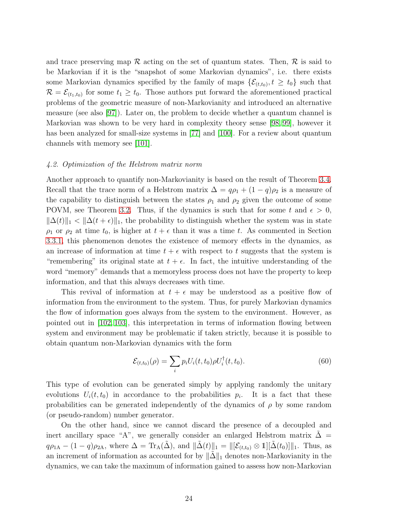and trace preserving map  $\mathcal R$  acting on the set of quantum states. Then,  $\mathcal R$  is said to be Markovian if it is the "snapshot of some Markovian dynamics", i.e. there exists some Markovian dynamics specified by the family of maps  $\{\mathcal{E}_{(t,t_0)}, t \geq t_0\}$  such that  $\mathcal{R} = \mathcal{E}_{(t_1,t_0)}$  for some  $t_1 \geq t_0$ . Those authors put forward the aforementioned practical problems of the geometric measure of non-Markovianity and introduced an alternative measure (see also [\[97\]](#page-47-5)). Later on, the problem to decide whether a quantum channel is Markovian was shown to be very hard in complexity theory sense [\[98,](#page-47-6) [99\]](#page-47-7), however it has been analyzed for small-size systems in [\[77\]](#page-46-15) and [\[100\]](#page-47-8). For a review about quantum channels with memory see [\[101\]](#page-47-9).

#### <span id="page-23-0"></span>4.2. Optimization of the Helstrom matrix norm

Another approach to quantify non-Markovianity is based on the result of Theorem [3.4.](#page-15-0) Recall that the trace norm of a Helstrom matrix  $\Delta = q\rho_1 + (1 - q)\rho_2$  is a measure of the capability to distinguish between the states  $\rho_1$  and  $\rho_2$  given the outcome of some POVM, see Theorem [3.2.](#page-13-2) Thus, if the dynamics is such that for some t and  $\epsilon > 0$ ,  $\|\Delta(t)\|_1 < \|\Delta(t+\epsilon)\|_1$ , the probability to distinguish whether the system was in state  $\rho_1$  or  $\rho_2$  at time  $t_0$ , is higher at  $t + \epsilon$  than it was a time t. As commented in Section [3.3.1,](#page-13-0) this phenomenon denotes the existence of memory effects in the dynamics, as an increase of information at time  $t + \epsilon$  with respect to t suggests that the system is "remembering" its original state at  $t + \epsilon$ . In fact, the intuitive understanding of the word "memory" demands that a memoryless process does not have the property to keep information, and that this always decreases with time.

This revival of information at  $t + \epsilon$  may be understood as a positive flow of information from the environment to the system. Thus, for purely Markovian dynamics the flow of information goes always from the system to the environment. However, as pointed out in [\[102,](#page-47-10) [103\]](#page-47-11), this interpretation in terms of information flowing between system and environment may be problematic if taken strictly, because it is possible to obtain quantum non-Markovian dynamics with the form

$$
\mathcal{E}_{(t,t_0)}(\rho) = \sum_{i} p_i U_i(t,t_0) \rho U_i^{\dagger}(t,t_0). \tag{60}
$$

This type of evolution can be generated simply by applying randomly the unitary evolutions  $U_i(t,t_0)$  in accordance to the probabilities  $p_i$ . It is a fact that these probabilities can be generated independently of the dynamics of  $\rho$  by some random (or pseudo-random) number generator.

On the other hand, since we cannot discard the presence of a decoupled and inert ancillary space "A", we generally consider an enlarged Helstrom matrix  $\Delta =$  $q\rho_{1A} - (1-q)\rho_{2A}$ , where  $\Delta = \text{Tr}_{A}(\tilde{\Delta})$ , and  $\|\tilde{\Delta}(t)\|_{1} = \|[\mathcal{E}_{(t,t_0)} \otimes 1][\tilde{\Delta}(t_0)]\|_{1}$ . Thus, as an increment of information as accounted for by  $\|\Delta\|_1$  denotes non-Markovianity in the dynamics, we can take the maximum of information gained to assess how non-Markovian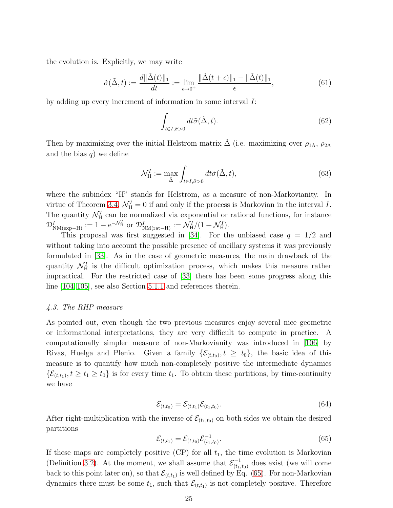the evolution is. Explicitly, we may write

<span id="page-24-3"></span>
$$
\tilde{\sigma}(\tilde{\Delta}, t) := \frac{d\|\tilde{\Delta}(t)\|_1}{dt} := \lim_{\epsilon \to 0^+} \frac{\|\tilde{\Delta}(t + \epsilon)\|_1 - \|\tilde{\Delta}(t)\|_1}{\epsilon},\tag{61}
$$

by adding up every increment of information in some interval I:

<span id="page-24-4"></span>
$$
\int_{t \in I, \tilde{\sigma} > 0} dt \tilde{\sigma}(\tilde{\Delta}, t).
$$
\n(62)

Then by maximizing over the initial Helstrom matrix  $\tilde{\Delta}$  (i.e. maximizing over  $\rho_{1A}$ ,  $\rho_{2A}$ and the bias  $q$ ) we define

<span id="page-24-2"></span>
$$
\mathcal{N}_{\mathrm{H}}^{I} := \max_{\tilde{\Delta}} \int_{t \in I, \tilde{\sigma} > 0} dt \tilde{\sigma}(\tilde{\Delta}, t), \tag{63}
$$

where the subindex "H" stands for Helstrom, as a measure of non-Markovianity. In virtue of Theorem [3.4,](#page-15-0)  $\mathcal{N}_{\rm H}^I = 0$  if and only if the process is Markovian in the interval I. The quantity  $\mathcal{N}_{\text{H}}^{I}$  can be normalized via exponential or rational functions, for instance  $\mathcal{D}_{NM(\exp-H)}^I := 1 - e^{-\mathcal{N}_H^I}$  or  $\mathcal{D}_{NM(\text{rat}-H)}^I := \mathcal{N}_H^I/(1 + \mathcal{N}_H^I).$ 

This proposal was first suggested in [\[34\]](#page-45-21). For the unbiased case  $q = 1/2$  and without taking into account the possible presence of ancillary systems it was previously formulated in [\[33\]](#page-45-20). As in the case of geometric measures, the main drawback of the quantity  $\mathcal{N}_{\rm H}^I$  is the difficult optimization process, which makes this measure rather impractical. For the restricted case of [\[33\]](#page-45-20) there has been some progress along this line [\[104,](#page-47-12) [105\]](#page-47-13), see also Section [5.1.1](#page-32-2) and references therein.

# <span id="page-24-0"></span>4.3. The RHP measure

As pointed out, even though the two previous measures enjoy several nice geometric or informational interpretations, they are very difficult to compute in practice. A computationally simpler measure of non-Markovianity was introduced in [\[106\]](#page-47-14) by Rivas, Huelga and Plenio. Given a family  $\{\mathcal{E}_{(t,t_0)}, t \geq t_0\}$ , the basic idea of this measure is to quantify how much non-completely positive the intermediate dynamics  $\{\mathcal{E}_{(t,t_1)}, t \geq t_1 \geq t_0\}$  is for every time  $t_1$ . To obtain these partitions, by time-continuity we have

$$
\mathcal{E}_{(t,t_0)} = \mathcal{E}_{(t,t_1)} \mathcal{E}_{(t_1,t_0)}.
$$
\n
$$
(64)
$$

After right-multiplication with the inverse of  $\mathcal{E}_{(t_1,t_0)}$  on both sides we obtain the desired partitions

<span id="page-24-1"></span>
$$
\mathcal{E}_{(t,t_1)} = \mathcal{E}_{(t,t_0)} \mathcal{E}_{(t_1,t_0)}^{-1}.
$$
\n(65)

If these maps are completely positive  $(CP)$  for all  $t_1$ , the time evolution is Markovian (Definition [3.2\)](#page-11-1). At the moment, we shall assume that  $\mathcal{E}_{(t_1,t_0)}^{-1}$  does exist (we will come back to this point later on), so that  $\mathcal{E}_{(t,t_1)}$  is well defined by Eq. [\(65\)](#page-24-1). For non-Markovian dynamics there must be some  $t_1$ , such that  $\mathcal{E}_{(t,t_1)}$  is not completely positive. Therefore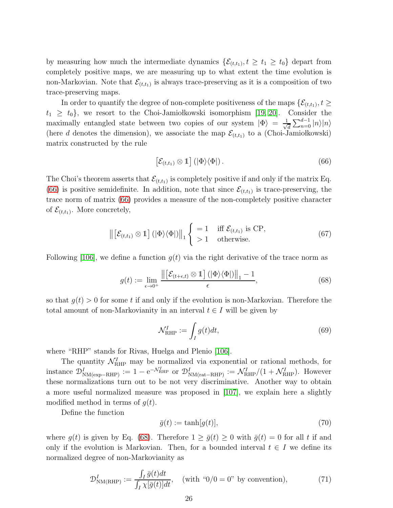by measuring how much the intermediate dynamics  $\{\mathcal{E}_{(t,t_1)}, t \geq t_1 \geq t_0\}$  depart from completely positive maps, we are measuring up to what extent the time evolution is non-Markovian. Note that  $\mathcal{E}_{(t,t_1)}$  is always trace-preserving as it is a composition of two trace-preserving maps.

In order to quantify the degree of non-complete positiveness of the maps  $\{\mathcal{E}_{(t,t_1)}, t \geq 0\}$  $t_1 \geq t_0$ , we resort to the Choi-Jamiołkowski isomorphism [\[19,](#page-45-9) [20\]](#page-45-10). Consider the maximally entangled state between two copies of our system  $|\Phi\rangle = \frac{1}{\sqrt{2}}$  $\frac{1}{d}\sum_{n=0}^{d-1}|n\rangle|n\rangle$ (here d denotes the dimension), we associate the map  $\mathcal{E}_{(t,t_1)}$  to a (Choi-Jamiołkowski) matrix constructed by the rule

<span id="page-25-0"></span>
$$
\left[\mathcal{E}_{(t,t_1)}\otimes\mathbb{1}\right] \left(|\Phi\rangle\langle\Phi|\right). \tag{66}
$$

The Choi's theorem asserts that  $\mathcal{E}_{(t,t_1)}$  is completely positive if and only if the matrix Eq. [\(66\)](#page-25-0) is positive semidefinite. In addition, note that since  $\mathcal{E}_{(t,t_1)}$  is trace-preserving, the trace norm of matrix [\(66\)](#page-25-0) provides a measure of the non-completely positive character of  $\mathcal{E}_{(t,t_1)}$ . More concretely,

$$
\left\| \left[ \mathcal{E}_{(t,t_1)} \otimes \mathbb{1} \right] (|\Phi\rangle \langle \Phi|) \right\|_1 \begin{cases} = 1 & \text{iff } \mathcal{E}_{(t,t_1)} \text{ is CP,} \\ > 1 & \text{otherwise.} \end{cases}
$$
(67)

Following [\[106\]](#page-47-14), we define a function  $g(t)$  via the right derivative of the trace norm as

<span id="page-25-1"></span>
$$
g(t) := \lim_{\epsilon \to 0^+} \frac{\left\| \left[ \mathcal{E}_{(t+\epsilon,t)} \otimes \mathbb{1} \right] (|\Phi\rangle \langle \Phi|) \right\|_1 - 1}{\epsilon},\tag{68}
$$

so that  $q(t) > 0$  for some t if and only if the evolution is non-Markovian. Therefore the total amount of non-Markovianity in an interval  $t \in I$  will be given by

<span id="page-25-3"></span>
$$
\mathcal{N}_{\text{RHP}}^I := \int_I g(t)dt,\tag{69}
$$

where "RHP" stands for Rivas, Huelga and Plenio [\[106\]](#page-47-14).

The quantity  $\mathcal{N}_{\text{RHP}}^I$  may be normalized via exponential or rational methods, for instance  $\mathcal{D}_{NM(\exp-RHP)}^I := 1 - e^{-\mathcal{N}_{RHP}^I}$  or  $\mathcal{D}_{NM(\text{rat-RHP})}^I := \mathcal{N}_{RHP}^I/(1 + \mathcal{N}_{RHP}^I)$ . However these normalizations turn out to be not very discriminative. Another way to obtain a more useful normalized measure was proposed in [\[107\]](#page-47-15), we explain here a slightly modified method in terms of  $q(t)$ .

Define the function

$$
\bar{g}(t) := \tanh[g(t)],\tag{70}
$$

where  $g(t)$  is given by Eq. [\(68\)](#page-25-1). Therefore  $1 \ge \bar{g}(t) \ge 0$  with  $\bar{g}(t) = 0$  for all t if and only if the evolution is Markovian. Then, for a bounded interval  $t \in I$  we define its normalized degree of non-Markovianity as

<span id="page-25-2"></span>
$$
\mathcal{D}_{NM(RHP)}^I := \frac{\int_I \bar{g}(t)dt}{\int_I \chi[\bar{g}(t)]dt}, \quad \text{(with } \text{``0/0 = 0'' by convention)}, \tag{71}
$$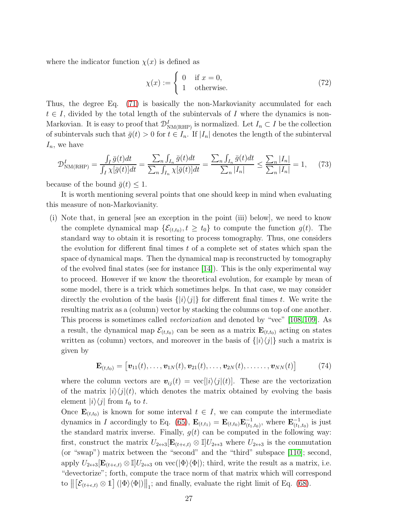where the indicator function  $\chi(x)$  is defined as

$$
\chi(x) := \begin{cases} 0 & \text{if } x = 0, \\ 1 & \text{otherwise.} \end{cases}
$$
 (72)

Thus, the degree Eq. [\(71\)](#page-25-2) is basically the non-Markovianity accumulated for each  $t \in I$ , divided by the total length of the subintervals of I where the dynamics is non-Markovian. It is easy to proof that  $\mathcal{D}_{NM(RHP)}^I$  is normalized. Let  $I_n \subset I$  be the collection of subintervals such that  $\bar{g}(t) > 0$  for  $t \in I_n$ . If  $|I_n|$  denotes the length of the subinterval  $I_n$ , we have

$$
\mathcal{D}_{\text{NM(RHP)}}^I = \frac{\int_I \bar{g}(t)dt}{\int_I \chi[\bar{g}(t)]dt} = \frac{\sum_n \int_{I_n} \bar{g}(t)dt}{\sum_n \int_{I_n} \chi[\bar{g}(t)]dt} = \frac{\sum_n \int_{I_n} \bar{g}(t)dt}{\sum_n |I_n|} \le \frac{\sum_n |I_n|}{\sum_n |I_n|} = 1,\tag{73}
$$

because of the bound  $\bar{q}(t) \leq 1$ .

It is worth mentioning several points that one should keep in mind when evaluating this measure of non-Markovianity.

(i) Note that, in general [see an exception in the point (iii) below], we need to know the complete dynamical map  $\{\mathcal{E}_{(t,t_0)}, t \geq t_0\}$  to compute the function  $g(t)$ . The standard way to obtain it is resorting to process tomography. Thus, one considers the evolution for different final times  $t$  of a complete set of states which span the space of dynamical maps. Then the dynamical map is reconstructed by tomography of the evolved final states (see for instance  $[14]$ ). This is the only experimental way to proceed. However if we know the theoretical evolution, for example by mean of some model, there is a trick which sometimes helps. In that case, we may consider directly the evolution of the basis  $\{|i\rangle\langle j|\}$  for different final times t. We write the resulting matrix as a (column) vector by stacking the columns on top of one another. This process is sometimes called *vectorization* and denoted by "vec" [\[108,](#page-47-16)[109\]](#page-47-17). As a result, the dynamical map  $\mathcal{E}_{(t,t_0)}$  can be seen as a matrix  $\mathbf{E}_{(t,t_0)}$  acting on states written as (column) vectors, and moreover in the basis of  $\{|i\rangle\langle j|\}$  such a matrix is given by

$$
\mathbf{E}_{(t,t_0)} = [\mathbf{v}_{11}(t), \dots, \mathbf{v}_{1N}(t), \mathbf{v}_{21}(t), \dots, \mathbf{v}_{2N}(t), \dots, \dots, \mathbf{v}_{NN}(t)] \qquad (74)
$$

where the column vectors are  $\mathbf{v}_{ij}(t) = \text{vec}[i]\langle j|(t)$ . These are the vectorization of the matrix  $|i\rangle\langle j|(t)$ , which denotes the matrix obtained by evolving the basis element  $|i\rangle\langle j|$  from  $t_0$  to  $t$ .

Once  $\mathbf{E}_{(t,t_0)}$  is known for some interval  $t \in I$ , we can compute the intermediate dynamics in I accordingly to Eq. [\(65\)](#page-24-1),  $\mathbf{E}_{(t,t_1)} = \mathbf{E}_{(t,t_0)} \mathbf{E}_{(t_1,t_0)}^{-1}$ , where  $\mathbf{E}_{(t_1,t_0)}^{-1}$  is just the standard matrix inverse. Finally,  $g(t)$  can be computed in the following way: first, construct the matrix  $U_{2\leftrightarrow 3}[\mathbf{E}_{(t+\epsilon,t)}\otimes\mathbb{I}]U_{2\leftrightarrow 3}$  where  $U_{2\leftrightarrow 3}$  is the commutation (or "swap") matrix between the "second" and the "third" subspace [\[110\]](#page-47-18); second, apply  $U_{2\leftrightarrow 3}[\mathbf{E}_{(t+\epsilon,t)}\otimes\mathbb{I}]U_{2\leftrightarrow 3}$  on vec $(|\Phi\rangle\langle\Phi|)$ ; third, write the result as a matrix, i.e. "devectorize"; forth, compute the trace norm of that matrix which will correspond to  $\left\|\left[\mathcal{E}_{(t+\epsilon,t)}\otimes\mathbb{1}\right](\left|\Phi\right\rangle\left\langle\Phi\right|\right)\right\|_{1}$ ; and finally, evaluate the right limit of Eq. [\(68\)](#page-25-1).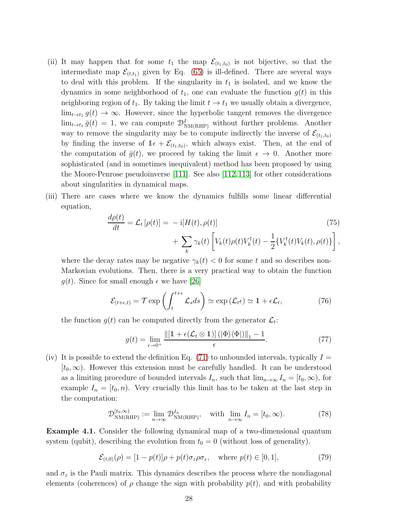- (ii) It may happen that for some  $t_1$  the map  $\mathcal{E}_{(t_1,t_0)}$  is not bijective, so that the intermediate map  $\mathcal{E}_{(t,t_1)}$  given by Eq. [\(65\)](#page-24-1) is ill-defined. There are several ways to deal with this problem. If the singularity in  $t_1$  is isolated, and we know the dynamics in some neighborhood of  $t_1$ , one can evaluate the function  $g(t)$  in this neighboring region of  $t_1$ . By taking the limit  $t \to t_1$  we usually obtain a divergence,  $\lim_{t \to t_1} g(t) \to \infty$ . However, since the hyperbolic tangent removes the divergence  $\lim_{t \to t_1} \bar{g}(t) = 1$ , we can compute  $\mathcal{D}_{NM(RHP)}^I$  without further problems. Another way to remove the singularity may be to compute indirectly the inverse of  $\mathcal{E}_{(t_1,t_0)}$ by finding the inverse of  $1\epsilon + \mathcal{E}_{(t_1,t_0)}$ , which always exist. Then, at the end of the computation of  $\bar{g}(t)$ , we proceed by taking the limit  $\epsilon \to 0$ . Another more sophisticated (and in sometimes inequivalent) method has been proposed by using the Moore-Penrose pseudoinverse [\[111\]](#page-47-19). See also [\[112,](#page-47-20)[113\]](#page-47-21) for other considerations about singularities in dynamical maps.
- (iii) There are cases where we know the dynamics fulfills some linear differential equation,

$$
\frac{d\rho(t)}{dt} = \mathcal{L}_t\left[\rho(t)\right] = -\mathrm{i}[H(t), \rho(t)]\n+ \sum_k \gamma_k(t) \left[V_k(t)\rho(t)V_k^\dagger(t) - \frac{1}{2}\{V_k^\dagger(t)V_k(t), \rho(t)\}\right],
$$
\n(75)

where the decay rates may be negative  $\gamma_k(t) < 0$  for some t and so describes non-Markovian evolutions. Then, there is a very practical way to obtain the function  $q(t)$ . Since for small enough  $\epsilon$  we have [\[26\]](#page-45-13)

$$
\mathcal{E}_{(t+\epsilon,t)} = \mathcal{T} \exp\left(\int_t^{t+\epsilon} \mathcal{L}_s ds\right) \simeq \exp\left(\mathcal{L}_t \epsilon\right) \simeq 1 + \epsilon \mathcal{L}_t,\tag{76}
$$

the function  $g(t)$  can be computed directly from the generator  $\mathcal{L}_t$ :

<span id="page-27-0"></span>
$$
g(t) = \lim_{\epsilon \to 0^+} \frac{\left\| \left[ 1 + \epsilon(\mathcal{L}_t \otimes 1) \right] (\left| \Phi \right\rangle \langle \Phi \right|) \right\|_1 - 1}{\epsilon}.
$$
 (77)

(iv) It is possible to extend the definition Eq.  $(71)$  to unbounded intervals, typically  $I =$  $[t_0, \infty)$ . However this extension must be carefully handled. It can be understood as a limiting procedure of bounded intervals  $I_n$ , such that  $\lim_{n\to\infty} I_n = [t_0, \infty)$ , for example  $I_n = [t_0, n]$ . Very crucially this limit has to be taken at the last step in the computation:

$$
\mathcal{D}_{NM(RHP)}^{[t_0,\infty)} := \lim_{n \to \infty} \mathcal{D}_{NM(RHP)}^{I_n}, \quad \text{with } \lim_{n \to \infty} I_n = [t_0, \infty). \tag{78}
$$

Example 4.1. Consider the following dynamical map of a two-dimensional quantum system (qubit), describing the evolution from  $t_0 = 0$  (without loss of generality),

$$
\mathcal{E}_{(t,0)}(\rho) = [1 - p(t)]\rho + p(t)\sigma_z \rho \sigma_z, \quad \text{where } p(t) \in [0, 1], \tag{79}
$$

and  $\sigma_z$  is the Pauli matrix. This dynamics describes the process where the nondiagonal elements (coherences) of  $\rho$  change the sign with probability  $p(t)$ , and with probability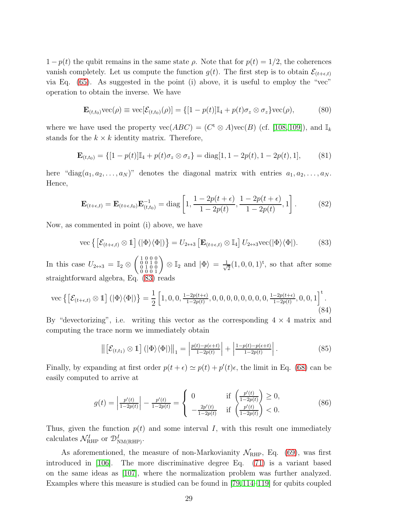$1-p(t)$  the qubit remains in the same state  $\rho$ . Note that for  $p(t) = 1/2$ , the coherences vanish completely. Let us compute the function  $g(t)$ . The first step is to obtain  $\mathcal{E}_{(t+\epsilon,t)}$ via Eq. [\(65\)](#page-24-1). As suggested in the point (i) above, it is useful to employ the "vec" operation to obtain the inverse. We have

$$
\mathbf{E}_{(t,t_0)}\text{vec}(\rho) \equiv \text{vec}[\mathcal{E}_{(t,t_0)}(\rho)] = \{ [1 - p(t)]\mathbb{I}_4 + p(t)\sigma_z \otimes \sigma_z \} \text{vec}(\rho),\tag{80}
$$

where we have used the property  $\text{vec}(ABC) = (C^t \otimes A)\text{vec}(B)$  (cf. [\[108,](#page-47-16) [109\]](#page-47-17)), and  $\mathbb{I}_k$ stands for the  $k \times k$  identity matrix. Therefore,

$$
\mathbf{E}_{(t,t_0)} = \{ [1 - p(t)] \mathbb{I}_4 + p(t) \sigma_z \otimes \sigma_z \} = \text{diag}[1, 1 - 2p(t), 1 - 2p(t), 1], \quad (81)
$$

here "diag $(a_1, a_2, \ldots, a_N)$ " denotes the diagonal matrix with entries  $a_1, a_2, \ldots, a_N$ . Hence,

$$
\mathbf{E}_{(t+\epsilon,t)} = \mathbf{E}_{(t+\epsilon,t_0)} \mathbf{E}_{(t,t_0)}^{-1} = \text{diag}\left[1, \frac{1-2p(t+\epsilon)}{1-2p(t)}, \frac{1-2p(t+\epsilon)}{1-2p(t)}, 1\right].
$$
 (82)

Now, as commented in point (i) above, we have

<span id="page-28-0"></span>vec 
$$
\{ \left[ \mathcal{E}_{(t+\epsilon,t)} \otimes \mathbb{1} \right] (|\Phi\rangle \langle \Phi|) \} = U_{2\leftrightarrow 3} \left[ \mathbf{E}_{(t+\epsilon,t)} \otimes \mathbb{I}_4 \right] U_{2\leftrightarrow 3} \text{vec}(|\Phi\rangle \langle \Phi|).
$$
 (83)

In this case  $U_{2 \leftrightarrow 3} = \mathbb{I}_2 \otimes \begin{pmatrix} 1 & 0 & 0 & 0 \\ 0 & 0 & 1 & 0 \\ 0 & 1 & 0 & 0 \\ 0 & 0 & 0 & 1 \end{pmatrix} \otimes \mathbb{I}_2$  and  $|\Phi\rangle = \frac{1}{\sqrt{3}}$  $\frac{1}{2}(1,0,0,1)^t$ , so that after some straightforward algebra, Eq. [\(83\)](#page-28-0) reads

vec 
$$
\{ \left[ \mathcal{E}_{(t+\epsilon,t)} \otimes \mathbb{1} \right] (|\Phi\rangle \langle \Phi|) \} = \frac{1}{2} \left[ 1, 0, 0, \frac{1-2p(t+\epsilon)}{1-2p(t)}, 0, 0, 0, 0, 0, 0, 0, 0, \frac{1-2p(t+\epsilon)}{1-2p(t)}, 0, 0, 1 \right]^{\mathrm{t}}.
$$
 (84)

By "devectorizing", i.e. writing this vector as the corresponding  $4 \times 4$  matrix and computing the trace norm we immediately obtain

$$
\left\| \left[ \mathcal{E}_{(t,t_1)} \otimes 1 \right] \left( \left| \Phi \right\rangle \langle \Phi \right| \right) \right\|_1 = \left| \frac{p(t) - p(\epsilon + t)}{1 - 2p(t)} \right| + \left| \frac{1 - p(t) - p(\epsilon + t)}{1 - 2p(t)} \right|.
$$
 (85)

Finally, by expanding at first order  $p(t + \epsilon) \simeq p(t) + p'(t)\epsilon$ , the limit in Eq. [\(68\)](#page-25-1) can be easily computed to arrive at

$$
g(t) = \left| \frac{p'(t)}{1 - 2p(t)} \right| - \frac{p'(t)}{1 - 2p(t)} = \begin{cases} 0 & \text{if } \left( \frac{p'(t)}{1 - 2p(t)} \right) \ge 0, \\ -\frac{2p'(t)}{1 - 2p(t)} & \text{if } \left( \frac{p'(t)}{1 - 2p(t)} \right) < 0. \end{cases}
$$
(86)

Thus, given the function  $p(t)$  and some interval I, with this result one immediately calculates  $\mathcal{N}_{\text{RHP}}^I$  or  $\mathcal{D}_{\text{NM(RHP)}}^I$ .

As aforementioned, the measure of non-Markovianity  $\mathcal{N}_{\text{RHP}}$ , Eq. [\(69\)](#page-25-3), was first introduced in [\[106\]](#page-47-14). The more discriminative degree Eq. [\(71\)](#page-25-2) is a variant based on the same ideas as [\[107\]](#page-47-15), where the normalization problem was further analyzed. Examples where this measure is studied can be found in [\[79,](#page-46-17)[114](#page-47-22)[–119\]](#page-47-23) for qubits coupled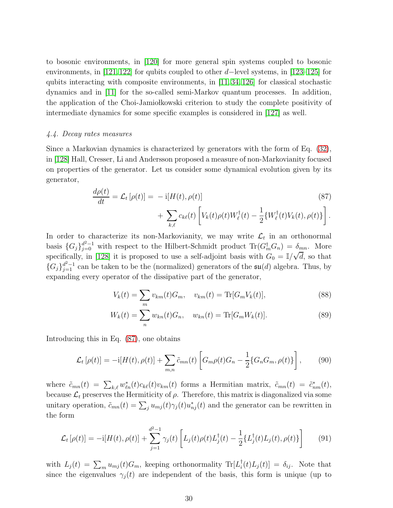to bosonic environments, in [\[120\]](#page-47-24) for more general spin systems coupled to bosonic environments, in [\[121,](#page-47-25)[122\]](#page-47-26) for qubits coupled to other d–level systems, in [\[123](#page-47-27)[–125\]](#page-48-0) for qubits interacting with composite environments, in  $[11, 34, 126]$  $[11, 34, 126]$  $[11, 34, 126]$  for classical stochastic dynamics and in [\[11\]](#page-45-33) for the so-called semi-Markov quantum processes. In addition, the application of the Choi-Jamio kowski criterion to study the complete positivity of intermediate dynamics for some specific examples is considered in [\[127\]](#page-48-2) as well.

#### <span id="page-29-0"></span>4.4. Decay rates measures

Since a Markovian dynamics is characterized by generators with the form of Eq. [\(32\)](#page-12-1), in [\[128\]](#page-48-3) Hall, Cresser, Li and Andersson proposed a measure of non-Markovianity focused on properties of the generator. Let us consider some dynamical evolution given by its generator,

<span id="page-29-1"></span>
$$
\frac{d\rho(t)}{dt} = \mathcal{L}_t\left[\rho(t)\right] = -\mathrm{i}[H(t), \rho(t)]\n+ \sum_{k,\ell} c_{k\ell}(t) \left[V_k(t)\rho(t)W_\ell^\dagger(t) - \frac{1}{2}\{W_\ell^\dagger(t)V_k(t), \rho(t)\}\right].
$$
\n(87)

In order to characterize its non-Markovianity, we may write  $\mathcal{L}_t$  in an orthonormal basis  ${G_j}_{j=0}^{d^2-1}$  with respect to the Hilbert-Schmidt product  $\text{Tr}(G_m^{\dagger}G_n) = \delta_{mn}$ . More specifically, in [\[128\]](#page-48-3) it is proposed to use a self-adjoint basis with  $G_0 = \mathbb{I}/\sqrt{d}$ , so that  ${G_j}_{j=1}^{d^2-1}$  can be taken to be the (normalized) generators of the  $\mathfrak{su}(d)$  algebra. Thus, by expanding every operator of the dissipative part of the generator,

$$
V_k(t) = \sum_m v_{km}(t)G_m, \quad v_{km}(t) = \text{Tr}[G_m V_k(t)], \tag{88}
$$

$$
W_k(t) = \sum_n w_{kn}(t)G_n, \quad w_{kn}(t) = \text{Tr}[G_m W_k(t)].
$$
\n(89)

Introducing this in Eq. [\(87\)](#page-29-1), one obtains

$$
\mathcal{L}_t\left[\rho(t)\right] = -i[H(t), \rho(t)] + \sum_{m,n} \tilde{c}_{mn}(t) \left[ G_m \rho(t) G_n - \frac{1}{2} \{ G_n G_m, \rho(t) \} \right],\tag{90}
$$

where  $\tilde{c}_{mn}(t) = \sum_{k,\ell} w_{\ell n}^*(t) c_{k\ell}(t) v_{km}(t)$  forms a Hermitian matrix,  $\tilde{c}_{mn}(t) = \tilde{c}_{nm}^*(t)$ , because  $\mathcal{L}_t$  preserves the Hermiticity of  $\rho$ . Therefore, this matrix is diagonalized via some unitary operation,  $\tilde{c}_{mn}(t) = \sum_j u_{mj}(t)\gamma_j(t)u_{nj}^*(t)$  and the generator can be rewritten in the form

$$
\mathcal{L}_t[\rho(t)] = -i[H(t), \rho(t)] + \sum_{j=1}^{d^2-1} \gamma_j(t) \left[ L_j(t)\rho(t)L_j^{\dagger}(t) - \frac{1}{2} \{L_j^{\dagger}(t)L_j(t), \rho(t)\} \right]
$$
(91)

with  $L_j(t) = \sum_m u_{mj}(t) G_m$ , keeping orthonormality  $\text{Tr}[L_i(t)L_j(t)] = \delta_{ij}$ . Note that since the eigenvalues  $\gamma_i(t)$  are independent of the basis, this form is unique (up to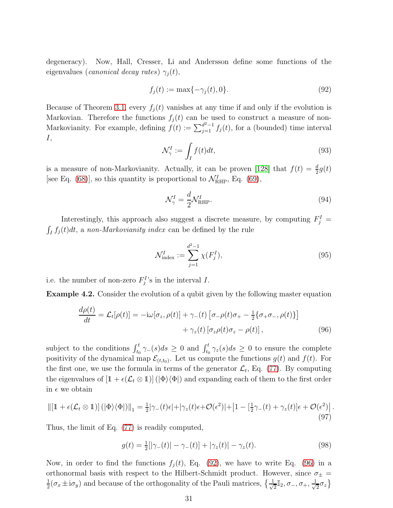degeneracy). Now, Hall, Cresser, Li and Andersson define some functions of the eigenvalues (canonical decay rates)  $\gamma_i(t)$ ,

<span id="page-30-0"></span>
$$
f_j(t) := \max\{-\gamma_j(t), 0\}.
$$
 (92)

Because of Theorem [3.1,](#page-12-2) every  $f_j(t)$  vanishes at any time if and only if the evolution is Markovian. Therefore the functions  $f_j(t)$  can be used to construct a measure of non-Markovianity. For example, defining  $f(t) := \sum_{j=1}^{d^2-1} f_j(t)$ , for a (bounded) time interval I,

$$
\mathcal{N}_{\gamma}^{I} := \int_{I} f(t)dt,\tag{93}
$$

is a measure of non-Markovianity. Actually, it can be proven [\[128\]](#page-48-3) that  $f(t) = \frac{d}{2}g(t)$ [see Eq. [\(68\)](#page-25-1)], so this quantity is proportional to  $\mathcal{N}_{\text{RHP}}^I$ , Eq. [\(69\)](#page-25-3),

$$
\mathcal{N}_{\gamma}^{I} = \frac{d}{2} \mathcal{N}_{\text{RHP}}^{I}.
$$
\n(94)

Interestingly, this approach also suggest a discrete measure, by computing  $F_j^I$  =  $\int_I f_j(t)dt$ , a non-Markovianity index can be defined by the rule

<span id="page-30-1"></span>
$$
\mathcal{N}_{\text{index}}^{I} := \sum_{j=1}^{d^2 - 1} \chi(F_j^I),\tag{95}
$$

i.e. the number of non-zero  $F_j^I$ 's in the interval I.

Example 4.2. Consider the evolution of a qubit given by the following master equation

$$
\frac{d\rho(t)}{dt} = \mathcal{L}_t[\rho(t)] = -i\omega[\sigma_z, \rho(t)] + \gamma_-(t) \left[\sigma_-\rho(t)\sigma_+ - \frac{1}{2}\{\sigma_+\sigma_-, \rho(t)\}\right] \n+ \gamma_z(t) \left[\sigma_z \rho(t)\sigma_z - \rho(t)\right],
$$
\n(96)

subject to the conditions  $\int_{t_0}^t \gamma_-(s)ds \geq 0$  and  $\int_{t_0}^t \gamma_2(s)ds \geq 0$  to ensure the complete positivity of the dynamical map  $\mathcal{E}_{(t,t_0)}$ . Let us compute the functions  $g(t)$  and  $f(t)$ . For the first one, we use the formula in terms of the generator  $\mathcal{L}_t$ , Eq. [\(77\)](#page-27-0). By computing the eigenvalues of  $[1 + \epsilon(\mathcal{L}_t \otimes 1)] (\vert \Phi \rangle \langle \Phi \vert)$  and expanding each of them to the first order in  $\epsilon$  we obtain

$$
\| [1 + \epsilon(\mathcal{L}_t \otimes 1)] \left( |\Phi\rangle \langle \Phi| \right) \|_1 = \frac{1}{2} |\gamma_-(t)\epsilon| + |\gamma_z(t)\epsilon + \mathcal{O}(\epsilon^2)| + |1 - [\frac{1}{2}\gamma_-(t) + \gamma_z(t)]\epsilon + \mathcal{O}(\epsilon^2) |.
$$
\n(97)

Thus, the limit of Eq. [\(77\)](#page-27-0) is readily computed,

$$
g(t) = \frac{1}{2} [|\gamma_{-}(t)| - \gamma_{-}(t)] + |\gamma_{z}(t)| - \gamma_{z}(t). \tag{98}
$$

Now, in order to find the functions  $f_i(t)$ , Eq. [\(92\)](#page-30-0), we have to write Eq. [\(96\)](#page-30-1) in a orthonormal basis with respect to the Hilbert-Schmidt product. However, since  $\sigma_{\pm}$  = 1  $\frac{1}{2}(\sigma_x \pm i\sigma_y)$  and because of the orthogonality of the Pauli matrices,  $\{\frac{1}{\sqrt{2}}\}$  $\frac{1}{2}\mathbb{I}_2, \sigma_-, \sigma_+, \frac{1}{\sqrt{2}}$  $\frac{1}{2}\sigma_z$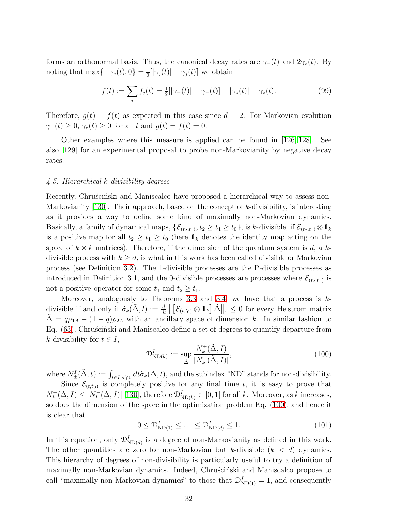forms an orthonormal basis. Thus, the canonical decay rates are  $\gamma_-(t)$  and  $2\gamma_z(t)$ . By noting that max $\{-\gamma_j(t), 0\} = \frac{1}{2}$  $\frac{1}{2} [|\gamma_j(t)| - \gamma_j(t)]$  we obtain

$$
f(t) := \sum_{j} f_j(t) = \frac{1}{2} [|\gamma_-(t)| - \gamma_-(t)] + |\gamma_z(t)| - \gamma_z(t). \tag{99}
$$

Therefore,  $g(t) = f(t)$  as expected in this case since  $d = 2$ . For Markovian evolution  $\gamma_-(t) \geq 0$ ,  $\gamma_z(t) \geq 0$  for all t and  $g(t) = f(t) = 0$ .

Other examples where this measure is applied can be found in [\[126,](#page-48-1) [128\]](#page-48-3). See also [\[129\]](#page-48-4) for an experimental proposal to probe non-Markovianity by negative decay rates.

#### <span id="page-31-0"></span>4.5. Hierarchical k-divisibility degrees

Recently, Chrus´cinski and Maniscalco have proposed a hierarchical way to assess non-Markovianity  $[130]$ . Their approach, based on the concept of k-divisibility, is interesting as it provides a way to define some kind of maximally non-Markovian dynamics. Basically, a family of dynamical maps,  $\{\mathcal{E}_{(t_2,t_1)}, t_2 \ge t_1 \ge t_0\}$ , is k-divisible, if  $\mathcal{E}_{(t_2,t_1)} \otimes \mathbb{1}_k$ is a positive map for all  $t_2 \geq t_1 \geq t_0$  (here  $\mathbb{1}_k$  denotes the identity map acting on the space of  $k \times k$  matrices). Therefore, if the dimension of the quantum system is d, a kdivisible process with  $k > d$ , is what in this work has been called divisible or Markovian process (see Definition [3.2\)](#page-11-1). The 1-divisible processes are the P-divisible processes as introduced in Definition [3.1,](#page-10-2) and the 0-divisible processes are processes where  $\mathcal{E}_{(t_2,t_1)}$  is not a positive operator for some  $t_1$  and  $t_2 \geq t_1$ .

Moreover, analogously to Theorems [3.3](#page-14-2) and [3.4,](#page-15-0) we have that a process is  $k$ divisible if and only if  $\tilde{\sigma}_k(\tilde{\Delta}, t) := \frac{d}{dt} \left\| \left[ \mathcal{E}_{(t,t_0)} \otimes \mathbb{1}_k \right] \tilde{\Delta} \right\|_1 \leq 0$  for every Helstrom matrix  $\tilde{\Delta} = q \rho_{1A} - (1 - q) \rho_{2A}$  with an ancillary space of dimension k. In similar fashion to Eq. [\(63\)](#page-24-2), Chrus´cinski and Maniscalco define a set of degrees to quantify departure from k-divisibility for  $t \in I$ ,

<span id="page-31-1"></span>
$$
\mathcal{D}_{\text{ND}(k)}^{I} := \sup_{\tilde{\Delta}} \frac{N_k^+(\tilde{\Delta}, I)}{|N_k^-(\tilde{\Delta}, I)|},\tag{100}
$$

where  $N_{\pm}^{I}(\tilde{\Delta}, t) := \int_{t \in I, \tilde{\sigma} \geq 0} dt \tilde{\sigma}_k(\Delta, t)$ , and the subindex "ND" stands for non-divisibility.

Since  $\mathcal{E}_{(t,t_0)}$  is completely positive for any final time t, it is easy to prove that  $N_k^+$  $k_k^+$ ( $\tilde{\Delta}, I$ )  $\leq |N_k^-$ ( $\tilde{\Delta}, I$ )| [\[130\]](#page-48-5), therefore  $\mathcal{D}_{ND(k)}^I \in [0, 1]$  for all k. Moreover, as k increases, so does the dimension of the space in the optimization problem Eq. [\(100\)](#page-31-1), and hence it is clear that

$$
0 \le \mathcal{D}_{ND(1)}^I \le \dots \le \mathcal{D}_{ND(d)}^I \le 1. \tag{101}
$$

In this equation, only  $\mathcal{D}_{ND(d)}^I$  is a degree of non-Markovianity as defined in this work. The other quantities are zero for non-Markovian but k-divisible  $(k < d)$  dynamics. This hierarchy of degrees of non-divisibility is particularly useful to try a definition of maximally non-Markovian dynamics. Indeed, Chruscinski and Maniscalco propose to call "maximally non-Markovian dynamics" to those that  $\mathcal{D}_{ND(1)}^I = 1$ , and consequently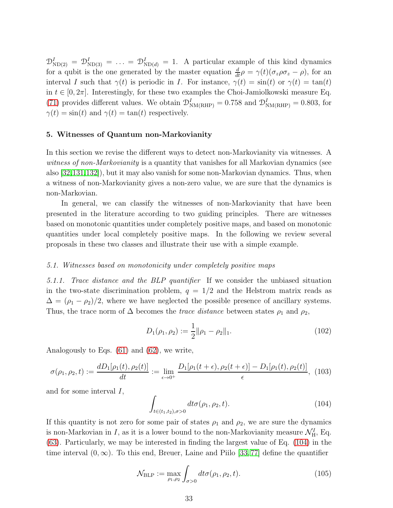$\mathcal{D}_{ND(2)}^I = \mathcal{D}_{ND(3)}^I = \ldots = \mathcal{D}_{ND(d)}^I = 1$ . A particular example of this kind dynamics for a qubit is the one generated by the master equation  $\frac{d}{dt}\rho = \gamma(t)(\sigma_z \rho \sigma_z - \rho)$ , for an interval I such that  $\gamma(t)$  is periodic in I. For instance,  $\gamma(t) = \sin(t)$  or  $\gamma(t) = \tan(t)$ in  $t \in [0, 2\pi]$ . Interestingly, for these two examples the Choi-Jamiolkowski measure Eq. [\(71\)](#page-25-2) provides different values. We obtain  $\mathcal{D}_{NM(RHP)}^I = 0.758$  and  $\mathcal{D}_{NM(RHP)}^I = 0.803$ , for  $\gamma(t) = \sin(t)$  and  $\gamma(t) = \tan(t)$  respectively.

#### <span id="page-32-0"></span>5. Witnesses of Quantum non-Markovianity

In this section we revise the different ways to detect non-Markovianity via witnesses. A witness of non-Markovianity is a quantity that vanishes for all Markovian dynamics (see also [\[32,](#page-45-19)[131](#page-48-6)[,132\]](#page-48-7)), but it may also vanish for some non-Markovian dynamics. Thus, when a witness of non-Markovianity gives a non-zero value, we are sure that the dynamics is non-Markovian.

In general, we can classify the witnesses of non-Markovianity that have been presented in the literature according to two guiding principles. There are witnesses based on monotonic quantities under completely positive maps, and based on monotonic quantities under local completely positive maps. In the following we review several proposals in these two classes and illustrate their use with a simple example.

#### <span id="page-32-2"></span><span id="page-32-1"></span>5.1. Witnesses based on monotonicity under completely positive maps

5.1.1. Trace distance and the BLP quantifier If we consider the unbiased situation in the two-state discrimination problem,  $q = 1/2$  and the Helstrom matrix reads as  $\Delta = (\rho_1 - \rho_2)/2$ , where we have neglected the possible presence of ancillary systems. Thus, the trace norm of  $\Delta$  becomes the *trace distance* between states  $\rho_1$  and  $\rho_2$ ,

$$
D_1(\rho_1, \rho_2) := \frac{1}{2} ||\rho_1 - \rho_2||_1.
$$
\n(102)

Analogously to Eqs. [\(61\)](#page-24-3) and [\(62\)](#page-24-4), we write,

$$
\sigma(\rho_1, \rho_2, t) := \frac{dD_1[\rho_1(t), \rho_2(t)]}{dt} := \lim_{\epsilon \to 0^+} \frac{D_1[\rho_1(t + \epsilon), \rho_2(t + \epsilon)] - D_1[\rho_1(t), \rho_2(t)]}{\epsilon}, (103)
$$

and for some interval I,

<span id="page-32-3"></span>
$$
\int_{t\in(t_1,t_2),\sigma>0} dt\sigma(\rho_1,\rho_2,t).
$$
\n(104)

If this quantity is not zero for some pair of states  $\rho_1$  and  $\rho_2$ , we are sure the dynamics is non-Markovian in I, as it is a lower bound to the non-Markovianity measure  $\mathcal{N}_{\rm H}^I$ , Eq. [\(63\)](#page-24-2). Particularly, we may be interested in finding the largest value of Eq. [\(104\)](#page-32-3) in the time interval  $(0, \infty)$ . To this end, Breuer, Laine and Piilo [\[33,](#page-45-20)77] define the quantifier

$$
\mathcal{N}_{\text{BLP}} := \max_{\rho_1, \rho_2} \int_{\sigma > 0} dt \sigma(\rho_1, \rho_2, t). \tag{105}
$$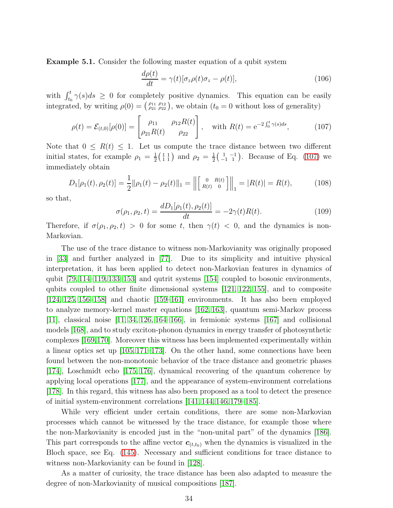Example 5.1. Consider the following master equation of a qubit system

<span id="page-33-1"></span>
$$
\frac{d\rho(t)}{dt} = \gamma(t)[\sigma_z \rho(t)\sigma_z - \rho(t)],\tag{106}
$$

with  $\int_{t_0}^t \gamma(s)ds \geq 0$  for completely positive dynamics. This equation can be easily integrated, by writing  $\rho(0) = \begin{pmatrix} \rho_{11} & \rho_{12} \\ \rho_{21} & \rho_{22} \end{pmatrix}$ , we obtain  $(t_0 = 0$  without loss of generality)

<span id="page-33-0"></span>
$$
\rho(t) = \mathcal{E}_{(t,0)}[\rho(0)] = \begin{bmatrix} \rho_{11} & \rho_{12}R(t) \\ \rho_{21}R(t) & \rho_{22} \end{bmatrix}, \text{ with } R(t) = e^{-2\int_0^t \gamma(s)ds}, \quad (107)
$$

Note that  $0 \leq R(t) \leq 1$ . Let us compute the trace distance between two different initial states, for example  $\rho_1 = \frac{1}{2}$  $\frac{1}{2}$  $\left(\begin{array}{c} 1 & 1 \\ 1 & 1 \end{array}\right)$  and  $\rho_2 = \frac{1}{2}$  $\frac{1}{2}$  $\begin{pmatrix} 1 & -1 \\ -1 & 1 \end{pmatrix}$ . Because of Eq. [\(107\)](#page-33-0) we immediately obtain

$$
D_1[\rho_1(t), \rho_2(t)] = \frac{1}{2} ||\rho_1(t) - \rho_2(t)||_1 = \left\| \begin{bmatrix} 0 & R(t) \\ R(t) & 0 \end{bmatrix} \right\|_1 = |R(t)| = R(t),\tag{108}
$$

so that,

$$
\sigma(\rho_1, \rho_2, t) = \frac{dD_1[\rho_1(t), \rho_2(t)]}{dt} = -2\gamma(t)R(t). \tag{109}
$$

Therefore, if  $\sigma(\rho_1, \rho_2, t) > 0$  for some t, then  $\gamma(t) < 0$ , and the dynamics is non-Markovian.

The use of the trace distance to witness non-Markovianity was originally proposed in [\[33\]](#page-45-20) and further analyzed in [\[77\]](#page-46-15). Due to its simplicity and intuitive physical interpretation, it has been applied to detect non-Markovian features in dynamics of qubit [\[79,](#page-46-17) [114–](#page-47-22)[119,](#page-47-23) [133](#page-48-8)[–153\]](#page-48-9) and qutrit systems [\[154\]](#page-48-10) coupled to bosonic environments, qubits coupled to other finite dimensional systems [\[121,](#page-47-25) [122,](#page-47-26) [155\]](#page-48-11), and to composite [\[124,](#page-47-28) [125,](#page-48-0) [156–](#page-48-12)[158\]](#page-48-13) and chaotic [\[159](#page-48-14)[–161\]](#page-48-15) environments. It has also been employed to analyze memory-kernel master equations [\[162,](#page-48-16) [163\]](#page-48-17), quantum semi-Markov process  $[11]$ , classical noise  $[11, 34, 126, 164–166]$  $[11, 34, 126, 164–166]$  $[11, 34, 126, 164–166]$  $[11, 34, 126, 164–166]$  $[11, 34, 126, 164–166]$ , in fermionic systems  $[167]$  and collisional models [\[168\]](#page-49-0), and to study exciton-phonon dynamics in energy transfer of photosynthetic complexes [\[169,](#page-49-1)[170\]](#page-49-2). Moreover this witness has been implemented experimentally within a linear optics set up [\[105,](#page-47-13) [171–](#page-49-3)[173\]](#page-49-4). On the other hand, some connections have been found between the non-monotonic behavior of the trace distance and geometric phases [\[174\]](#page-49-5), Loschmidt echo [\[175,](#page-49-6) [176\]](#page-49-7), dynamical recovering of the quantum coherence by applying local operations [\[177\]](#page-49-8), and the appearance of system-environment correlations [\[178\]](#page-49-9). In this regard, this witness has also been proposed as a tool to detect the presence of initial system-environment correlations [\[141,](#page-48-21) [144,](#page-48-22) [146,](#page-48-23) [179](#page-49-10)[–185\]](#page-49-11).

While very efficient under certain conditions, there are some non-Markovian processes which cannot be witnessed by the trace distance, for example those where the non-Markovianity is encoded just in the "non-unital part" of the dynamics [\[186\]](#page-49-12). This part corresponds to the affine vector  $c_{(t,t_0)}$  when the dynamics is visualized in the Bloch space, see Eq. [\(145\)](#page-39-1). Necessary and sufficient conditions for trace distance to witness non-Markovianity can be found in [\[128\]](#page-48-3).

As a matter of curiosity, the trace distance has been also adapted to measure the degree of non-Markovianity of musical compositions [\[187\]](#page-49-13).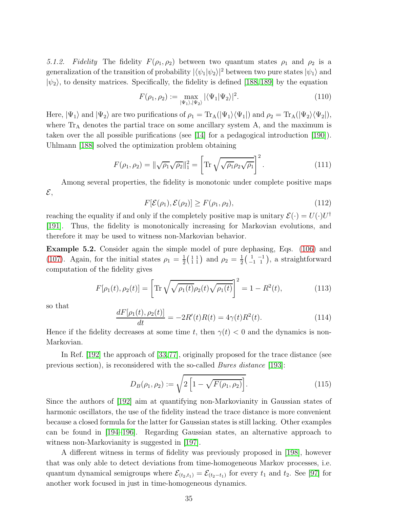<span id="page-34-0"></span>5.1.2. Fidelity The fidelity  $F(\rho_1, \rho_2)$  between two quantum states  $\rho_1$  and  $\rho_2$  is a generalization of the transition of probability  $|\langle \psi_1|\psi_2\rangle|^2$  between two pure states  $|\psi_1\rangle$  and  $|\psi_2\rangle$ , to density matrices. Specifically, the fidelity is defined [\[188,](#page-49-14) [189\]](#page-49-15) by the equation

$$
F(\rho_1, \rho_2) := \max_{|\Psi_1\rangle, |\Psi_2\rangle} |\langle \Psi_1 | \Psi_2 \rangle|^2.
$$
 (110)

Here,  $|\Psi_1\rangle$  and  $|\Psi_2\rangle$  are two purifications of  $\rho_1 = \text{Tr}_A(|\Psi_1\rangle \langle \Psi_1|)$  and  $\rho_2 = \text{Tr}_A(|\Psi_2\rangle \langle \Psi_2|)$ , where  $Tr_A$  denotes the partial trace on some ancillary system A, and the maximum is taken over the all possible purifications (see [\[14\]](#page-45-11) for a pedagogical introduction [\[190\]](#page-49-16)). Uhlmann [\[188\]](#page-49-14) solved the optimization problem obtaining

$$
F(\rho_1, \rho_2) = \|\sqrt{\rho_1}\sqrt{\rho_2}\|_1^2 = \left[\text{Tr}\sqrt{\sqrt{\rho_1}\rho_2\sqrt{\rho_1}}\right]^2.
$$
 (111)

Among several properties, the fidelity is monotonic under complete positive maps  $\mathcal{E},$ 

<span id="page-34-2"></span>
$$
F[\mathcal{E}(\rho_1), \mathcal{E}(\rho_2)] \ge F(\rho_1, \rho_2),\tag{112}
$$

reaching the equality if and only if the completely positive map is unitary  $\mathcal{E}(\cdot) = U(\cdot)U^{\dagger}$ [\[191\]](#page-49-17). Thus, the fidelity is monotonically increasing for Markovian evolutions, and therefore it may be used to witness non-Markovian behavior.

Example 5.2. Consider again the simple model of pure dephasing, Eqs. [\(106\)](#page-33-1) and [\(107\)](#page-33-0). Again, for the initial states  $\rho_1 = \frac{1}{2}$  $\frac{1}{2}$  $\left(\begin{smallmatrix} 1 & 1 \\ 1 & 1 \end{smallmatrix}\right)$  and  $\rho_2 = \frac{1}{2}$  $\frac{1}{2}$  $\begin{pmatrix} 1 & -1 \\ -1 & 1 \end{pmatrix}$ , a straightforward computation of the fidelity gives

$$
F[\rho_1(t), \rho_2(t)] = \left[ \text{Tr} \sqrt{\sqrt{\rho_1(t)} \rho_2(t) \sqrt{\rho_1(t)}} \right]^2 = 1 - R^2(t), \quad (113)
$$

so that

$$
\frac{dF[\rho_1(t), \rho_2(t)]}{dt} = -2R'(t)R(t) = 4\gamma(t)R^2(t). \tag{114}
$$

Hence if the fidelity decreases at some time t, then  $\gamma(t) < 0$  and the dynamics is non-Markovian.

In Ref. [\[192\]](#page-49-18) the approach of [\[33,](#page-45-20)[77\]](#page-46-15), originally proposed for the trace distance (see previous section), is reconsidered with the so-called *Bures distance* [\[193\]](#page-49-19):

<span id="page-34-1"></span>
$$
D_B(\rho_1, \rho_2) := \sqrt{2 \left[ 1 - \sqrt{F(\rho_1, \rho_2)} \right]}.
$$
 (115)

Since the authors of [\[192\]](#page-49-18) aim at quantifying non-Markovianity in Gaussian states of harmonic oscillators, the use of the fidelity instead the trace distance is more convenient because a closed formula for the latter for Gaussian states is still lacking. Other examples can be found in [\[194–](#page-49-20)[196\]](#page-49-21). Regarding Gaussian states, an alternative approach to witness non-Markovianity is suggested in [\[197\]](#page-49-22).

A different witness in terms of fidelity was previously proposed in [\[198\]](#page-49-23), however that was only able to detect deviations from time-homogeneous Markov processes, i.e. quantum dynamical semigroups where  $\mathcal{E}_{(t_2,t_1)} = \mathcal{E}_{(t_2-t_1)}$  for every  $t_1$  and  $t_2$ . See [\[97\]](#page-47-5) for another work focused in just in time-homogeneous dynamics.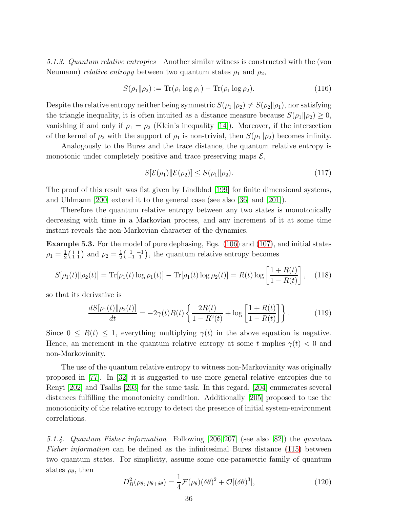<span id="page-35-0"></span>5.1.3. Quantum relative entropies Another similar witness is constructed with the (von Neumann) *relative entropy* between two quantum states  $\rho_1$  and  $\rho_2$ ,

$$
S(\rho_1 \| \rho_2) := \text{Tr}(\rho_1 \log \rho_1) - \text{Tr}(\rho_1 \log \rho_2). \tag{116}
$$

Despite the relative entropy neither being symmetric  $S(\rho_1 \| \rho_2) \neq S(\rho_2 \| \rho_1)$ , nor satisfying the triangle inequality, it is often intuited as a distance measure because  $S(\rho_1 \| \rho_2) \geq 0$ , vanishing if and only if  $\rho_1 = \rho_2$  (Klein's inequality [\[14\]](#page-45-11)). Moreover, if the intersection of the kernel of  $\rho_2$  with the support of  $\rho_1$  is non-trivial, then  $S(\rho_1 \| \rho_2)$  becomes infinity.

Analogously to the Bures and the trace distance, the quantum relative entropy is monotonic under completely positive and trace preserving maps  $\mathcal{E},$ 

<span id="page-35-3"></span>
$$
S[\mathcal{E}(\rho_1) \| \mathcal{E}(\rho_2)] \le S(\rho_1 \| \rho_2). \tag{117}
$$

The proof of this result was fist given by Lindblad [\[199\]](#page-49-24) for finite dimensional systems, and Uhlmann [\[200\]](#page-49-25) extend it to the general case (see also [\[36\]](#page-45-23) and [\[201\]](#page-49-26)).

Therefore the quantum relative entropy between any two states is monotonically decreasing with time in a Markovian process, and any increment of it at some time instant reveals the non-Markovian character of the dynamics.

Example 5.3. For the model of pure dephasing, Eqs. [\(106\)](#page-33-1) and [\(107\)](#page-33-0), and initial states  $\rho_1 = \frac{1}{2}$  $\frac{1}{2}$  $\left(\begin{array}{c} 1 & 1 \\ 1 & 1 \end{array}\right)$  and  $\rho_2 = \frac{1}{2}$  $\frac{1}{2}$  $\begin{pmatrix} 1 & -1 \\ -1 & 1 \end{pmatrix}$ , the quantum relative entropy becomes

$$
S[\rho_1(t)||\rho_2(t)] = \text{Tr}[\rho_1(t)\log\rho_1(t)] - \text{Tr}[\rho_1(t)\log\rho_2(t)] = R(t)\log\left[\frac{1+R(t)}{1-R(t)}\right], \quad (118)
$$

so that its derivative is

$$
\frac{dS[\rho_1(t)||\rho_2(t)]}{dt} = -2\gamma(t)R(t)\left\{\frac{2R(t)}{1-R^2(t)} + \log\left[\frac{1+R(t)}{1-R(t)}\right]\right\}.
$$
\n(119)

Since  $0 \leq R(t) \leq 1$ , everything multiplying  $\gamma(t)$  in the above equation is negative. Hence, an increment in the quantum relative entropy at some t implies  $\gamma(t) < 0$  and non-Markovianity.

The use of the quantum relative entropy to witness non-Markovianity was originally proposed in [\[77\]](#page-46-15). In [\[32\]](#page-45-19) it is suggested to use more general relative entropies due to Renyi [\[202\]](#page-49-27) and Tsallis [\[203\]](#page-49-28) for the same task. In this regard, [\[204\]](#page-49-29) enumerates several distances fulfilling the monotonicity condition. Additionally [\[205\]](#page-49-30) proposed to use the monotonicity of the relative entropy to detect the presence of initial system-environment correlations.

<span id="page-35-1"></span>5.1.4. Quantum Fisher information Following [\[206,](#page-49-31) [207\]](#page-50-0) (see also [\[82\]](#page-46-25)) the quantum Fisher information can be defined as the infinitesimal Bures distance [\(115\)](#page-34-1) between two quantum states. For simplicity, assume some one-parametric family of quantum states  $\rho_{\theta}$ , then

<span id="page-35-2"></span>
$$
D_B^2(\rho_\theta, \rho_{\theta+\delta\theta}) = \frac{1}{4} \mathcal{F}(\rho_\theta)(\delta\theta)^2 + \mathcal{O}[(\delta\theta)^3],\tag{120}
$$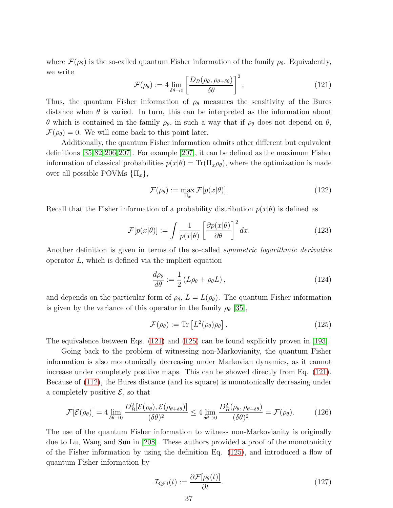where  $\mathcal{F}(\rho_{\theta})$  is the so-called quantum Fisher information of the family  $\rho_{\theta}$ . Equivalently, we write

<span id="page-36-0"></span>
$$
\mathcal{F}(\rho_{\theta}) := 4 \lim_{\delta \theta \to 0} \left[ \frac{D_B(\rho_{\theta}, \rho_{\theta + \delta \theta})}{\delta \theta} \right]^2.
$$
 (121)

Thus, the quantum Fisher information of  $\rho_{\theta}$  measures the sensitivity of the Bures distance when  $\theta$  is varied. In turn, this can be interpreted as the information about θ which is contained in the family  $ρ_θ$ , in such a way that if  $ρ_θ$  does not depend on  $θ$ ,  $\mathcal{F}(\rho_{\theta})=0$ . We will come back to this point later.

Additionally, the quantum Fisher information admits other different but equivalent definitions [\[35,](#page-45-22)[82,](#page-46-25)[206,](#page-49-31)[207\]](#page-50-0). For example [\[207\]](#page-50-0), it can be defined as the maximum Fisher information of classical probabilities  $p(x|\theta) = \text{Tr}(\Pi_x \rho_\theta)$ , where the optimization is made over all possible POVMs  $\{\Pi_x\},\$ 

$$
\mathcal{F}(\rho_{\theta}) := \max_{\Pi_x} \mathcal{F}[p(x|\theta)]. \tag{122}
$$

Recall that the Fisher information of a probability distribution  $p(x|\theta)$  is defined as

$$
\mathcal{F}[p(x|\theta)] := \int \frac{1}{p(x|\theta)} \left[ \frac{\partial p(x|\theta)}{\partial \theta} \right]^2 dx.
$$
 (123)

Another definition is given in terms of the so-called symmetric logarithmic derivative operator  $L$ , which is defined via the implicit equation

$$
\frac{d\rho_{\theta}}{d\theta} := \frac{1}{2} \left( L\rho_{\theta} + \rho_{\theta} L \right),\tag{124}
$$

and depends on the particular form of  $\rho_{\theta}$ ,  $L = L(\rho_{\theta})$ . The quantum Fisher information is given by the variance of this operator in the family  $\rho_{\theta}$  [\[35\]](#page-45-22),

<span id="page-36-1"></span>
$$
\mathcal{F}(\rho_{\theta}) := \text{Tr}\left[L^2(\rho_{\theta})\rho_{\theta}\right].\tag{125}
$$

The equivalence between Eqs. [\(121\)](#page-36-0) and [\(125\)](#page-36-1) can be found explicitly proven in [\[193\]](#page-49-19).

Going back to the problem of witnessing non-Markovianity, the quantum Fisher information is also monotonically decreasing under Markovian dynamics, as it cannot increase under completely positive maps. This can be showed directly from Eq. [\(121\)](#page-36-0). Because of [\(112\)](#page-34-2), the Bures distance (and its square) is monotonically decreasing under a completely positive  $\mathcal{E}$ , so that

$$
\mathcal{F}[\mathcal{E}(\rho_{\theta})] = 4 \lim_{\delta\theta \to 0} \frac{D_B^2[\mathcal{E}(\rho_{\theta}), \mathcal{E}(\rho_{\theta + \delta\theta})]}{(\delta\theta)^2} \le 4 \lim_{\delta\theta \to 0} \frac{D_B^2(\rho_{\theta}, \rho_{\theta + \delta\theta})}{(\delta\theta)^2} = \mathcal{F}(\rho_{\theta}).
$$
 (126)

The use of the quantum Fisher information to witness non-Markovianity is originally due to Lu, Wang and Sun in [\[208\]](#page-50-1). These authors provided a proof of the monotonicity of the Fisher information by using the definition Eq. [\(125\)](#page-36-1), and introduced a flow of quantum Fisher information by

<span id="page-36-2"></span>
$$
\mathcal{I}_{\text{QFI}}(t) := \frac{\partial \mathcal{F}[\rho_{\theta}(t)]}{\partial t}.
$$
\n(127)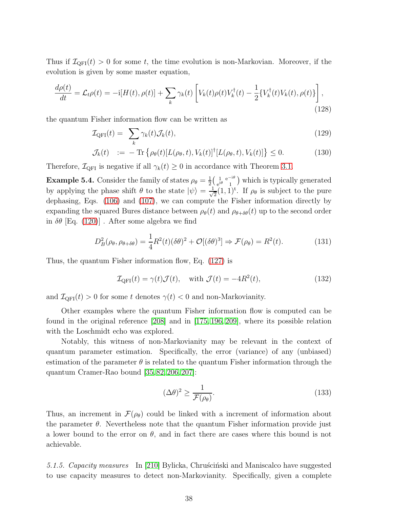Thus if  $\mathcal{I}_{QFI}(t) > 0$  for some t, the time evolution is non-Markovian. Moreover, if the evolution is given by some master equation,

$$
\frac{d\rho(t)}{dt} = \mathcal{L}_t \rho(t) = -\mathrm{i}[H(t), \rho(t)] + \sum_k \gamma_k(t) \left[ V_k(t)\rho(t)V_k^\dagger(t) - \frac{1}{2} \{ V_k^\dagger(t)V_k(t), \rho(t) \} \right],\tag{128}
$$

the quantum Fisher information flow can be written as

$$
\mathcal{I}_{\text{QFI}}(t) = \sum_{k} \gamma_k(t) \mathcal{J}_k(t), \qquad (129)
$$

$$
\mathcal{J}_k(t) \quad := \quad - \operatorname{Tr} \left\{ \rho_\theta(t) [L(\rho_\theta, t), V_k(t)]^\dagger [L(\rho_\theta, t), V_k(t)] \right\} \leq 0. \tag{130}
$$

Therefore,  $\mathcal{I}_{\text{QFI}}$  is negative if all  $\gamma_k(t) \geq 0$  in accordance with Theorem [3.1.](#page-12-2)

**Example 5.4.** Consider the family of states  $\rho_{\theta} = \frac{1}{2}$  $\frac{1}{2} \left( \begin{array}{cc} 1 & e^{-i\theta} \\ e^{i\theta} & 1 \end{array} \right)$  $\frac{1}{e^{i\theta}}\frac{e^{-i\theta}}{1}$  which is typically generated by applying the phase shift  $\theta$  to the state  $|\psi\rangle = \frac{1}{\sqrt{\pi}}$  $\frac{1}{2}(1,1)^t$ . If  $\rho_\theta$  is subject to the pure dephasing, Eqs. [\(106\)](#page-33-1) and [\(107\)](#page-33-0), we can compute the Fisher information directly by expanding the squared Bures distance between  $\rho_{\theta}(t)$  and  $\rho_{\theta+\delta\theta}(t)$  up to the second order in  $\delta\theta$  [Eq. [\(120\)](#page-35-2)] . After some algebra we find

<span id="page-37-1"></span>
$$
D_B^2(\rho_\theta, \rho_{\theta+\delta\theta}) = \frac{1}{4}R^2(t)(\delta\theta)^2 + \mathcal{O}[(\delta\theta)^3] \Rightarrow \mathcal{F}(\rho_\theta) = R^2(t). \tag{131}
$$

Thus, the quantum Fisher information flow, Eq. [\(127\)](#page-36-2) is

$$
\mathcal{I}_{\text{QFI}}(t) = \gamma(t)\mathcal{J}(t), \quad \text{with } \mathcal{J}(t) = -4R^2(t), \tag{132}
$$

and  $\mathcal{I}_{\text{QFI}}(t) > 0$  for some t denotes  $\gamma(t) < 0$  and non-Markovianity.

Other examples where the quantum Fisher information flow is computed can be found in the original reference [\[208\]](#page-50-1) and in [\[175,](#page-49-6) [196,](#page-49-21) [209\]](#page-50-2), where its possible relation with the Loschmidt echo was explored.

Notably, this witness of non-Markovianity may be relevant in the context of quantum parameter estimation. Specifically, the error (variance) of any (unbiased) estimation of the parameter  $\theta$  is related to the quantum Fisher information through the quantum Cramer-Rao bound [\[35,](#page-45-22) [82,](#page-46-25) [206,](#page-49-31) [207\]](#page-50-0):

$$
(\Delta \theta)^2 \ge \frac{1}{\mathcal{F}(\rho_\theta)}.\tag{133}
$$

Thus, an increment in  $\mathcal{F}(\rho_{\theta})$  could be linked with a increment of information about the parameter  $\theta$ . Nevertheless note that the quantum Fisher information provide just a lower bound to the error on  $\theta$ , and in fact there are cases where this bound is not achievable.

<span id="page-37-0"></span>5.1.5. Capacity measures In [\[210\]](#page-50-3) Bylicka, Chruscinski and Maniscalco have suggested to use capacity measures to detect non-Markovianity. Specifically, given a complete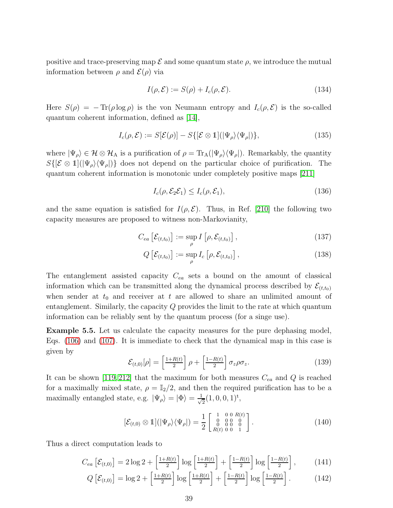positive and trace-preserving map  $\mathcal E$  and some quantum state  $\rho$ , we introduce the mutual information between  $\rho$  and  $\mathcal{E}(\rho)$  via

$$
I(\rho, \mathcal{E}) := S(\rho) + I_c(\rho, \mathcal{E}).
$$
\n(134)

Here  $S(\rho) = -\text{Tr}(\rho \log \rho)$  is the von Neumann entropy and  $I_c(\rho, \mathcal{E})$  is the so-called quantum coherent information, defined as [\[14\]](#page-45-11),

$$
I_c(\rho, \mathcal{E}) := S[\mathcal{E}(\rho)] - S\{[\mathcal{E} \otimes \mathbb{1}](|\Psi_{\rho}\rangle\langle\Psi_{\rho}|)\},\tag{135}
$$

where  $|\Psi_{\rho}\rangle \in \mathcal{H} \otimes \mathcal{H}_{A}$  is a purification of  $\rho = \text{Tr}_{A}(|\Psi_{\rho}\rangle \langle \Psi_{\rho}|)$ . Remarkably, the quantity  $S\{[\mathcal{E} \otimes 1](\ket{\Psi_{\rho}}\bra{\Psi_{\rho}})\}\$  does not depend on the particular choice of purification. The quantum coherent information is monotonic under completely positive maps [\[211\]](#page-50-4)

<span id="page-38-5"></span><span id="page-38-4"></span>
$$
I_c(\rho, \mathcal{E}_2 \mathcal{E}_1) \le I_c(\rho, \mathcal{E}_1),\tag{136}
$$

and the same equation is satisfied for  $I(\rho, \mathcal{E})$ . Thus, in Ref. [\[210\]](#page-50-3) the following two capacity measures are proposed to witness non-Markovianity,

$$
C_{ea} \left[ \mathcal{E}_{(t,t_0)} \right] := \sup_{\rho} I \left[ \rho, \mathcal{E}_{(t,t_0)} \right], \tag{137}
$$

$$
Q\left[\mathcal{E}_{(t,t_0)}\right] := \sup_{\rho} I_c\left[\rho, \mathcal{E}_{(t,t_0)}\right],\tag{138}
$$

The entanglement assisted capacity  $C_{ea}$  sets a bound on the amount of classical information which can be transmitted along the dynamical process described by  $\mathcal{E}_{(t,t_0)}$ when sender at  $t_0$  and receiver at t are allowed to share an unlimited amount of entanglement. Similarly, the capacity Q provides the limit to the rate at which quantum information can be reliably sent by the quantum process (for a singe use).

<span id="page-38-6"></span>Example 5.5. Let us calculate the capacity measures for the pure dephasing model, Eqs. [\(106\)](#page-33-1) and [\(107\)](#page-33-0). It is immediate to check that the dynamical map in this case is given by

<span id="page-38-0"></span>
$$
\mathcal{E}_{(t,0)}[\rho] = \left[\frac{1+R(t)}{2}\right]\rho + \left[\frac{1-R(t)}{2}\right]\sigma_z\rho\sigma_z.
$$
\n(139)

It can be shown [\[119,](#page-47-23) [212\]](#page-50-5) that the maximum for both measures  $C_{ea}$  and Q is reached for a maximally mixed state,  $\rho = \mathbb{I}_2/2$ , and then the required purification has to be a maximally entangled state, e.g.  $|\Psi_{\rho}\rangle = |\Phi\rangle = \frac{1}{\sqrt{2}}$  $\frac{1}{2}(1,0,0,1)^{\text{t}},$ 

<span id="page-38-3"></span><span id="page-38-2"></span><span id="page-38-1"></span>
$$
[\mathcal{E}_{(t,0)} \otimes 1](|\Psi_{\rho}\rangle\langle\Psi_{\rho}|) = \frac{1}{2} \begin{bmatrix} 1 & 0 & 0 & R(t) \\ 0 & 0 & 0 & 0 \\ 0 & 0 & 0 & 0 \\ R(t) & 0 & 0 & 1 \end{bmatrix}.
$$
 (140)

Thus a direct computation leads to

$$
C_{ea}\left[\mathcal{E}_{(t,0)}\right] = 2\log 2 + \left[\frac{1+R(t)}{2}\right]\log\left[\frac{1+R(t)}{2}\right] + \left[\frac{1-R(t)}{2}\right]\log\left[\frac{1-R(t)}{2}\right],\tag{141}
$$

$$
Q\left[\mathcal{E}_{(t,0)}\right] = \log 2 + \left[\frac{1+R(t)}{2}\right] \log \left[\frac{1+R(t)}{2}\right] + \left[\frac{1-R(t)}{2}\right] \log \left[\frac{1-R(t)}{2}\right].\tag{142}
$$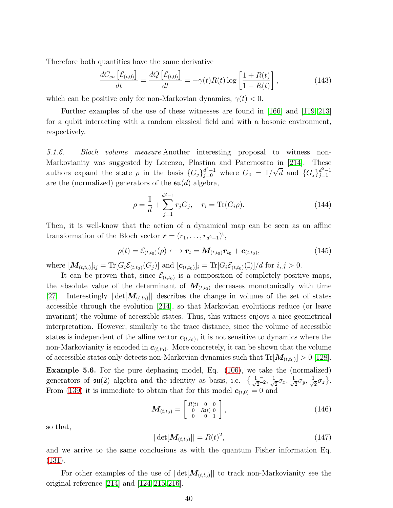Therefore both quantities have the same derivative

$$
\frac{dC_{ea}\left[\mathcal{E}_{(t,0)}\right]}{dt} = \frac{dQ\left[\mathcal{E}_{(t,0)}\right]}{dt} = -\gamma(t)R(t)\log\left[\frac{1+R(t)}{1-R(t)}\right],\tag{143}
$$

which can be positive only for non-Markovian dynamics,  $\gamma(t) < 0$ .

Further examples of the use of these witnesses are found in [\[166\]](#page-48-19) and [\[119,](#page-47-23) [213\]](#page-50-6) for a qubit interacting with a random classical field and with a bosonic environment, respectively.

<span id="page-39-0"></span>5.1.6. Bloch volume measure Another interesting proposal to witness non-Markovianity was suggested by Lorenzo, Plastina and Paternostro in [\[214\]](#page-50-7). These authors expand the state  $\rho$  in the basis  $\{G_j\}_{j=0}^{d^2-1}$  where  $G_0 = \mathbb{I}/\sqrt{d}$  and  $\{G_j\}_{j=1}^{d^2-1}$ are the (normalized) generators of the  $\mathfrak{su}(d)$  algebra,

$$
\rho = \frac{\mathbb{I}}{d} + \sum_{j=1}^{d^2 - 1} r_j G_j, \quad r_i = \text{Tr}(G_i \rho). \tag{144}
$$

Then, it is well-know that the action of a dynamical map can be seen as an affine transformation of the Bloch vector  $\boldsymbol{r} = (r_1, \ldots, r_{d^2-1})^t$ ,

<span id="page-39-1"></span>
$$
\rho(t) = \mathcal{E}_{(t,t_0)}(\rho) \longleftrightarrow \mathbf{r}_t = \mathbf{M}_{(t,t_0)} \mathbf{r}_{t_0} + \mathbf{c}_{(t,t_0)},
$$
\n(145)

where  $[\mathbf{M}_{(t,t_0)}]_{ij} = \text{Tr}[G_i \mathcal{E}_{(t,t_0)}(G_j)]$  and  $[\mathbf{c}_{(t,t_0)}]_i = \text{Tr}[G_i \mathcal{E}_{(t,t_0)}(\mathbb{I})]/d$  for  $i, j > 0$ .

It can be proven that, since  $\mathcal{E}_{(t,t_0)}$  is a composition of completely positive maps, the absolute value of the determinant of  $M_{(t,t_0)}$  decreases monotonically with time [\[27\]](#page-45-14). Interestingly  $|\det[\mathbf{M}_{(t,t_0)}]|$  describes the change in volume of the set of states accessible through the evolution [\[214\]](#page-50-7), so that Markovian evolutions reduce (or leave invariant) the volume of accessible states. Thus, this witness enjoys a nice geometrical interpretation. However, similarly to the trace distance, since the volume of accessible states is independent of the affine vector  $\mathbf{c}_{(t,t_0)}$ , it is not sensitive to dynamics where the non-Markovianity is encoded in  $c_{(t,t_0)}$ . More concretely, it can be shown that the volume of accessible states only detects non-Markovian dynamics such that  $Tr[\mathbf{M}_{(t,t_0)}] > 0$  [\[128\]](#page-48-3). Example 5.6. For the pure dephasing model, Eq. [\(106\)](#page-33-1), we take the (normalized) generators of  $\mathfrak{su}(2)$  algebra and the identity as basis, i.e.  $\frac{1}{\sqrt{2}}$  $\frac{1}{2}$ I<sub>2</sub>,  $\frac{1}{\sqrt{2}}$  $\frac{1}{2}\sigma_x, \frac{1}{\sqrt{2}}$  $\frac{1}{2}\sigma_y, \frac{1}{\sqrt{2}}$  $\frac{1}{2}\sigma_z$ . From [\(139\)](#page-38-0) it is immediate to obtain that for this model  $\mathbf{c}_{(t,0)} = 0$  and

$$
\mathbf{M}_{(t,t_0)} = \begin{bmatrix} R(t) & 0 & 0 \\ 0 & R(t) & 0 \\ 0 & 0 & 1 \end{bmatrix}, \tag{146}
$$

so that,

$$
|\det[\mathbf{M}_{(t,t_0)}]| = R(t)^2, \tag{147}
$$

and we arrive to the same conclusions as with the quantum Fisher information Eq. [\(131\)](#page-37-1).

For other examples of the use of  $|\det[\mathbf{M}_{(t,t_0)}]|$  to track non-Markovianity see the original reference [\[214\]](#page-50-7) and [\[124,](#page-47-28) [215,](#page-50-8) [216\]](#page-50-9).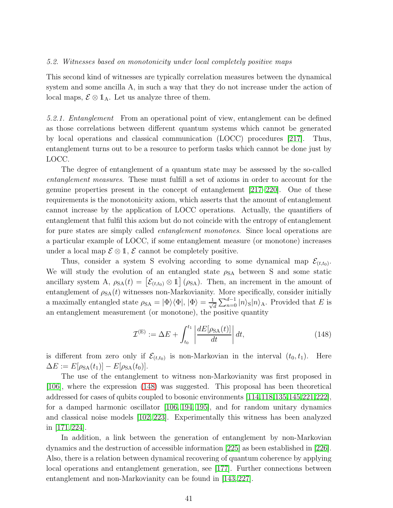#### <span id="page-40-0"></span>5.2. Witnesses based on monotonicity under local completely positive maps

This second kind of witnesses are typically correlation measures between the dynamical system and some ancilla A, in such a way that they do not increase under the action of local maps,  $\mathcal{E} \otimes \mathbb{1}_A$ . Let us analyze three of them.

<span id="page-40-1"></span>5.2.1. Entanglement From an operational point of view, entanglement can be defined as those correlations between different quantum systems which cannot be generated by local operations and classical communication (LOCC) procedures [\[217\]](#page-50-10). Thus, entanglement turns out to be a resource to perform tasks which cannot be done just by LOCC.

The degree of entanglement of a quantum state may be assessed by the so-called entanglement measures. These must fulfill a set of axioms in order to account for the genuine properties present in the concept of entanglement [\[217](#page-50-10)[–220\]](#page-50-11). One of these requirements is the monotonicity axiom, which asserts that the amount of entanglement cannot increase by the application of LOCC operations. Actually, the quantifiers of entanglement that fulfil this axiom but do not coincide with the entropy of entanglement for pure states are simply called entanglement monotones. Since local operations are a particular example of LOCC, if some entanglement measure (or monotone) increases under a local map  $\mathcal{E} \otimes \mathbb{1}, \mathcal{E}$  cannot be completely positive.

Thus, consider a system S evolving according to some dynamical map  $\mathcal{E}_{(t,t_0)}$ . We will study the evolution of an entangled state  $\rho_{\mathrm{SA}}$  between S and some static ancillary system A,  $\rho_{SA}(t) = \left[ \mathcal{E}_{(t,t_0)} \otimes \mathbb{1} \right] (\rho_{SA})$ . Then, an increment in the amount of entanglement of  $\rho_{SA}(t)$  witnesses non-Markovianity. More specifically, consider initially a maximally entangled state  $\rho_{SA} = |\Phi\rangle\langle\Phi|, |\Phi\rangle = \frac{1}{\sqrt{2}}$  $\frac{1}{d} \sum_{n=0}^{d-1} |n\rangle_{\mathcal{S}} |n\rangle_{\mathcal{A}}$ . Provided that E is an entanglement measurement (or monotone), the positive quantity

<span id="page-40-2"></span>
$$
\mathcal{I}^{(E)} := \Delta E + \int_{t_0}^{t_1} \left| \frac{dE[\rho_{SA}(t)]}{dt} \right| dt, \qquad (148)
$$

is different from zero only if  $\mathcal{E}_{(t,t_0)}$  is non-Markovian in the interval  $(t_0, t_1)$ . Here  $\Delta E := E[\rho_{SA}(t_1)] - E[\rho_{SA}(t_0)].$ 

The use of the entanglement to witness non-Markovianity was first proposed in [\[106\]](#page-47-14), where the expression [\(148\)](#page-40-2) was suggested. This proposal has been theoretical addressed for cases of qubits coupled to bosonic environments [\[114,](#page-47-22)[118,](#page-47-29)[135,](#page-48-24)[145,](#page-48-25)[221,](#page-50-12)[222\]](#page-50-13), for a damped harmonic oscillator [\[106,](#page-47-14) [194,](#page-49-20) [195\]](#page-49-32), and for random unitary dynamics and classical noise models [\[102,](#page-47-10) [223\]](#page-50-14). Experimentally this witness has been analyzed in [\[171,](#page-49-3) [224\]](#page-50-15).

In addition, a link between the generation of entanglement by non-Markovian dynamics and the destruction of accessible information [\[225\]](#page-50-16) as been established in [\[226\]](#page-50-17). Also, there is a relation between dynamical recovering of quantum coherence by applying local operations and entanglement generation, see [\[177\]](#page-49-8). Further connections between entanglement and non-Markovianity can be found in [\[143,](#page-48-26) [227\]](#page-50-18).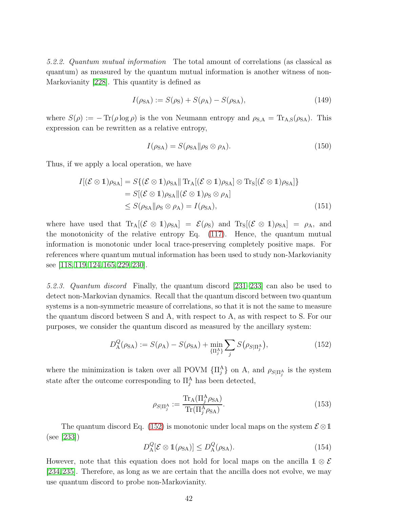<span id="page-41-0"></span>5.2.2. Quantum mutual information The total amount of correlations (as classical as quantum) as measured by the quantum mutual information is another witness of non-Markovianity [\[228\]](#page-50-19). This quantity is defined as

$$
I(\rho_{SA}) := S(\rho_S) + S(\rho_A) - S(\rho_{SA}),
$$
\n(149)

where  $S(\rho) := - \text{Tr}(\rho \log \rho)$  is the von Neumann entropy and  $\rho_{S,A} = \text{Tr}_{A,S}(\rho_{SA})$ . This expression can be rewritten as a relative entropy,

$$
I(\rho_{SA}) = S(\rho_{SA} || \rho_S \otimes \rho_A). \tag{150}
$$

Thus, if we apply a local operation, we have

$$
I[(\mathcal{E} \otimes 1)\rho_{SA}] = S\{(\mathcal{E} \otimes 1)\rho_{SA} || \operatorname{Tr}_{A}[(\mathcal{E} \otimes 1)\rho_{SA}] \otimes \operatorname{Tr}_{S}[(\mathcal{E} \otimes 1)\rho_{SA}] \}
$$
  
=  $S[(\mathcal{E} \otimes 1)\rho_{SA} || (\mathcal{E} \otimes 1)\rho_{S} \otimes \rho_{A}]$   
 $\leq S(\rho_{SA} || \rho_{S} \otimes \rho_{A}) = I(\rho_{SA}),$  (151)

where have used that  $\text{Tr}_{A}[(\mathcal{E} \otimes 1)\rho_{SA}] = \mathcal{E}(\rho_{S})$  and  $\text{Tr}_{S}[(\mathcal{E} \otimes 1)\rho_{SA}] = \rho_{A}$ , and the monotonicity of the relative entropy Eq. [\(117\)](#page-35-3). Hence, the quantum mutual information is monotonic under local trace-preserving completely positive maps. For references where quantum mutual information has been used to study non-Markovianity see [\[118,](#page-47-29) [119,](#page-47-23) [124,](#page-47-28) [165,](#page-48-27) [229,](#page-50-20) [230\]](#page-50-21).

<span id="page-41-1"></span>5.2.3. Quantum discord Finally, the quantum discord [\[231–](#page-50-22)[233\]](#page-50-23) can also be used to detect non-Markovian dynamics. Recall that the quantum discord between two quantum systems is a non-symmetric measure of correlations, so that it is not the same to measure the quantum discord between S and A, with respect to A, as with respect to S. For our purposes, we consider the quantum discord as measured by the ancillary system:

<span id="page-41-2"></span>
$$
D_{\rm A}^Q(\rho_{\rm SA}) := S(\rho_{\rm A}) - S(\rho_{\rm SA}) + \min_{\{\Pi_j^{\rm A}\}} \sum_j S(\rho_{S|\Pi_j^{\rm A}}), \tag{152}
$$

where the minimization is taken over all POVM  $\{\Pi_j^A\}$  on A, and  $\rho_{S|\Pi_j^A}$  is the system state after the outcome corresponding to  $\prod_j^{\Lambda}$  has been detected,

$$
\rho_{S|\Pi_j^{\mathcal{A}}} := \frac{\text{Tr}_{\mathcal{A}}(\Pi_j^{\mathcal{A}} \rho_{\mathcal{S}\mathcal{A}})}{\text{Tr}(\Pi_j^{\mathcal{A}} \rho_{\mathcal{S}\mathcal{A}})}.
$$
\n(153)

The quantum discord Eq. [\(152\)](#page-41-2) is monotonic under local maps on the system  $\mathcal{E} \otimes \mathbb{1}$ (see [\[233\]](#page-50-23))

$$
D_{\mathcal{A}}^{Q}[\mathcal{E}\otimes\mathbb{1}(\rho_{\mathrm{SA}})]\leq D_{\mathcal{A}}^{Q}(\rho_{\mathrm{SA}}).
$$
\n(154)

However, note that this equation does not hold for local maps on the ancilla 1  $\otimes$  E [\[234,](#page-50-24)[235\]](#page-50-25). Therefore, as long as we are certain that the ancilla does not evolve, we may use quantum discord to probe non-Markovianity.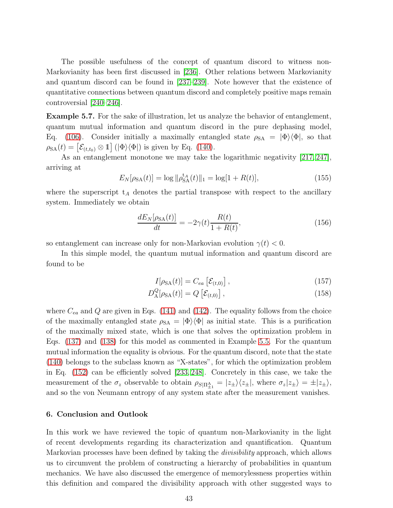The possible usefulness of the concept of quantum discord to witness non-Markovianity has been first discussed in [\[236\]](#page-50-26). Other relations between Markovianity and quantum discord can be found in [\[237–](#page-50-27)[239\]](#page-50-28). Note however that the existence of quantitative connections between quantum discord and completely positive maps remain controversial [\[240](#page-50-29)[–246\]](#page-51-0).

Example 5.7. For the sake of illustration, let us analyze the behavior of entanglement, quantum mutual information and quantum discord in the pure dephasing model, Eq. [\(106\)](#page-33-1). Consider initially a maximally entangled state  $\rho_{SA} = |\Phi\rangle\langle\Phi|$ , so that  $\rho_{SA}(t) = \left[ \mathcal{E}_{(t,t_0)} \otimes \mathbb{1} \right] (\vert \Phi \rangle \langle \Phi \vert)$  is given by Eq. [\(140\)](#page-38-1).

As an entanglement monotone we may take the logarithmic negativity [\[217,](#page-50-10) [247\]](#page-51-1), arriving at

$$
E_N[\rho_{SA}(t)] = \log \|\rho_{SA}^{t_A}(t)\|_1 = \log[1 + R(t)],\tag{155}
$$

where the superscript  $t_A$  denotes the partial transpose with respect to the ancillary system. Immediately we obtain

$$
\frac{dE_N[\rho_{SA}(t)]}{dt} = -2\gamma(t)\frac{R(t)}{1+R(t)},
$$
\n(156)

so entanglement can increase only for non-Markovian evolution  $\gamma(t) < 0$ .

In this simple model, the quantum mutual information and quantum discord are found to be

$$
I[\rho_{SA}(t)] = C_{ea} \left[ \mathcal{E}_{(t,0)} \right], \qquad (157)
$$

$$
D_{\mathcal{A}}^{Q}[\rho_{\text{SA}}(t)] = Q\left[\mathcal{E}_{(t,0)}\right],\tag{158}
$$

where  $C_{ea}$  and Q are given in Eqs. [\(141\)](#page-38-2) and [\(142\)](#page-38-3). The equality follows from the choice of the maximally entangled state  $\rho_{SA} = |\Phi\rangle\langle\Phi|$  as initial state. This is a purification of the maximally mixed state, which is one that solves the optimization problem in Eqs. [\(137\)](#page-38-4) and [\(138\)](#page-38-5) for this model as commented in Example [5.5.](#page-38-6) For the quantum mutual information the equality is obvious. For the quantum discord, note that the state [\(140\)](#page-38-1) belongs to the subclass known as "X-states", for which the optimization problem in Eq. [\(152\)](#page-41-2) can be efficiently solved [\[233,](#page-50-23) [248\]](#page-51-2). Concretely in this case, we take the measurement of the  $\sigma_z$  observable to obtain  $\rho_{S|\Pi_{\pm 1}^{\mathcal{A}}} = |z_{\pm}\rangle\langle z_{\pm}|$ , where  $\sigma_z|z_{\pm}\rangle = \pm |z_{\pm}\rangle$ , and so the von Neumann entropy of any system state after the measurement vanishes.

# <span id="page-42-0"></span>6. Conclusion and Outlook

In this work we have reviewed the topic of quantum non-Markovianity in the light of recent developments regarding its characterization and quantification. Quantum Markovian processes have been defined by taking the *divisibility* approach, which allows us to circumvent the problem of constructing a hierarchy of probabilities in quantum mechanics. We have also discussed the emergence of memorylessness properties within this definition and compared the divisibility approach with other suggested ways to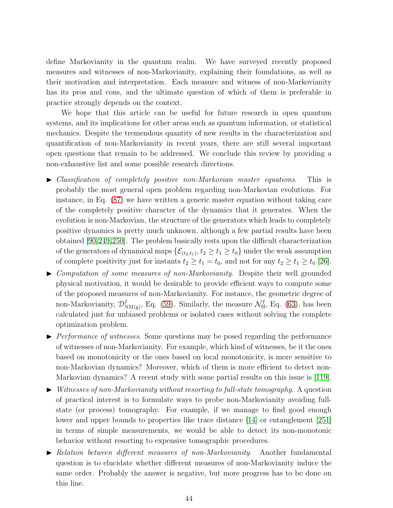define Markovianity in the quantum realm. We have surveyed recently proposed measures and witnesses of non-Markovianity, explaining their foundations, as well as their motivation and interpretation. Each measure and witness of non-Markovianity has its pros and cons, and the ultimate question of which of them is preferable in practice strongly depends on the context.

We hope that this article can be useful for future research in open quantum systems, and its implications for other areas such as quantum information, or statistical mechanics. Despite the tremendous quantity of new results in the characterization and quantification of non-Markovianity in recent years, there are still several important open questions that remain to be addressed. We conclude this review by providing a non-exhaustive list and some possible research directions.

- ▶ Classification of completely positive non-Markovian master equations. This is probably the most general open problem regarding non-Markovian evolutions. For instance, in Eq. [\(87\)](#page-29-1) we have written a generic master equation without taking care of the completely positive character of the dynamics that it generates. When the evolution is non-Markovian, the structure of the generators which leads to completely positive dynamics is pretty much unknown, although a few partial results have been obtained [\[90](#page-47-30)[,249,](#page-51-3)[250\]](#page-51-4). The problem basically rests upon the difficult characterization of the generators of dynamical maps  $\{\mathcal{E}_{(t_2,t_1)}, t_2 \ge t_1 \ge t_0\}$  under the weak assumption of complete positivity just for instants  $t_2 \ge t_1 = t_0$ , and not for any  $t_2 \ge t_1 \ge t_0$  [\[26\]](#page-45-13).
- $\triangleright$  Computation of some measures of non-Markovianity. Despite their well grounded physical motivation, it would be desirable to provide efficient ways to compute some of the proposed measures of non-Markovianity. For instance, the geometric degree of non-Markovianity,  $\mathcal{D}_{NM(g)}^I$ , Eq. [\(59\)](#page-22-1). Similarly, the measure  $\mathcal{N}_{H}^I$ , Eq. [\(63\)](#page-24-2), has been calculated just for unbiased problems or isolated cases without solving the complete optimization problem.
- $\blacktriangleright$  Performance of witnesses. Some questions may be posed regarding the performance of witnesses of non-Markovianity. For example, which kind of witnesses, be it the ones based on monotonicity or the ones based on local monotonicity, is more sensitive to non-Markovian dynamics? Moreover, which of them is more efficient to detect non-Markovian dynamics? A recent study with some partial results on this issue is [\[119\]](#page-47-23).
- $\blacktriangleright$  Witnesses of non-Markovianity without resorting to full-state tomography. A question of practical interest is to formulate ways to probe non-Markovianity avoiding fullstate (or process) tomography. For example, if we manage to find good enough lower and upper bounds to properties like trace distance [\[14\]](#page-45-11) or entanglement [\[251\]](#page-51-5) in terms of simple measurements, we would be able to detect its non-monotonic behavior without resorting to expensive tomographic procedures.
- ► Relation between different measures of non-Markovianity. Another fundamental question is to elucidate whether different measures of non-Markovianity induce the same order. Probably the answer is negative, but more progress has to be done on this line.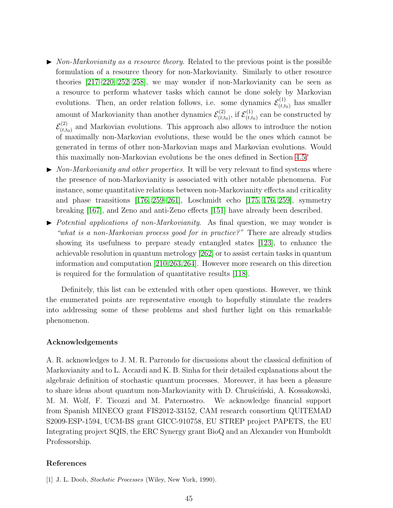- $\triangleright$  Non-Markovianity as a resource theory. Related to the previous point is the possible formulation of a resource theory for non-Markovianity. Similarly to other resource theories [\[217–](#page-50-10)[220,](#page-50-11) [252–](#page-51-6)[258\]](#page-51-7), we may wonder if non-Markovianity can be seen as a resource to perform whatever tasks which cannot be done solely by Markovian evolutions. Then, an order relation follows, i.e. some dynamics  $\mathcal{E}_{(t,t)}^{(1)}$  $\chi_{(t,t_0)}^{(1)}$  has smaller amount of Markovianity than another dynamics  $\mathcal{E}_{(t,t)}^{(2)}$  $\zeta^{(2)}_{(t,t_0)},$  if  $\mathcal{E}^{(1)}_{(t,t_0)}$  $(t,t_0)$  can be constructed by  $\mathcal{E}^{(2)}_{(t,t)}$  $(t_{(t,t_0)}^{(2)})$  and Markovian evolutions. This approach also allows to introduce the notion of maximally non-Markovian evolutions, these would be the ones which cannot be generated in terms of other non-Markovian maps and Markovian evolutions. Would this maximally non-Markovian evolutions be the ones defined in Section [4.5?](#page-31-0)
- $\triangleright$  Non-Markovianity and other properties. It will be very relevant to find systems where the presence of non-Markovianity is associated with other notable phenomena. For instance, some quantitative relations between non-Markovianity effects and criticality and phase transitions [\[176,](#page-49-7) [259–](#page-51-8)[261\]](#page-51-9), Loschmidt echo [\[175,](#page-49-6) [176,](#page-49-7) [259\]](#page-51-8), symmetry breaking [\[167\]](#page-48-20), and Zeno and anti-Zeno effects [\[151\]](#page-48-28) have already been described.
- $\triangleright$  Potential applications of non-Markovianity. As final question, we may wonder is "what is a non-Markovian process good for in practice?" There are already studies showing its usefulness to prepare steady entangled states [\[123\]](#page-47-27), to enhance the achievable resolution in quantum metrology [\[262\]](#page-51-10) or to assist certain tasks in quantum information and computation [\[210,](#page-50-3)[263,](#page-51-11)[264\]](#page-51-12). However more research on this direction is required for the formulation of quantitative results [\[118\]](#page-47-29).

Definitely, this list can be extended with other open questions. However, we think the enumerated points are representative enough to hopefully stimulate the readers into addressing some of these problems and shed further light on this remarkable phenomenon.

# Acknowledgements

A. R. acknowledges to J. M. R. Parrondo for discussions about the classical definition of Markovianity and to L. Accardi and K. B. Sinha for their detailed explanations about the algebraic definition of stochastic quantum processes. Moreover, it has been a pleasure to share ideas about quantum non-Markovianity with D. Chruscinski, A. Kossakowski, M. M. Wolf, F. Ticozzi and M. Paternostro. We acknowledge financial support from Spanish MINECO grant FIS2012-33152, CAM research consortium QUITEMAD S2009-ESP-1594, UCM-BS grant GICC-910758, EU STREP project PAPETS, the EU Integrating project SQIS, the ERC Synergy grant BioQ and an Alexander von Humboldt Professorship.

# <span id="page-44-0"></span>References

<sup>[1]</sup> J. L. Doob, Stochstic Processes (Wiley, New York, 1990).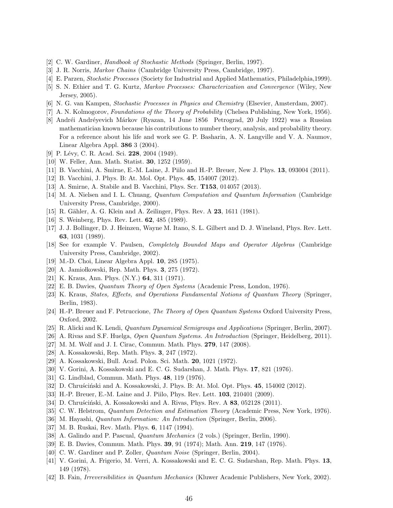- [2] C. W. Gardiner, Handbook of Stochastic Methods (Springer, Berlin, 1997).
- <span id="page-45-3"></span>[3] J. R. Norris, Markov Chains (Cambridge University Press, Cambridge, 1997).
- [4] E. Parzen, Stochstic Processes (Society for Industrial and Applied Mathematics, Philadelphia,1999).
- <span id="page-45-0"></span>[5] S. N. Ethier and T. G. Kurtz, Markov Processes: Characterization and Convergence (Wiley, New Jersey, 2005).
- <span id="page-45-1"></span>[6] N. G. van Kampen, Stochastic Processes in Physics and Chemistry (Elsevier, Amsterdam, 2007).
- <span id="page-45-2"></span>[7] A. N. Kolmogorov, Foundations of the Theory of Probability (Chelsea Publishing, New York, 1956).
- [8] Andréi Andréyevich Márkov (Ryazan, 14 June 1856 Petrograd, 20 July 1922) was a Russian mathematician known because his contributions to number theory, analysis, and probability theory. For a reference about his life and work see G. P. Basharin, A. N. Langville and V. A. Naumov, Linear Algebra Appl. 386 3 (2004).
- <span id="page-45-4"></span>[9] P. Lévy, C. R. Acad. Sci. 228, 2004 (1949).
- <span id="page-45-33"></span>[10] W. Feller, Ann. Math. Statist. **30**, 1252 (1959).
- [11] B. Vacchini, A. Smirne, E.-M. Laine, J. Piilo and H.-P. Breuer, New J. Phys. 13, 093004 (2011).
- <span id="page-45-5"></span>[12] B. Vacchini, J. Phys. B: At. Mol. Opt. Phys. 45, 154007 (2012).
- <span id="page-45-11"></span>[13] A. Smirne, A. Stabile and B. Vacchini, Phys. Scr. T153, 014057 (2013).
- <span id="page-45-6"></span>[14] M. A. Nielsen and I. L. Chuang, *Quantum Computation and Quantum Information* (Cambridge University Press, Cambridge, 2000).
- [15] R. Gähler, A. G. Klein and A. Zeilinger, Phys. Rev. A **23**, 1611 (1981).
- <span id="page-45-7"></span>[16] S. Weinberg, Phys. Rev. Lett. **62**, 485 (1989).
- <span id="page-45-8"></span>[17] J. J. Bollinger, D. J. Heinzen, Wayne M. Itano, S. L. Gilbert and D. J. Wineland, Phys. Rev. Lett. 63, 1031 (1989).
- <span id="page-45-9"></span>[18] See for example V. Paulsen, Completely Bounded Maps and Operator Algebras (Cambridge University Press, Cambridge, 2002).
- <span id="page-45-10"></span>[19] M.-D. Choi, Linear Algebra Appl. 10, 285 (1975).
- <span id="page-45-12"></span>[20] A. Jamiołkowski, Rep. Math. Phys. 3, 275 (1972).
- <span id="page-45-29"></span>[21] K. Kraus, Ann. Phys. (N.Y.) 64, 311 (1971).
- [22] E. B. Davies, Quantum Theory of Open Systems (Academic Press, London, 1976).
- <span id="page-45-30"></span>[23] K. Kraus, States, Effects, and Operations Fundamental Notions of Quantum Theory (Springer, Berlin, 1983).
- <span id="page-45-26"></span>[24] H.-P. Breuer and F. Petruccione, The Theory of Open Quantum Systems Oxford University Press, Oxford, 2002.
- <span id="page-45-13"></span>[25] R. Alicki and K. Lendi, Quantum Dynamical Semigroups and Applications (Springer, Berlin, 2007).
- <span id="page-45-14"></span>[26] A. Rivas and S.F. Huelga, Open Quantum Systems. An Introduction (Springer, Heidelberg, 2011).
- <span id="page-45-15"></span>[27] M. M. Wolf and J. I. Cirac, Commun. Math. Phys. 279, 147 (2008).
- <span id="page-45-16"></span>[28] A. Kossakowski, Rep. Math. Phys. 3, 247 (1972).
- <span id="page-45-17"></span>[29] A. Kossakowski, Bull. Acad. Polon. Sci. Math. 20, 1021 (1972).
- <span id="page-45-18"></span>[30] V. Gorini, A. Kossakowski and E. C. G. Sudarshan, J. Math. Phys. 17, 821 (1976).
- <span id="page-45-19"></span>[31] G. Lindblad, Commun. Math. Phys. 48, 119 (1976).
- <span id="page-45-20"></span>[32] D. Chruścinski and A. Kossakowski, J. Phys. B: At. Mol. Opt. Phys. 45, 154002 (2012).
- <span id="page-45-21"></span>[33] H.-P. Breuer, E.-M. Laine and J. Piilo, Phys. Rev. Lett. 103, 210401 (2009).
- <span id="page-45-22"></span>[34] D. Chrus´ciński, A. Kossakowski and A. Rivas, Phys. Rev. A  $83$ , 052128 (2011).
- <span id="page-45-23"></span>[35] C. W. Helstrom, Quantum Detection and Estimation Theory (Academic Press, New York, 1976).
- <span id="page-45-24"></span>[36] M. Hayashi, Quantum Information: An Introduction (Springer, Berlin, 2006).
- <span id="page-45-25"></span>[37] M. B. Ruskai, Rev. Math. Phys. 6, 1147 (1994).
- <span id="page-45-27"></span>[38] A. Galindo and P. Pascual, Quantum Mechanics (2 vols.) (Springer, Berlin, 1990).
- <span id="page-45-32"></span>[39] E. B. Davies, Commun. Math. Phys. 39, 91 (1974); Math. Ann. 219, 147 (1976).
- <span id="page-45-28"></span>[40] C. W. Gardiner and P. Zoller, *Quantum Noise* (Springer, Berlin, 2004).
- [41] V. Gorini, A. Frigerio, M. Verri, A. Kossakowski and E. C. G. Sudarshan, Rep. Math. Phys. 13, 149 (1978).
- <span id="page-45-31"></span>[42] B. Fain, Irreversibilities in Quantum Mechanics (Kluwer Academic Publishers, New York, 2002).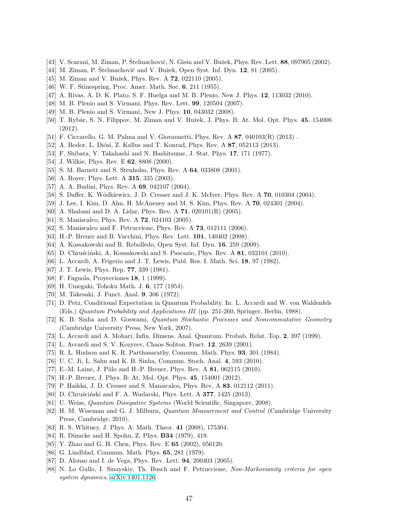- <span id="page-46-2"></span><span id="page-46-0"></span>[43] V. Scarani, M. Ziman, P. Štelmachovič, N. Gisin and V. Bužek, Phys. Rev. Lett. 88, 097905 (2002).
- <span id="page-46-1"></span>[44] M. Ziman, P. Štelmachovič and V. Bužek, Open Syst. Inf. Dyn. 12, 81 (2005).
- <span id="page-46-3"></span>[45] M. Ziman and V. Bužek, Phys. Rev. A **72**, 022110 (2005).
- <span id="page-46-4"></span>[46] W. F. Stinespring, Proc. Amer. Math. Soc. 6, 211 (1955).
- <span id="page-46-5"></span>[47] A. Rivas, A. D. K. Plato, S. F. Huelga and M. B. Plenio, New J. Phys. 12, 113032 (2010).
- [48] M. B. Plenio and S. Virmani, Phys. Rev. Lett. 99, 120504 (2007).
- [49] M. B. Plenio and S. Virmani, New J. Phys. 10, 043032 (2008).
- [50] T. Rybár, S. N. Filippov, M. Ziman and V. Bužek, J. Phys. B: At. Mol. Opt. Phys. 45, 154006 (2012).
- <span id="page-46-6"></span>[51] F. Ciccarello, G. M. Palma and V. Giovannetti, Phys. Rev. A 87, 040103(R) (2013) .
- <span id="page-46-7"></span>[52] A. Bodor, L. Diósi, Z. Kallus and T. Konrad, Phys. Rev. A 87, 052113 (2013).
- [53] F. Shibata, Y. Takahashi and N. Hashitsume, J. Stat. Phys. 17, 171 (1977).
- [54] J. Wilkie, Phys. Rev. E **62**, 8808 (2000).
- [55] S. M. Barnett and S. Stenholm, Phys. Rev. A **64**, 033808 (2001).
- [56] A. Royer, Phys. Lett. A **315**, 335 (2003).
- [57] A. A. Budini, Phys. Rev. A 69, 042107 (2004).
- [58] S. Daffer, K. Wódkiewicz, J. D. Cresser and J. K. McIver, Phys. Rev. A 70, 010304 (2004).
- [59] J. Lee, I. Kim, D. Ahn, H. McAneney and M. S. Kim, Phys. Rev. A 70, 024301 (2004).
- [60] A. Shabani and D. A. Lidar, Phys. Rev. A 71, 020101(R) (2005).
- [61] S. Maniscalco, Phys. Rev. A **72**, 024103 (2005).
- [62] S. Maniscalco and F. Petruccione, Phys. Rev. A 73, 012111 (2006).
- [63] H.-P. Breuer and B. Vacchini, Phys. Rev. Lett. 101, 140402 (2008).
- <span id="page-46-8"></span>[64] A. Kossakowski and R. Rebolledo, Open Syst. Inf. Dyn. 16, 259 (2009).
- <span id="page-46-9"></span> $[65]$  D. Chruściński, A. Kossakowski and S. Pascazio, Phys. Rev. A 81, 032101 (2010).
- <span id="page-46-10"></span>[66] L. Accardi, A. Frigerio and J. T. Lewis, Publ. Res. I. Math. Sci. 18, 97 (1982).
- <span id="page-46-11"></span>[67] J. T. Lewis, Phys. Rep. **77**, 339 (1981).
- [68] F. Fagnola, Proyecciones 18, 1 (1999).
- [69] H. Umegaki, Tohoku Math. J. 6, 177 (1954).
- <span id="page-46-12"></span>[70] M. Takesaki, J. Funct. Anal. 9, 306 (1972).
- <span id="page-46-13"></span>[71] D. Petz, Conditional Expectation in Quantum Probability. In: L. Accardi and W. von Waldenfels (Eds.) Quantum Probability and Applications III (pp. 251-260, Springer, Berlin, 1988).
- [72] K. B. Sinha and D. Goswami, Quantum Stochastic Processes and Noncommutative Geometry (Cambridge University Press, New York, 2007).
- [73] L. Accardi and A. Mohari, Infin. Dimens. Anal. Quantum. Probab. Relat. Top. 2, 397 (1999).
- [74] L. Accardi and S. V. Kozyrev, Chaos Soliton. Fract. 12, 2639 (2001).
- <span id="page-46-14"></span>[75] R. L. Hudson and K. R. Parthasarathy, Commun. Math. Phys. 93, 301 (1984).
- <span id="page-46-15"></span>[76] U. C. Ji, L. Sahu and K. B. Sinha, Commun. Stoch. Anal. 4, 593 (2010).
- <span id="page-46-16"></span>[77] E.-M. Laine, J. Piilo and H.-P. Breuer, Phys. Rev. A 81, 062115 (2010).
- <span id="page-46-17"></span>[78] H.-P. Breuer, J. Phys. B: At. Mol. Opt. Phys. 45, 154001 (2012).
- <span id="page-46-18"></span>[79] P. Haikka, J. D. Cresser and S. Maniscalco, Phys. Rev. A 83, 012112 (2011).
- <span id="page-46-19"></span>[80] D. Chruściński and F. A. Wudarski, Phys. Lett. A **377**, 1425 (2013).
- <span id="page-46-25"></span>[81] U. Weiss, Quantum Dissipative Systems (World Scientific, Singapore, 2008).
- [82] H. M. Wiseman and G. J. Milburn, Quantum Measurement and Control (Cambridge University Press, Cambridge, 2010).
- <span id="page-46-21"></span><span id="page-46-20"></span>[83] R. S. Whitney, J. Phys. A: Math. Theor. 41 (2008), 175304.
- <span id="page-46-22"></span>[84] R. Dümcke and H. Spohn, Z. Phys. **B34** (1979), 419.
- <span id="page-46-23"></span>[85] Y. Zhao and G. H. Chen, Phys. Rev. E 65 (2002), 056120.
- [86] G. Lindblad, Commun. Math. Phys. 65, 281 (1979).
- <span id="page-46-24"></span>[87] D. Alonso and I. de Vega, Phys. Rev. Lett. 94, 200403 (2005).
- [88] N. Lo Gullo, I. Sinayskiy, Th. Busch and F. Petruccione, Non-Markovianity criteria for open system dynamics, [arXiv:1401.1126.](http://arxiv.org/abs/1401.1126)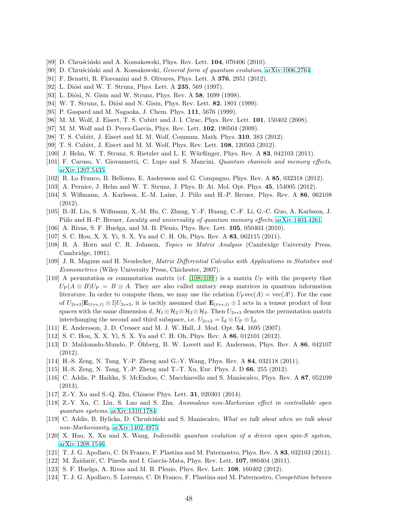- <span id="page-47-30"></span><span id="page-47-0"></span>[89] D. Chruściński and A. Kossakowski, Phys. Rev. Lett.  $104$ , 070406 (2010).
- <span id="page-47-1"></span>[90] D. Chruscinski and A. Kossakowski, General form of quantum evolution, [arXiv:1006.2764.](http://arxiv.org/abs/1006.2764)
- <span id="page-47-2"></span>[91] F. Benatti, R. Floreanini and S. Olivares, Phys. Lett. A 376, 2951 (2012).
- [92] L. Diósi and W. T. Strunz, Phys. Lett. A 235, 569 (1997).
- [93] L. Diósi, N. Gisin and W. Strunz, Phys. Rev. A 58, 1699 (1998).
- <span id="page-47-3"></span>[94] W. T. Strunz, L. Diósi and N. Gisin, Phys. Rev. Lett. **82**, 1801 (1999).
- <span id="page-47-4"></span>[95] P. Gaspard and M. Nagaoka, J. Chem. Phys. 111, 5676 (1999).
- <span id="page-47-5"></span>[96] M. M. Wolf, J. Eisert, T. S. Cubitt and J. I. Cirac, Phys. Rev. Lett. 101, 150402 (2008).
- <span id="page-47-6"></span>[97] M. M. Wolf and D. Perez-Garcia, Phys. Rev. Lett. 102, 190504 (2009).
- <span id="page-47-7"></span>[98] T. S. Cubitt, J. Eisert and M. M. Wolf, Commun. Math. Phys. 310, 383 (2012).
- <span id="page-47-8"></span>[99] T. S. Cubitt, J. Eisert and M. M. Wolf, Phys. Rev. Lett. 108, 120503 (2012).
- <span id="page-47-9"></span>[100] J. Helm, W. T. Strunz, S. Rietzler and L. E. W¨urflinger, Phys. Rev. A 83, 042103 (2011).
- <span id="page-47-10"></span>[101] F. Caruso, V. Giovannetti, C. Lupo and S. Mancini, Quantum channels and memory effects, [arXiv:1207.5435.](http://arxiv.org/abs/1207.5435)
- <span id="page-47-11"></span>[102] R. Lo Franco, B. Bellomo, E. Andersson and G. Compagno, Phys. Rev. A 85, 032318 (2012).
- <span id="page-47-12"></span>[103] A. Pernice, J. Helm and W. T. Strunz, J. Phys. B: At. Mol. Opt. Phys. 45, 154005 (2012).
- <span id="page-47-13"></span>[104] S. Wißmann, A. Karlsson, E.-M. Laine, J. Piilo and H.-P. Breuer, Phys. Rev. A 86, 062108 (2012).
- <span id="page-47-14"></span>[105] B.-H. Liu, S. Wißmann, X.-M. Hu, C. Zhang, Y.-F. Huang, C.-F. Li, G.-C. Guo, A. Karlsson, J. Piilo and H.-P. Breuer, Locality and universality of quantum memory effects, [arXiv:1403.4261.](http://arxiv.org/abs/1403.4261)
- <span id="page-47-15"></span>[106] A. Rivas, S. F. Huelga, and M. B. Plenio, Phys. Rev. Lett. 105, 050403 (2010).
- <span id="page-47-16"></span>[107] S. C. Hou, X. X. Yi, S. X. Yu and C. H. Oh, Phys. Rev. A 83, 062115 (2011).
- [108] R. A. Horn and C. R. Johnson, Topics in Matrix Analysis (Cambridge University Press, Cambridge, 1991).
- <span id="page-47-18"></span><span id="page-47-17"></span>[109] J. R. Magnus and H. Neudecker, Matrix Differential Calculus with Applications in Statistics and Econometrics (Wiley University Press, Chichester, 2007).
- [110] A permutation or commutation matrix (cf. [\[108,](#page-47-16) [109\]](#page-47-17)) is a matrix  $U_P$  with the property that  $U_P(A \otimes B)U_P = B \otimes A$ . They are also called unitary swap matrices in quantum information literature. In order to compute them, we may use the relation  $U_{\rm P}$ vec $(A) = \text{vec}(A^{\rm t})$ . For the case of  $U_{2\leftrightarrow 3}[\mathbf{E}_{(t+\epsilon,t)}\otimes\mathbb{I}]U_{2\leftrightarrow 3}$ , it is tacitly assumed that  $\mathbf{E}_{(t+\epsilon,t)}\otimes\mathbb{I}$  acts in a tensor product of four spaces with the same dimension d,  $\mathcal{H}_1 \otimes \mathcal{H}_2 \otimes \mathcal{H}_3 \otimes \mathcal{H}_4$ . Then  $U_{2 \leftrightarrow 3}$  denotes the permutation matrix interchanging the second and third subspace, i.e.  $U_{2\leftrightarrow 3} = \mathbb{I}_d \otimes U_P \otimes \mathbb{I}_d$ .
- <span id="page-47-20"></span><span id="page-47-19"></span>[111] E. Andersson, J. D. Cresser and M. J. W. Hall, J. Mod. Opt. 54, 1695 (2007).
- <span id="page-47-21"></span>[112] S. C. Hou, X. X. Yi, S. X. Yu and C. H. Oh, Phys. Rev. A **86**, 012101 (2012).
- [113] D. Maldonado-Mundo, P. Öhberg, B. W. Lovett and E. Andersson, Phys. Rev.  $A \, 86, 042107$ (2012).
- <span id="page-47-22"></span>[114] H.-S. Zeng, N. Tang, Y.-P. Zheng and G.-Y. Wang, Phys. Rev. A 84, 032118 (2011).
- [115] H.-S. Zeng, N. Tang, Y.-P. Zheng and T.-T. Xu, Eur. Phys. J. D 66, 255 (2012).
- [116] C. Addis, P. Haikka, S. McEndoo, C. Macchiavello and S. Maniscalco, Phys. Rev. A 87, 052109 (2013).
- <span id="page-47-29"></span>[117] Z.-Y. Xu and S.-Q. Zhu, Chinese Phys. Lett. 31, 020301 (2014).
- [118] Z.-Y. Xu, C. Liu, S. Luo and S. Zhu, Anomalous non-Markovian effect in controllable open quantum systems, [arXiv:1310.1784.](http://arxiv.org/abs/1310.1784)
- <span id="page-47-23"></span>[119] C. Addis, B. Bylicka, D. Chruscinski and S. Maniscalco, What we talk about when we talk about non-Markovianity, [arXiv:1402.4975.](http://arxiv.org/abs/1402.4975)
- <span id="page-47-25"></span><span id="page-47-24"></span>[120] X. Hao, X. Xu and X. Wang, Indivisible quantum evolution of a driven open spin-S system, [arXiv:1208.1546.](http://arxiv.org/abs/1208.1546)
- <span id="page-47-26"></span>[121] T. J. G. Apollaro, C. Di Franco, F. Plastina and M. Paternostro, Phys. Rev. A 83, 032103 (2011).
- <span id="page-47-27"></span>[122] M. Znidarič, C. Pineda and I. García-Mata, Phys. Rev. Lett.  $107$ , 080404 (2011).
- <span id="page-47-28"></span>[123] S. F. Huelga, A. Rivas and M. B. Plenio, Phys. Rev. Lett. 108, 160402 (2012).
- [124] T. J. G. Apollaro, S. Lorenzo, C. Di Franco, F. Plastina and M. Paternostro, Competition between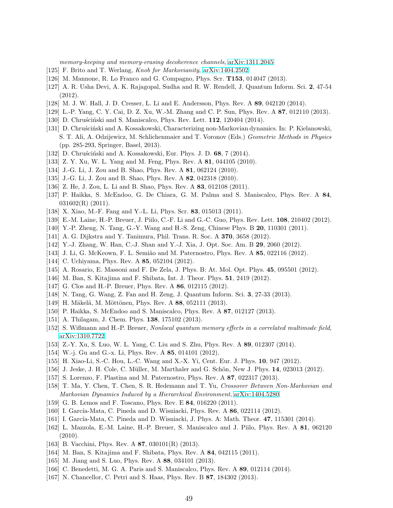memory-keeping and memory-erasing decoherence channels, [arXiv:1311.2045.](http://arxiv.org/abs/1311.2045)

- <span id="page-48-1"></span><span id="page-48-0"></span>[125] F. Brito and T. Werlang, Knob for Markovianity, [arXiv:1404.2502.](http://arxiv.org/abs/1404.2502)
- <span id="page-48-2"></span>[126] M. Mannone, R. Lo Franco and G. Compagno, Phys. Scr. T153, 014047 (2013).
- <span id="page-48-3"></span>[127] A. R. Usha Devi, A. K. Rajagopal, Sudha and R. W. Rendell, J. Quantum Inform. Sci. 2, 47-54 (2012).
- <span id="page-48-4"></span>[128] M. J. W. Hall, J. D. Cresser, L. Li and E. Andersson, Phys. Rev. A 89, 042120 (2014).
- <span id="page-48-5"></span>[129] L.-P. Yang, C. Y. Cai, D. Z. Xu, W.-M. Zhang and C. P. Sun, Phys. Rev. A 87, 012110 (2013).
- <span id="page-48-6"></span>[130] D. Chruściński and S. Maniscalco, Phys. Rev. Lett. 112, 120404 (2014).
- [131] D. Chruściński and A. Kossakowski, Characterizing non-Markovian dynamics. In: P. Kielanowski, S. T. Ali, A. Odzijewicz, M. Schlichenmaier and T. Voronov (Eds.) Geometric Methods in Physics (pp. 285-293, Springer, Basel, 2013).
- <span id="page-48-8"></span><span id="page-48-7"></span>[132] D. Chruściński and A. Kossakowski, Eur. Phys. J. D.  $68$ ,  $7$  (2014).
- [133] Z. Y. Xu, W. L. Yang and M. Feng, Phys. Rev. A 81, 044105 (2010).
- <span id="page-48-24"></span>[134] J.-G. Li, J. Zou and B. Shao, Phys. Rev. A **81**, 062124 (2010).
- [135] J.-G. Li, J. Zou and B. Shao, Phys. Rev. A **82**, 042318 (2010).
- [136] Z. He, J. Zou, L. Li and B. Shao, Phys. Rev. A 83, 012108 (2011).
- [137] P. Haikka, S. McEndoo, G. De Chiara, G. M. Palma and S. Maniscalco, Phys. Rev. A 84,  $031602(R)$  (2011).
- [138] X. Xiao, M.-F. Fang and Y.-L. Li, Phys. Scr. 83, 015013 (2011).
- [139] E.-M. Laine, H.-P. Breuer, J. Piilo, C.-F. Li and G.-C. Guo, Phys. Rev. Lett. 108, 210402 (2012).
- <span id="page-48-21"></span>[140] Y.-P. Zheng, N. Tang, G.-Y. Wang and H.-S. Zeng, Chinese Phys. B 20, 110301 (2011).
- [141] A. G. Dijkstra and Y. Tanimura, Phil. Trans. R. Soc. A **370**, 3658 (2012).
- <span id="page-48-26"></span>[142] Y.-J. Zhang, W. Han, C.-J. Shan and Y.-J. Xia, J. Opt. Soc. Am. B 29, 2060 (2012).
- <span id="page-48-22"></span>[143] J. Li, G. McKeown, F. L. Semião and M. Paternostro, Phys. Rev. A 85, 022116 (2012).
- <span id="page-48-25"></span>[144] C. Uchiyama, Phys. Rev. A **85**, 052104 (2012).
- <span id="page-48-23"></span>[145] A. Rosario, E. Massoni and F. De Zela, J. Phys. B: At. Mol. Opt. Phys. 45, 095501 (2012).
- [146] M. Ban, S. Kitajima and F. Shibata, Int. J. Theor. Phys. 51, 2419 (2012).
- [147] G. Clos and H.-P. Breuer, Phys. Rev. A **86**, 012115 (2012).
- [148] N. Tang, G. Wang, Z. Fan and H. Zeng, J. Quantum Inform. Sci. 3, 27-33 (2013).
- [149] H. Mäkelä, M. Möttönen, Phys. Rev. A 88, 052111 (2013).
- <span id="page-48-28"></span>[150] P. Haikka, S. McEndoo and S. Maniscalco, Phys. Rev. A 87, 012127 (2013).
- [151] A. Thilagam, J. Chem. Phys. **138**, 175102 (2013).
- <span id="page-48-9"></span>[152] S. Wißmann and H.-P. Breuer, Nonlocal quantum memory effects in a correlated multimode field, [arXiv:1310.7722.](http://arxiv.org/abs/1310.7722)
- <span id="page-48-10"></span>[153] Z.-Y. Xu, S. Luo, W. L. Yang, C. Liu and S. Zhu, Phys. Rev. A 89, 012307 (2014).
- <span id="page-48-11"></span>[154] W.-j. Gu and G.-x. Li, Phys. Rev. A 85, 014101 (2012).
- <span id="page-48-12"></span>[155] H. Xiao-Li, S.-C. Hou, L.-C. Wang and X.-X. Yi, Cent. Eur. J. Phys. 10, 947 (2012).
- [156] J. Jeske, J. H. Cole, C. Müller, M. Marthaler and G. Schön, New J. Phys. 14, 023013 (2012).
- <span id="page-48-13"></span>[157] S. Lorenzo, F. Plastina and M. Paternostro, Phys. Rev. A 87, 022317 (2013).
- [158] T. Ma, Y. Chen, T. Chen, S. R. Hedemann and T. Yu, Crossover Between Non-Markovian and Markovian Dynamics Induced by a Hierarchical Environment, [arXiv:1404.5280.](http://arxiv.org/abs/1404.5280)
- <span id="page-48-14"></span>[159] G. B. Lemos and F. Toscano, Phys. Rev. E 84, 016220 (2011).
- <span id="page-48-15"></span>[160] I. García-Mata, C. Pineda and D. Wisniacki, Phys. Rev.  $A \, 86, 022114 \, (2012)$ .
- <span id="page-48-16"></span>[161] I. García-Mata, C. Pineda and D. Wisniacki, J. Phys. A: Math. Theor.  $47$ , 115301 (2014).
- [162] L. Mazzola, E.-M. Laine, H.-P. Breuer, S. Maniscalco and J. Piilo, Phys. Rev. A 81, 062120 (2010).
- <span id="page-48-18"></span><span id="page-48-17"></span>[163] B. Vacchini, Phys. Rev. A 87, 030101(R) (2013).
- <span id="page-48-27"></span>[164] M. Ban, S. Kitajima and F. Shibata, Phys. Rev. A 84, 042115 (2011).
- <span id="page-48-19"></span>[165] M. Jiang and S. Luo, Phys. Rev. A 88, 034101 (2013).
- <span id="page-48-20"></span>[166] C. Benedetti, M. G. A. Paris and S. Maniscalco, Phys. Rev. A 89, 012114 (2014).
- [167] N. Chancellor, C. Petri and S. Haas, Phys. Rev. B 87, 184302 (2013).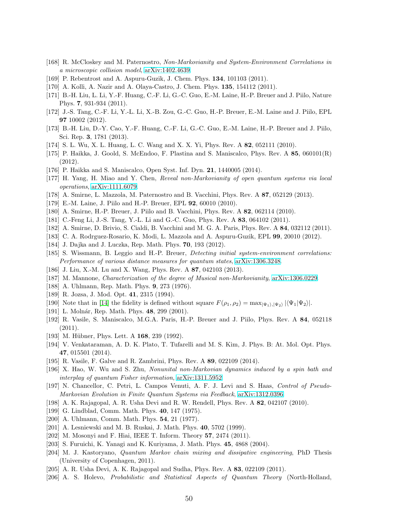- <span id="page-49-1"></span><span id="page-49-0"></span>[168] R. McCloskey and M. Paternostro, Non-Markovianity and System-Environment Correlations in a microscopic collision model, [arXiv:1402.4639.](http://arxiv.org/abs/1402.4639)
- <span id="page-49-2"></span>[169] P. Rebentrost and A. Aspuru-Guzik, J. Chem. Phys. 134, 101103 (2011).
- <span id="page-49-3"></span>[170] A. Kolli, A. Nazir and A. Olaya-Castro, J. Chem. Phys. 135, 154112 (2011).
- [171] B.-H. Liu, L. Li, Y.-F. Huang, C.-F. Li, G.-C. Guo, E.-M. Laine, H.-P. Breuer and J. Piilo, Nature Phys. 7, 931-934 (2011).
- <span id="page-49-4"></span>[172] J.-S. Tang, C.-F. Li, Y.-L. Li, X.-B. Zou, G.-C. Guo, H.-P. Breuer, E.-M. Laine and J. Piilo, EPL 97 10002 (2012).
- <span id="page-49-5"></span>[173] B.-H. Liu, D.-Y. Cao, Y.-F. Huang, C.-F. Li, G.-C. Guo, E.-M. Laine, H.-P. Breuer and J. Piilo, Sci. Rep. 3, 1781 (2013).
- <span id="page-49-6"></span>[174] S. L. Wu, X. L. Huang, L. C. Wang and X. X. Yi, Phys. Rev. A 82, 052111 (2010).
- <span id="page-49-7"></span>[175] P. Haikka, J. Goold, S. McEndoo, F. Plastina and S. Maniscalco, Phys. Rev. A 85, 060101(R) (2012).
- <span id="page-49-8"></span>[176] P. Haikka and S. Maniscalco, Open Syst. Inf. Dyn. 21, 1440005 (2014).
- <span id="page-49-9"></span>[177] H. Yang, H. Miao and Y. Chen, Reveal non-Markovianity of open quantum systems via local operations, [arXiv:1111.6079.](http://arxiv.org/abs/1111.6079)
- <span id="page-49-10"></span>[178] A. Smirne, L. Mazzola, M. Paternostro and B. Vacchini, Phys. Rev. A 87, 052129 (2013).
- [179] E.-M. Laine, J. Piilo and H.-P. Breuer, EPL 92, 60010 (2010).
- [180] A. Smirne, H.-P. Breuer, J. Piilo and B. Vacchini, Phys. Rev. A 82, 062114 (2010).
- [181] C.-Feng Li, J.-S. Tang, Y.-L. Li and G.-C. Guo, Phys. Rev. A 83, 064102 (2011).
- [182] A. Smirne, D. Brivio, S. Cialdi, B. Vacchini and M. G. A. Paris, Phys. Rev. A 84, 032112 (2011).
- [183] C. A. Rodrguez-Rosario, K. Modi, L. Mazzola and A. Aspuru-Guzik, EPL 99, 20010 (2012).
- <span id="page-49-11"></span>[184] J. Dajka and J. Luczka, Rep. Math. Phys. 70, 193 (2012).
- <span id="page-49-12"></span>[185] S. Wissmann, B. Leggio and H.-P. Breuer, Detecting initial system-environment correlations: Performance of various distance measures for quantum states, [arXiv:1306.3248.](http://arxiv.org/abs/1306.3248)
- <span id="page-49-13"></span>[186] J. Liu, X.-M. Lu and X. Wang, Phys. Rev. A 87, 042103 (2013).
- <span id="page-49-14"></span>[187] M. Mannone, Characterization of the degree of Musical non-Markovianity, [arXiv:1306.0229.](http://arxiv.org/abs/1306.0229)
- <span id="page-49-15"></span>[188] A. Uhlmann, Rep. Math. Phys. 9, 273 (1976).
- <span id="page-49-16"></span>[189] R. Jozsa, J. Mod. Opt. 41, 2315 (1994).
- <span id="page-49-17"></span>[190] Note that in [\[14\]](#page-45-11) the fidelity is defined without square  $F(\rho_1, \rho_2) = \max_{|\Psi_1\rangle, |\Psi_2\rangle} |\langle \Psi_1 | \Psi_2 \rangle|$ .
- <span id="page-49-18"></span>[191] L. Molnár, Rep. Math. Phys. 48, 299 (2001).
- [192] R. Vasile, S. Maniscalco, M.G.A. Paris, H.-P. Breuer and J. Piilo, Phys. Rev. A 84, 052118 (2011).
- <span id="page-49-20"></span><span id="page-49-19"></span>[193] M. Hübner, Phys. Lett. A 168, 239 (1992).
- [194] V. Venkataraman, A. D. K. Plato, T. Tufarelli and M. S. Kim, J. Phys. B: At. Mol. Opt. Phys. 47, 015501 (2014).
- <span id="page-49-32"></span><span id="page-49-21"></span>[195] R. Vasile, F. Galve and R. Zambrini, Phys. Rev. A 89, 022109 (2014).
- [196] X. Hao, W. Wu and S. Zhu, Nonunital non-Markovian dynamics induced by a spin bath and interplay of quantum Fisher information, [arXiv:1311.5952.](http://arxiv.org/abs/1311.5952)
- <span id="page-49-22"></span>[197] N. Chancellor, C. Petri, L. Campos Venuti, A. F. J. Levi and S. Haas, Control of Pseudo-Markovian Evolution in Finite Quantum Systems via Feedback, [arXiv:1312.0396.](http://arxiv.org/abs/1312.0396)
- <span id="page-49-24"></span><span id="page-49-23"></span>[198] A. K. Rajagopal, A. R. Usha Devi and R. W. Rendell, Phys. Rev. A 82, 042107 (2010).
- <span id="page-49-25"></span>[199] G. Lindblad, Comm. Math. Phys. 40, 147 (1975).
- <span id="page-49-26"></span>[200] A. Uhlmann, Comm. Math. Phys. 54, 21 (1977).
- <span id="page-49-27"></span>[201] A. Lesniewski and M. B. Ruskai, J. Math. Phys. 40, 5702 (1999).
- <span id="page-49-28"></span>[202] M. Mosonyi and F. Hiai, IEEE T. Inform. Theory **57**, 2474 (2011).
- <span id="page-49-29"></span>[203] S. Furuichi, K. Yanagi and K. Kuriyama, J. Math. Phys. 45, 4868 (2004).
- [204] M. J. Kastoryano, Quantum Markov chain mixing and dissipative engineering, PhD Thesis (University of Copenhagen, 2011).
- <span id="page-49-31"></span><span id="page-49-30"></span>[205] A. R. Usha Devi, A. K. Rajagopal and Sudha, Phys. Rev. A 83, 022109 (2011).
- [206] A. S. Holevo, Probabilistic and Statistical Aspects of Quantum Theory (North-Holland,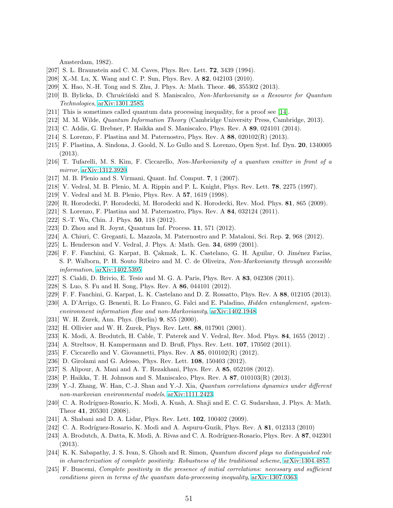Amsterdam, 1982).

- <span id="page-50-1"></span><span id="page-50-0"></span>[207] S. L. Braunstein and C. M. Caves, Phys. Rev. Lett. **72**, 3439 (1994).
- <span id="page-50-2"></span>[208] X.-M. Lu, X. Wang and C. P. Sun, Phys. Rev. A 82, 042103 (2010).
- <span id="page-50-3"></span>[209] X. Hao, N.-H. Tong and S. Zhu, J. Phys. A: Math. Theor. 46, 355302 (2013).
- <span id="page-50-4"></span>[210] B. Bylicka, D. Chruscinski and S. Maniscalco, Non-Markovianity as a Resource for Quantum Technologies, [arXiv:1301.2585.](http://arxiv.org/abs/1301.2585)
- <span id="page-50-5"></span>[211] This is sometimes called quantum data processing inequality, for a proof see [\[14\]](#page-45-11).
- <span id="page-50-6"></span>[212] M. M. Wilde, Quantum Information Theory (Cambridge University Press, Cambridge, 2013).
- <span id="page-50-7"></span>[213] C. Addis, G. Brebner, P. Haikka and S. Maniscalco, Phys. Rev. A 89, 024101 (2014).
- <span id="page-50-8"></span>[214] S. Lorenzo, F. Plastina and M. Paternostro, Phys. Rev. A  $88$ , 020102(R) (2013).
- <span id="page-50-9"></span>[215] F. Plastina, A. Sindona, J. Goold, N. Lo Gullo and S. Lorenzo, Open Syst. Inf. Dyn. 20, 1340005 (2013).
- <span id="page-50-10"></span>[216] T. Tufarelli, M. S. Kim, F. Ciccarello, Non-Markovianity of a quantum emitter in front of a mirror, [arXiv:1312.3920.](http://arxiv.org/abs/1312.3920)
- [217] M. B. Plenio and S. Virmani, Quant. Inf. Comput. 7, 1 (2007).
- [218] V. Vedral, M. B. Plenio, M. A. Rippin and P. L. Knight, Phys. Rev. Lett. 78, 2275 (1997).
- <span id="page-50-11"></span>[219] V. Vedral and M. B. Plenio, Phys. Rev. A 57, 1619 (1998).
- <span id="page-50-12"></span>[220] R. Horodecki, P. Horodecki, M. Horodecki and K. Horodecki, Rev. Mod. Phys. 81, 865 (2009).
- <span id="page-50-13"></span>[221] S. Lorenzo, F. Plastina and M. Paternostro, Phys. Rev. A 84, 032124 (2011).
- <span id="page-50-14"></span>[222] S.-T. Wu, Chin. J. Phys. **50**, 118 (2012).
- <span id="page-50-15"></span>[223] D. Zhou and R. Joynt, Quantum Inf. Process. 11, 571 (2012).
- <span id="page-50-16"></span>[224] A. Chiuri, C. Greganti, L. Mazzola, M. Paternostro and P. Mataloni, Sci. Rep. 2, 968 (2012).
- <span id="page-50-17"></span>[225] L. Henderson and V. Vedral, J. Phys. A: Math. Gen. 34, 6899 (2001).
- [226] F. F. Fanchini, G. Karpat, B. Çakmak, L. K. Castelano, G. H. Aguilar, O. Jiménez Farías, S. P. Walborn, P. H. Souto Ribeiro and M. C. de Oliveira, Non-Markovianity through accessible information, [arXiv:1402.5395.](http://arxiv.org/abs/1402.5395)
- <span id="page-50-19"></span><span id="page-50-18"></span>[227] S. Cialdi, D. Brivio, E. Tesio and M. G. A. Paris, Phys. Rev. A 83, 042308 (2011).
- <span id="page-50-20"></span>[228] S. Luo, S. Fu and H. Song, Phys. Rev. A 86, 044101 (2012).
- <span id="page-50-21"></span>[229] F. F. Fanchini, G. Karpat, L. K. Castelano and D. Z. Rossatto, Phys. Rev. A 88, 012105 (2013).
- <span id="page-50-22"></span>[230] A. D'Arrigo, G. Benenti, R. Lo Franco, G. Falci and E. Paladino, Hidden entanglement, systemenvironment information flow and non-Markovianity, [arXiv:1402.1948.](http://arxiv.org/abs/1402.1948)
- [231] W. H. Zurek, Ann. Phys. (Berlin) 9, 855 (2000).
- <span id="page-50-23"></span>[232] H. Ollivier and W. H. Zurek, Phys. Rev. Lett. 88, 017901 (2001).
- <span id="page-50-24"></span>[233] K. Modi, A. Brodutch, H. Cable, T. Paterek and V. Vedral, Rev. Mod. Phys. 84, 1655 (2012) .
- <span id="page-50-25"></span>[234] A. Streltsov, H. Kampermann and D. Bruß, Phys. Rev. Lett. 107, 170502 (2011).
- <span id="page-50-26"></span>[235] F. Ciccarello and V. Giovannetti, Phys. Rev. A 85, 010102(R) (2012).
- <span id="page-50-27"></span>[236] D. Girolami and G. Adesso, Phys. Rev. Lett. **108**, 150403 (2012).
- [237] S. Alipour, A. Mani and A. T. Rezakhani, Phys. Rev. A 85, 052108 (2012).
- <span id="page-50-28"></span>[238] P. Haikka, T. H. Johnson and S. Maniscalco, Phys. Rev. A 87, 010103(R) (2013).
- [239] Y.-J. Zhang, W. Han, C.-J. Shan and Y.-J. Xia, Quantum correlations dynamics under different non-markovian environmental models, [arXiv:1111.2423.](http://arxiv.org/abs/1111.2423)
- <span id="page-50-29"></span>[240] C. A. Rodríguez-Rosario, K. Modi, A. Kuah, A. Shaji and E. C. G. Sudarshan, J. Phys. A: Math. Theor 41, 205301 (2008).
- [241] A. Shabani and D. A. Lidar, Phys. Rev. Lett. **102**, 100402 (2009).
- [242] C. A. Rodríguez-Rosario, K. Modi and A. Aspuru-Guzik, Phys. Rev. A  $81$ , 012313 (2010)
- [243] A. Brodutch, A. Datta, K. Modi, A. Rivas and C. A. Rodríguez-Rosario, Phys. Rev. A 87, 042301 (2013).
- [244] K. K. Sabapathy, J. S. Ivan, S. Ghosh and R. Simon, Quantum discord plays no distinguished role in characterization of complete positivity: Robustness of the traditional scheme, [arXiv:1304.4857.](http://arxiv.org/abs/1304.4857)
- [245] F. Buscemi, Complete positivity in the presence of initial correlations: necessary and sufficient conditions given in terms of the quantum data-processing inequality, [arXiv:1307.0363.](http://arxiv.org/abs/1307.0363)